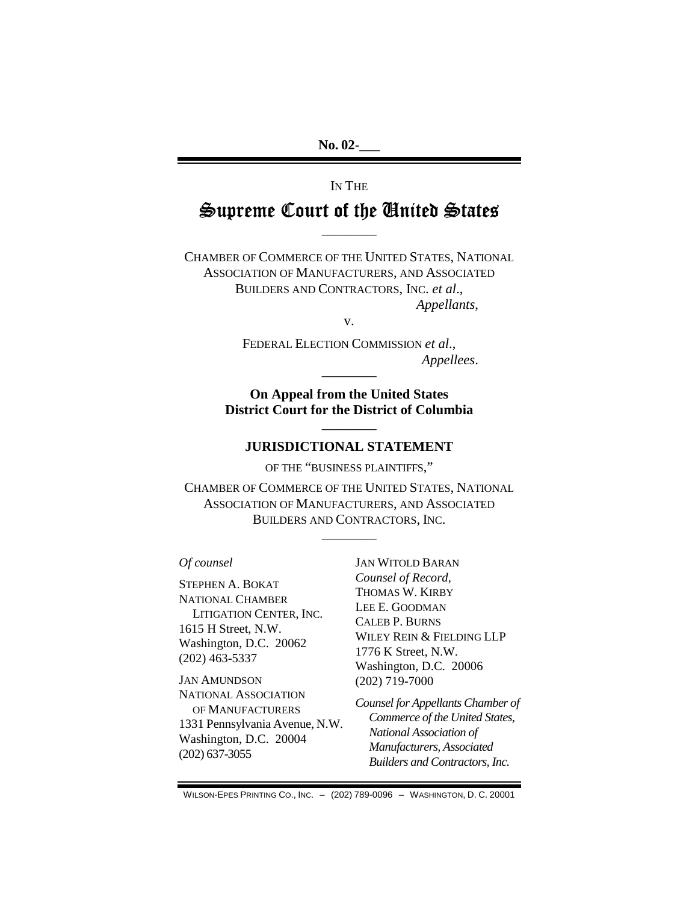**No. 02-\_\_\_** 

# IN THE Supreme Court of the United States

————

CHAMBER OF COMMERCE OF THE UNITED STATES, NATIONAL ASSOCIATION OF MANUFACTURERS, AND ASSOCIATED BUILDERS AND CONTRACTORS, INC. *et al*., *Appellants*,

v.

FEDERAL ELECTION COMMISSION *et al*., *Appellees*.

**On Appeal from the United States District Court for the District of Columbia** 

————

# ———— **JURISDICTIONAL STATEMENT**

OF THE "BUSINESS PLAINTIFFS,"

CHAMBER OF COMMERCE OF THE UNITED STATES, NATIONAL ASSOCIATION OF MANUFACTURERS, AND ASSOCIATED BUILDERS AND CONTRACTORS, INC.

————

#### *Of counsel*

STEPHEN A. BOKAT NATIONAL CHAMBER LITIGATION CENTER, INC. 1615 H Street, N.W. Washington, D.C. 20062 (202) 463-5337

JAN AMUNDSON NATIONAL ASSOCIATION OF MANUFACTURERS 1331 Pennsylvania Avenue, N.W. Washington, D.C. 20004 (202) 637-3055

JAN WITOLD BARAN *Counsel of Record,*  THOMAS W. KIRBY LEE E. GOODMAN CALEB P. BURNS WILEY REIN & FIELDING LLP 1776 K Street, N.W. Washington, D.C. 20006 (202) 719-7000

*Counsel for Appellants Chamber of Commerce of the United States, National Association of Manufacturers, Associated Builders and Contractors, Inc.* 

WILSON-EPES PRINTING CO., INC. – (202) 789-0096 – WASHINGTON, D. C. 20001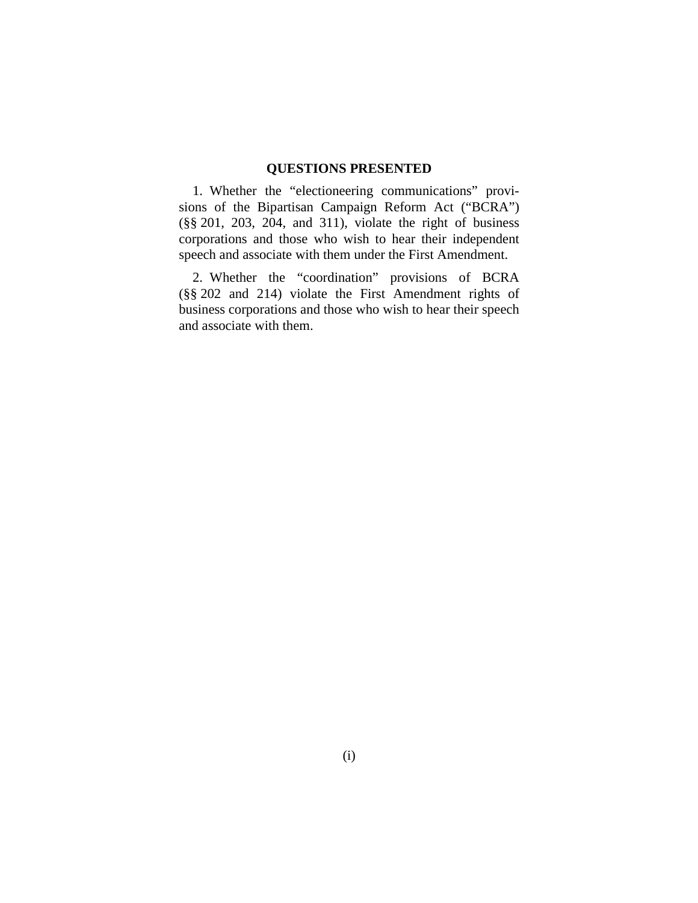# **QUESTIONS PRESENTED**

1. Whether the "electioneering communications" provisions of the Bipartisan Campaign Reform Act ("BCRA") (§§ 201, 203, 204, and 311), violate the right of business corporations and those who wish to hear their independent speech and associate with them under the First Amendment.

2. Whether the "coordination" provisions of BCRA (§§ 202 and 214) violate the First Amendment rights of business corporations and those who wish to hear their speech and associate with them.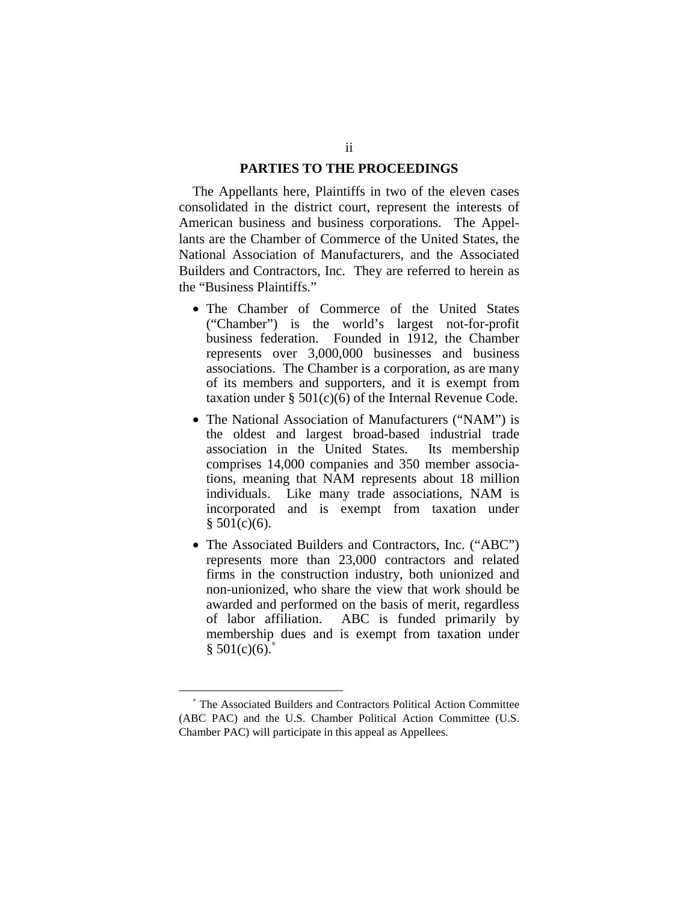#### **PARTIES TO THE PROCEEDINGS**

The Appellants here, Plaintiffs in two of the eleven cases consolidated in the district court, represent the interests of American business and business corporations. The Appellants are the Chamber of Commerce of the United States, the National Association of Manufacturers, and the Associated Builders and Contractors, Inc. They are referred to herein as the "Business Plaintiffs."

- The Chamber of Commerce of the United States ("Chamber") is the world's largest not-for-profit business federation. Founded in 1912, the Chamber represents over 3,000,000 businesses and business associations. The Chamber is a corporation, as are many of its members and supporters, and it is exempt from taxation under § 501(c)(6) of the Internal Revenue Code.
- The National Association of Manufacturers ("NAM") is the oldest and largest broad-based industrial trade association in the United States. Its membership comprises 14,000 companies and 350 member associations, meaning that NAM represents about 18 million individuals. Like many trade associations, NAM is incorporated and is exempt from taxation under  $§ 501(c)(6).$
- The Associated Builders and Contractors, Inc. ("ABC") represents more than 23,000 contractors and related firms in the construction industry, both unionized and non-unionized, who share the view that work should be awarded and performed on the basis of merit, regardless of labor affiliation. ABC is funded primarily by membership dues and is exempt from taxation under  $§ 501(c)(6).$ <sup>\*</sup>

<sup>∗</sup> The Associated Builders and Contractors Political Action Committee (ABC PAC) and the U.S. Chamber Political Action Committee (U.S. Chamber PAC) will participate in this appeal as Appellees.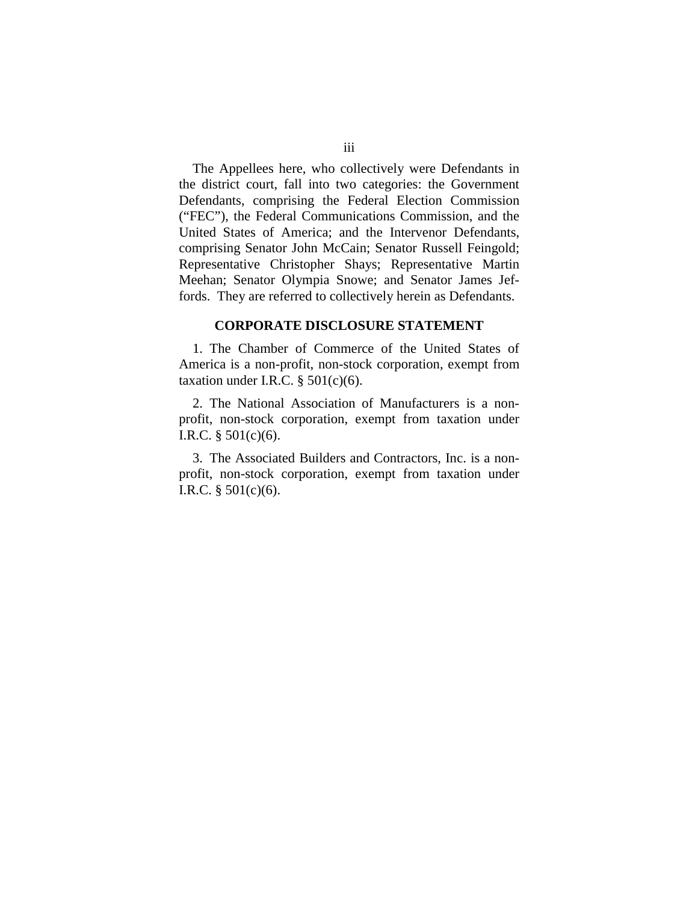The Appellees here, who collectively were Defendants in the district court, fall into two categories: the Government Defendants, comprising the Federal Election Commission ("FEC"), the Federal Communications Commission, and the United States of America; and the Intervenor Defendants, comprising Senator John McCain; Senator Russell Feingold; Representative Christopher Shays; Representative Martin Meehan; Senator Olympia Snowe; and Senator James Jeffords. They are referred to collectively herein as Defendants.

#### **CORPORATE DISCLOSURE STATEMENT**

1. The Chamber of Commerce of the United States of America is a non-profit, non-stock corporation, exempt from taxation under I.R.C.  $\S$  501(c)(6).

2. The National Association of Manufacturers is a nonprofit, non-stock corporation, exempt from taxation under I.R.C. § 501(c)(6).

3. The Associated Builders and Contractors, Inc. is a nonprofit, non-stock corporation, exempt from taxation under I.R.C.  $§ 501(c)(6)$ .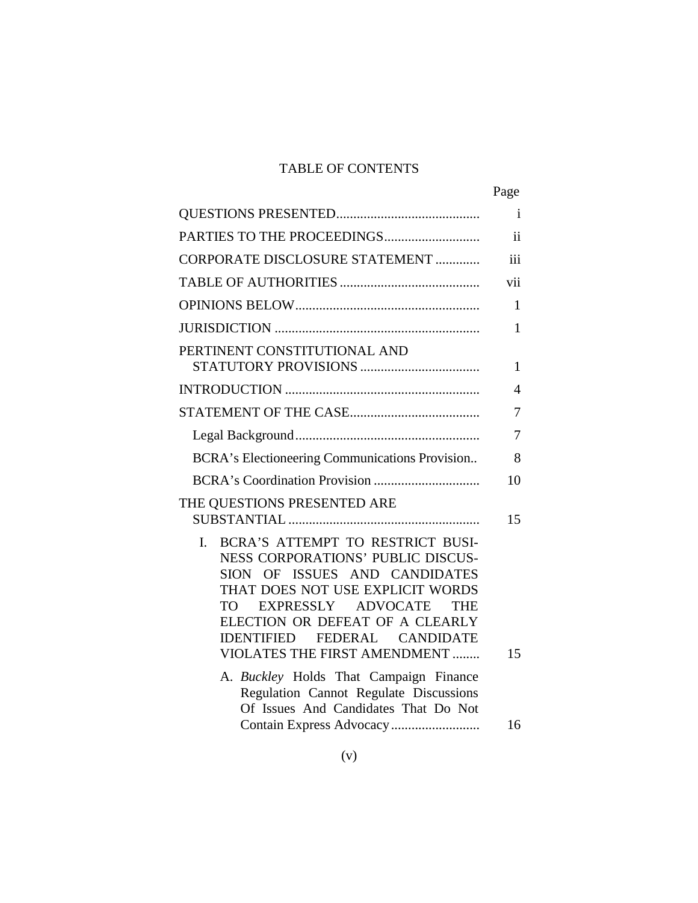# TABLE OF CONTENTS

|                                                                                                                                                                                                                                                                                                                                 | Page                    |
|---------------------------------------------------------------------------------------------------------------------------------------------------------------------------------------------------------------------------------------------------------------------------------------------------------------------------------|-------------------------|
|                                                                                                                                                                                                                                                                                                                                 | i                       |
| PARTIES TO THE PROCEEDINGS                                                                                                                                                                                                                                                                                                      | $\overline{\mathbf{1}}$ |
| CORPORATE DISCLOSURE STATEMENT                                                                                                                                                                                                                                                                                                  | iii                     |
|                                                                                                                                                                                                                                                                                                                                 | vii                     |
|                                                                                                                                                                                                                                                                                                                                 | $\mathbf{1}$            |
|                                                                                                                                                                                                                                                                                                                                 | $\mathbf{1}$            |
| PERTINENT CONSTITUTIONAL AND                                                                                                                                                                                                                                                                                                    | 1                       |
|                                                                                                                                                                                                                                                                                                                                 | $\overline{4}$          |
|                                                                                                                                                                                                                                                                                                                                 | 7                       |
|                                                                                                                                                                                                                                                                                                                                 | 7                       |
| BCRA's Electioneering Communications Provision                                                                                                                                                                                                                                                                                  | 8                       |
|                                                                                                                                                                                                                                                                                                                                 | 10                      |
| THE QUESTIONS PRESENTED ARE                                                                                                                                                                                                                                                                                                     | 15                      |
| BCRA'S ATTEMPT TO RESTRICT BUSI-<br>$\mathbf{I}$ .<br>NESS CORPORATIONS' PUBLIC DISCUS-<br>SION OF ISSUES AND CANDIDATES<br>THAT DOES NOT USE EXPLICIT WORDS<br>EXPRESSLY ADVOCATE<br>TO T<br>THE<br>ELECTION OR DEFEAT OF A CLEARLY<br><b>IDENTIFIED</b><br><b>FEDERAL</b><br><b>CANDIDATE</b><br>VIOLATES THE FIRST AMENDMENT | 15                      |
| A. Buckley Holds That Campaign Finance<br>Regulation Cannot Regulate Discussions<br>Of Issues And Candidates That Do Not                                                                                                                                                                                                        |                         |
|                                                                                                                                                                                                                                                                                                                                 | 16                      |
|                                                                                                                                                                                                                                                                                                                                 |                         |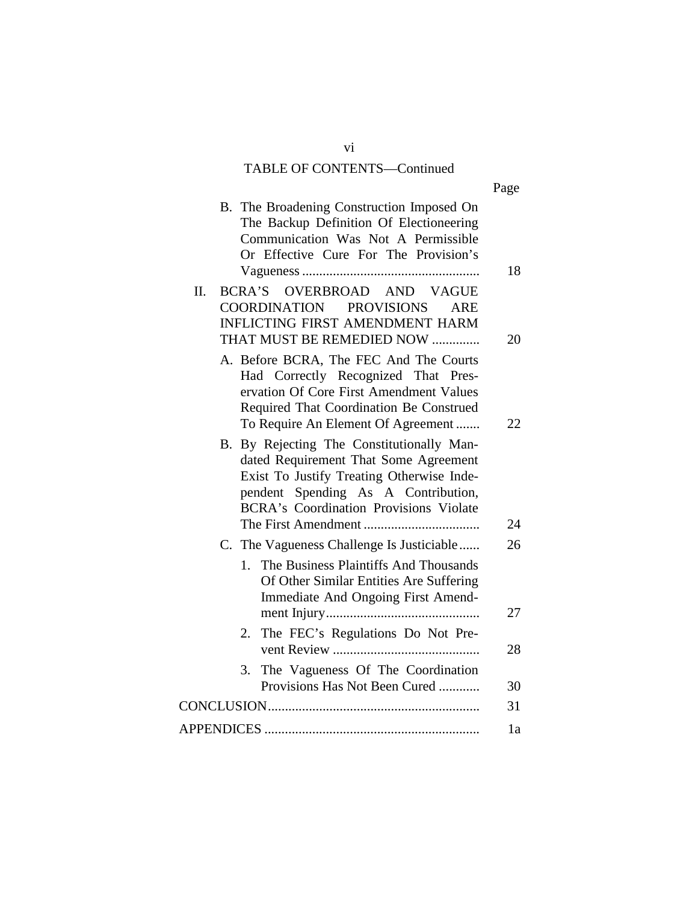# TABLE OF CONTENTS—Continued

|                                                                                                                                                                                                                                                               | Page     |
|---------------------------------------------------------------------------------------------------------------------------------------------------------------------------------------------------------------------------------------------------------------|----------|
| B. The Broadening Construction Imposed On<br>The Backup Definition Of Electioneering<br>Communication Was Not A Permissible<br>Or Effective Cure For The Provision's                                                                                          | 18       |
| BCRA'S OVERBROAD AND VAGUE<br>II.<br>COORDINATION PROVISIONS<br>ARE<br><b>INFLICTING FIRST AMENDMENT HARM</b><br>THAT MUST BE REMEDIED NOW                                                                                                                    | 20       |
| A. Before BCRA, The FEC And The Courts<br>Had Correctly Recognized That Pres-<br>ervation Of Core First Amendment Values<br>Required That Coordination Be Construed                                                                                           |          |
| To Require An Element Of Agreement<br>B. By Rejecting The Constitutionally Man-<br>dated Requirement That Some Agreement<br>Exist To Justify Treating Otherwise Inde-<br>pendent Spending As A Contribution,<br><b>BCRA's Coordination Provisions Violate</b> | 22<br>24 |
| C. The Vagueness Challenge Is Justiciable                                                                                                                                                                                                                     | 26       |
| The Business Plaintiffs And Thousands<br>$1_{-}$<br>Of Other Similar Entities Are Suffering<br>Immediate And Ongoing First Amend-                                                                                                                             | 27       |
| The FEC's Regulations Do Not Pre-<br>2.                                                                                                                                                                                                                       | 28       |
| The Vagueness Of The Coordination<br>3.<br>Provisions Has Not Been Cured                                                                                                                                                                                      | 30       |
|                                                                                                                                                                                                                                                               | 31       |
|                                                                                                                                                                                                                                                               | 1a       |
|                                                                                                                                                                                                                                                               |          |

vi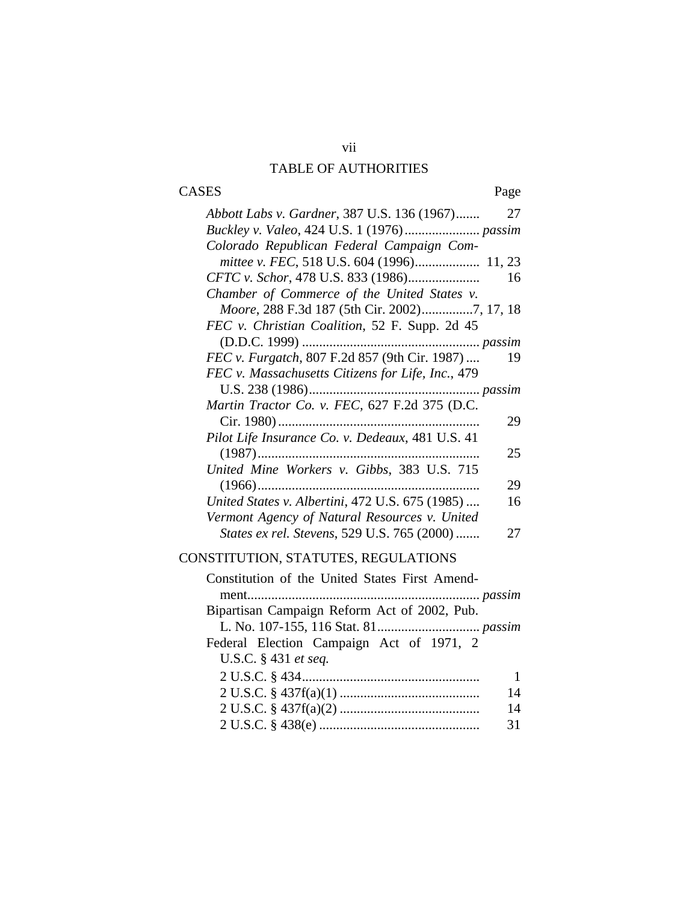# vii TABLE OF AUTHORITIES

# CASES Page

| Abbott Labs v. Gardner, 387 U.S. 136 (1967)<br>27         |
|-----------------------------------------------------------|
|                                                           |
| Colorado Republican Federal Campaign Com-                 |
|                                                           |
| <i>CFTC v. Schor</i> , 478 U.S. 833 (1986)<br>16          |
| Chamber of Commerce of the United States v.               |
|                                                           |
| FEC v. Christian Coalition, 52 F. Supp. 2d 45             |
|                                                           |
| FEC v. Furgatch, 807 F.2d 857 (9th Cir. 1987)<br>19       |
| FEC v. Massachusetts Citizens for Life, Inc., 479         |
|                                                           |
| Martin Tractor Co. v. FEC, 627 F.2d 375 (D.C.             |
| Cir. 1980)<br>29                                          |
| Pilot Life Insurance Co. v. Dedeaux, 481 U.S. 41          |
| $(1987)$<br>25                                            |
| United Mine Workers v. Gibbs, 383 U.S. 715                |
| $(1966)$<br>29                                            |
| United States v. Albertini, 472 U.S. 675 (1985)<br>16     |
| Vermont Agency of Natural Resources v. United             |
| <i>States ex rel. Stevens, 529 U.S. 765 (2000) </i><br>27 |
|                                                           |

# CONSTITUTION, STATUTES, REGULATIONS

| Constitution of the United States First Amend- |    |
|------------------------------------------------|----|
|                                                |    |
| Bipartisan Campaign Reform Act of 2002, Pub.   |    |
|                                                |    |
| Federal Election Campaign Act of 1971, 2       |    |
| U.S.C. § 431 et seq.                           |    |
|                                                | -1 |
|                                                | 14 |
|                                                | 14 |
|                                                | 31 |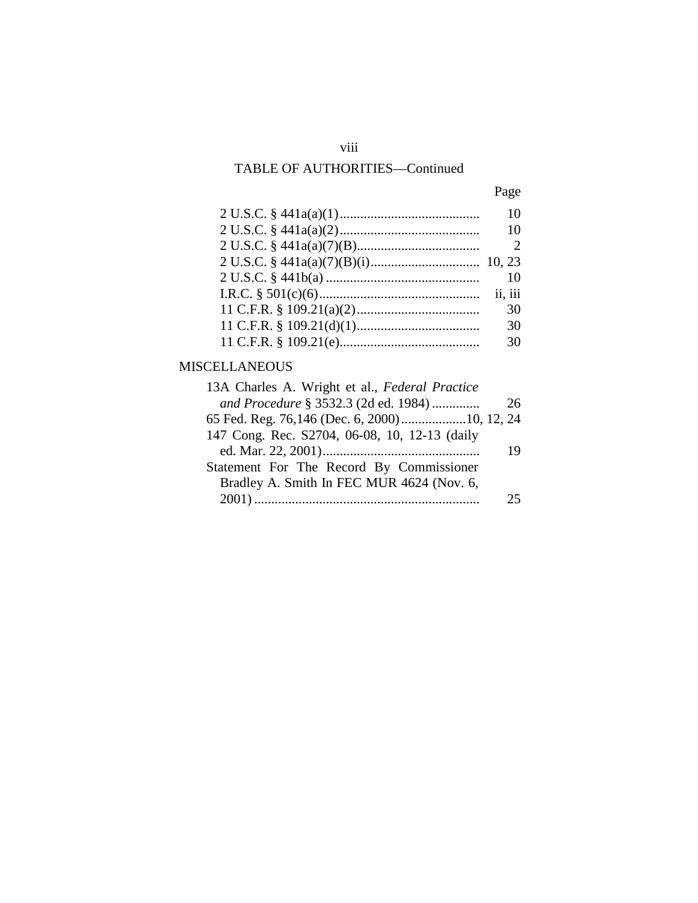# viii

# TABLE OF AUTHORITIES—Continued

| × |
|---|
|---|

| 10 |
|----|
| 10 |
| 2  |
|    |
| 10 |
|    |
| 30 |
| 30 |
| 30 |

# MISCELLANEOUS

| 13A Charles A. Wright et al., Federal Practice |    |
|------------------------------------------------|----|
| and Procedure § 3532.3 (2d ed. 1984)           | 26 |
|                                                |    |
| 147 Cong. Rec. S2704, 06-08, 10, 12-13 (daily  |    |
|                                                | 19 |
| Statement For The Record By Commissioner       |    |
| Bradley A. Smith In FEC MUR 4624 (Nov. 6,      |    |
|                                                | クラ |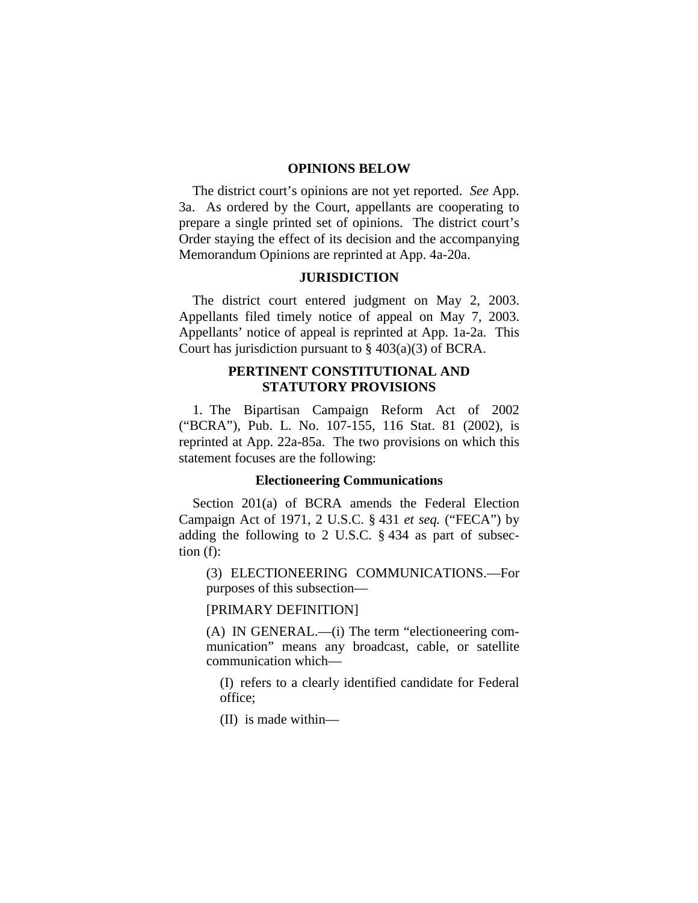#### **OPINIONS BELOW**

The district court's opinions are not yet reported. *See* App. 3a. As ordered by the Court, appellants are cooperating to prepare a single printed set of opinions. The district court's Order staying the effect of its decision and the accompanying Memorandum Opinions are reprinted at App. 4a-20a.

### **JURISDICTION**

The district court entered judgment on May 2, 2003. Appellants filed timely notice of appeal on May 7, 2003. Appellants' notice of appeal is reprinted at App. 1a-2a. This Court has jurisdiction pursuant to  $\S$  403(a)(3) of BCRA.

## **PERTINENT CONSTITUTIONAL AND STATUTORY PROVISIONS**

1. The Bipartisan Campaign Reform Act of 2002 ("BCRA"), Pub. L. No. 107-155, 116 Stat. 81 (2002), is reprinted at App. 22a-85a. The two provisions on which this statement focuses are the following:

#### **Electioneering Communications**

Section 201(a) of BCRA amends the Federal Election Campaign Act of 1971, 2 U.S.C. § 431 *et seq.* ("FECA") by adding the following to 2 U.S.C. § 434 as part of subsection (f):

(3) ELECTIONEERING COMMUNICATIONS.—For purposes of this subsection—

[PRIMARY DEFINITION]

(A) IN GENERAL.—(i) The term "electioneering communication" means any broadcast, cable, or satellite communication which—

(I) refers to a clearly identified candidate for Federal office;

(II) is made within—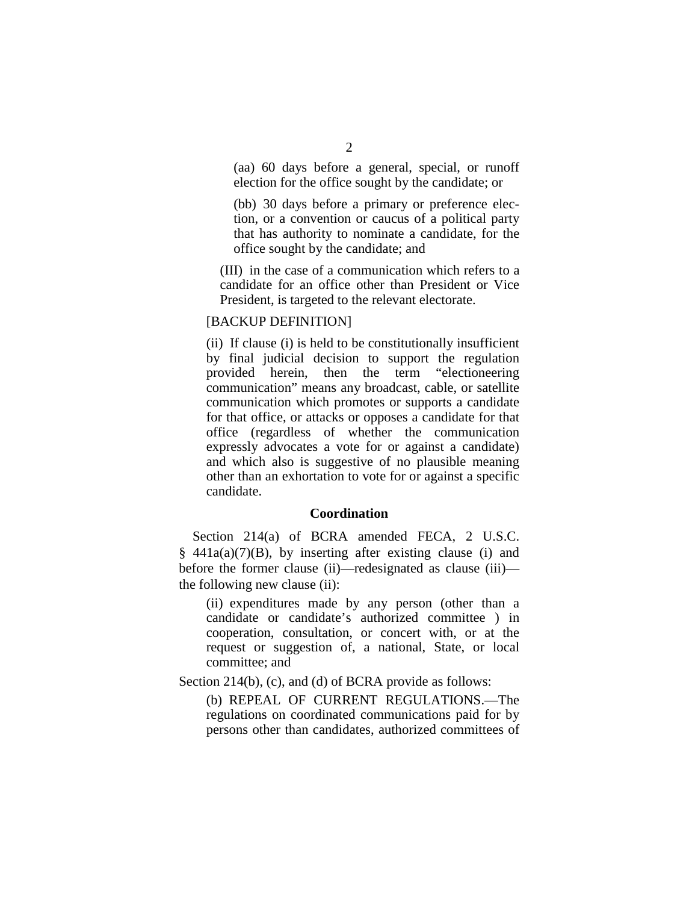(aa) 60 days before a general, special, or runoff election for the office sought by the candidate; or

(bb) 30 days before a primary or preference election, or a convention or caucus of a political party that has authority to nominate a candidate, for the office sought by the candidate; and

(III) in the case of a communication which refers to a candidate for an office other than President or Vice President, is targeted to the relevant electorate.

#### [BACKUP DEFINITION]

(ii) If clause (i) is held to be constitutionally insufficient by final judicial decision to support the regulation provided herein, then the term "electioneering communication" means any broadcast, cable, or satellite communication which promotes or supports a candidate for that office, or attacks or opposes a candidate for that office (regardless of whether the communication expressly advocates a vote for or against a candidate) and which also is suggestive of no plausible meaning other than an exhortation to vote for or against a specific candidate.

#### **Coordination**

Section 214(a) of BCRA amended FECA, 2 U.S.C.  $§$  441a(a)(7)(B), by inserting after existing clause (i) and before the former clause (ii)—redesignated as clause (iii) the following new clause (ii):

(ii) expenditures made by any person (other than a candidate or candidate's authorized committee ) in cooperation, consultation, or concert with, or at the request or suggestion of, a national, State, or local committee; and

Section 214(b), (c), and (d) of BCRA provide as follows:

(b) REPEAL OF CURRENT REGULATIONS.—The regulations on coordinated communications paid for by persons other than candidates, authorized committees of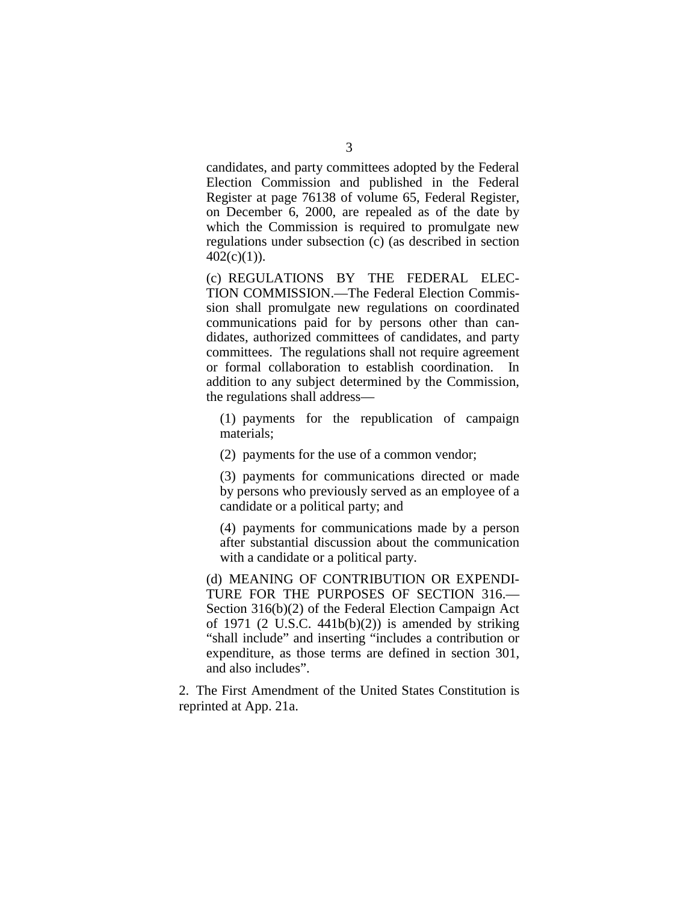candidates, and party committees adopted by the Federal Election Commission and published in the Federal Register at page 76138 of volume 65, Federal Register, on December 6, 2000, are repealed as of the date by which the Commission is required to promulgate new regulations under subsection (c) (as described in section  $402(c)(1)$ ).

(c) REGULATIONS BY THE FEDERAL ELEC-TION COMMISSION.—The Federal Election Commission shall promulgate new regulations on coordinated communications paid for by persons other than candidates, authorized committees of candidates, and party committees. The regulations shall not require agreement or formal collaboration to establish coordination. In addition to any subject determined by the Commission, the regulations shall address—

(1) payments for the republication of campaign materials;

(2) payments for the use of a common vendor;

(3) payments for communications directed or made by persons who previously served as an employee of a candidate or a political party; and

(4) payments for communications made by a person after substantial discussion about the communication with a candidate or a political party.

(d) MEANING OF CONTRIBUTION OR EXPENDI-TURE FOR THE PURPOSES OF SECTION 316.— Section 316(b)(2) of the Federal Election Campaign Act of 1971 (2 U.S.C.  $441b(b)(2)$ ) is amended by striking "shall include" and inserting "includes a contribution or expenditure, as those terms are defined in section 301, and also includes".

2. The First Amendment of the United States Constitution is reprinted at App. 21a.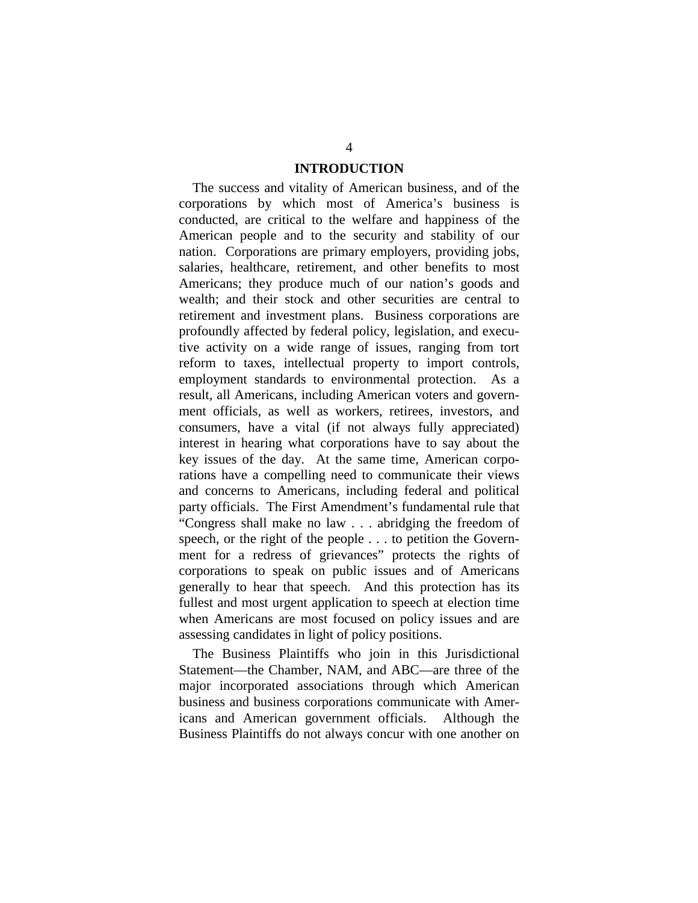### **INTRODUCTION**

The success and vitality of American business, and of the corporations by which most of America's business is conducted, are critical to the welfare and happiness of the American people and to the security and stability of our nation. Corporations are primary employers, providing jobs, salaries, healthcare, retirement, and other benefits to most Americans; they produce much of our nation's goods and wealth; and their stock and other securities are central to retirement and investment plans. Business corporations are profoundly affected by federal policy, legislation, and executive activity on a wide range of issues, ranging from tort reform to taxes, intellectual property to import controls, employment standards to environmental protection. As a result, all Americans, including American voters and government officials, as well as workers, retirees, investors, and consumers, have a vital (if not always fully appreciated) interest in hearing what corporations have to say about the key issues of the day. At the same time, American corporations have a compelling need to communicate their views and concerns to Americans, including federal and political party officials. The First Amendment's fundamental rule that "Congress shall make no law . . . abridging the freedom of speech, or the right of the people . . . to petition the Government for a redress of grievances" protects the rights of corporations to speak on public issues and of Americans generally to hear that speech. And this protection has its fullest and most urgent application to speech at election time when Americans are most focused on policy issues and are assessing candidates in light of policy positions.

The Business Plaintiffs who join in this Jurisdictional Statement—the Chamber, NAM, and ABC—are three of the major incorporated associations through which American business and business corporations communicate with Americans and American government officials. Although the Business Plaintiffs do not always concur with one another on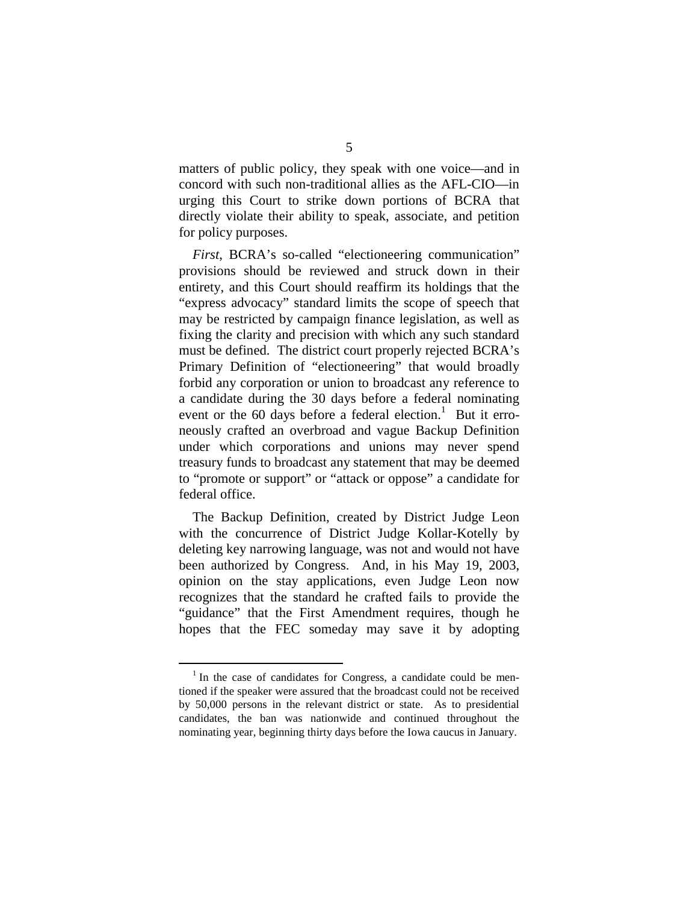matters of public policy, they speak with one voice—and in concord with such non-traditional allies as the AFL-CIO—in urging this Court to strike down portions of BCRA that directly violate their ability to speak, associate, and petition for policy purposes.

*First*, BCRA's so-called "electioneering communication" provisions should be reviewed and struck down in their entirety, and this Court should reaffirm its holdings that the "express advocacy" standard limits the scope of speech that may be restricted by campaign finance legislation, as well as fixing the clarity and precision with which any such standard must be defined. The district court properly rejected BCRA's Primary Definition of "electioneering" that would broadly forbid any corporation or union to broadcast any reference to a candidate during the 30 days before a federal nominating event or the 60 days before a federal election.<sup>1</sup> But it erroneously crafted an overbroad and vague Backup Definition under which corporations and unions may never spend treasury funds to broadcast any statement that may be deemed to "promote or support" or "attack or oppose" a candidate for federal office.

The Backup Definition, created by District Judge Leon with the concurrence of District Judge Kollar-Kotelly by deleting key narrowing language, was not and would not have been authorized by Congress. And, in his May 19, 2003, opinion on the stay applications, even Judge Leon now recognizes that the standard he crafted fails to provide the "guidance" that the First Amendment requires, though he hopes that the FEC someday may save it by adopting

 $1$  In the case of candidates for Congress, a candidate could be mentioned if the speaker were assured that the broadcast could not be received by 50,000 persons in the relevant district or state. As to presidential candidates, the ban was nationwide and continued throughout the nominating year, beginning thirty days before the Iowa caucus in January.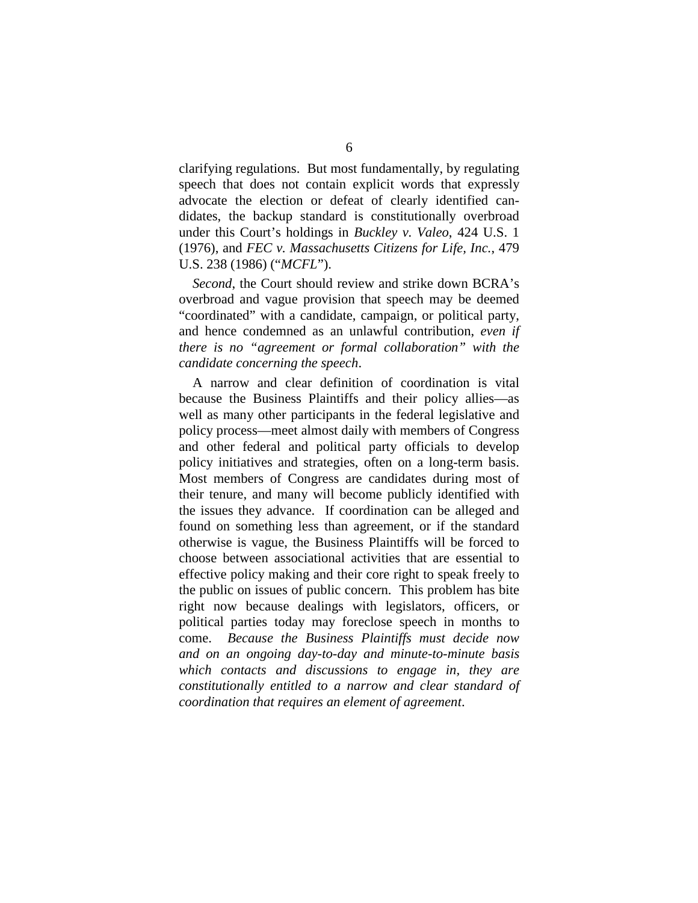clarifying regulations. But most fundamentally, by regulating speech that does not contain explicit words that expressly advocate the election or defeat of clearly identified candidates, the backup standard is constitutionally overbroad under this Court's holdings in *Buckley v. Valeo*, 424 U.S. 1 (1976), and *FEC v. Massachusetts Citizens for Life, Inc.*, 479 U.S. 238 (1986) ("*MCFL*").

*Second*, the Court should review and strike down BCRA's overbroad and vague provision that speech may be deemed "coordinated" with a candidate, campaign, or political party, and hence condemned as an unlawful contribution, *even if there is no "agreement or formal collaboration" with the candidate concerning the speech*.

A narrow and clear definition of coordination is vital because the Business Plaintiffs and their policy allies—as well as many other participants in the federal legislative and policy process—meet almost daily with members of Congress and other federal and political party officials to develop policy initiatives and strategies, often on a long-term basis. Most members of Congress are candidates during most of their tenure, and many will become publicly identified with the issues they advance. If coordination can be alleged and found on something less than agreement, or if the standard otherwise is vague, the Business Plaintiffs will be forced to choose between associational activities that are essential to effective policy making and their core right to speak freely to the public on issues of public concern. This problem has bite right now because dealings with legislators, officers, or political parties today may foreclose speech in months to come. *Because the Business Plaintiffs must decide now and on an ongoing day-to-day and minute-to-minute basis which contacts and discussions to engage in, they are constitutionally entitled to a narrow and clear standard of coordination that requires an element of agreement*.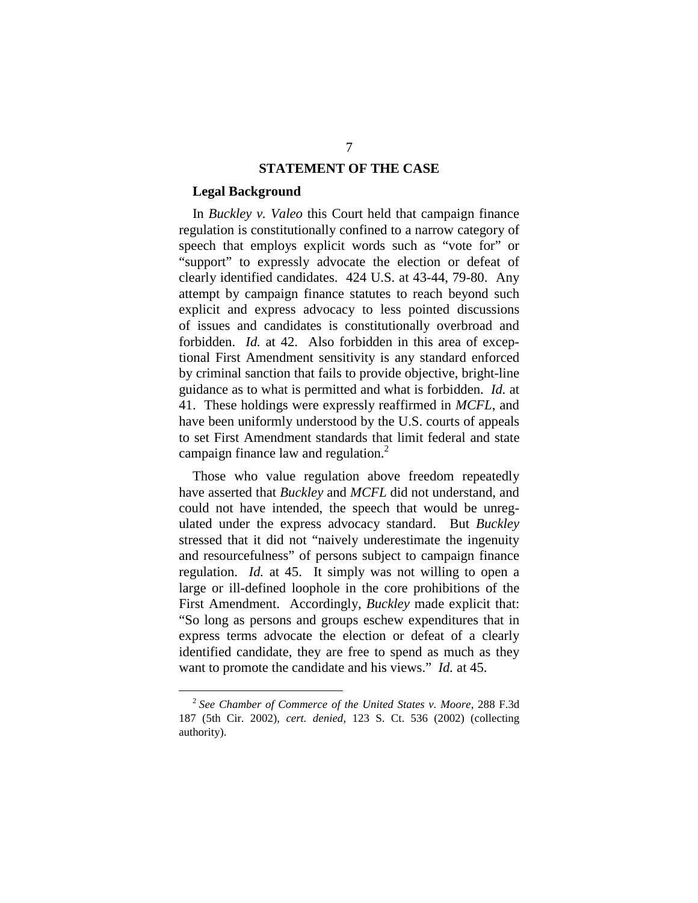#### **STATEMENT OF THE CASE**

#### **Legal Background**

In *Buckley v. Valeo* this Court held that campaign finance regulation is constitutionally confined to a narrow category of speech that employs explicit words such as "vote for" or "support" to expressly advocate the election or defeat of clearly identified candidates. 424 U.S. at 43-44, 79-80. Any attempt by campaign finance statutes to reach beyond such explicit and express advocacy to less pointed discussions of issues and candidates is constitutionally overbroad and forbidden. *Id.* at 42. Also forbidden in this area of exceptional First Amendment sensitivity is any standard enforced by criminal sanction that fails to provide objective, bright-line guidance as to what is permitted and what is forbidden. *Id.* at 41. These holdings were expressly reaffirmed in *MCFL*, and have been uniformly understood by the U.S. courts of appeals to set First Amendment standards that limit federal and state campaign finance law and regulation. $<sup>2</sup>$ </sup>

Those who value regulation above freedom repeatedly have asserted that *Buckley* and *MCFL* did not understand, and could not have intended, the speech that would be unregulated under the express advocacy standard. But *Buckley*  stressed that it did not "naively underestimate the ingenuity and resourcefulness" of persons subject to campaign finance regulation. *Id.* at 45. It simply was not willing to open a large or ill-defined loophole in the core prohibitions of the First Amendment. Accordingly, *Buckley* made explicit that: "So long as persons and groups eschew expenditures that in express terms advocate the election or defeat of a clearly identified candidate, they are free to spend as much as they want to promote the candidate and his views." *Id.* at 45.

<sup>2</sup>*See Chamber of Commerce of the United States v. Moore*, 288 F.3d 187 (5th Cir. 2002), *cert. denied*, 123 S. Ct. 536 (2002) (collecting authority).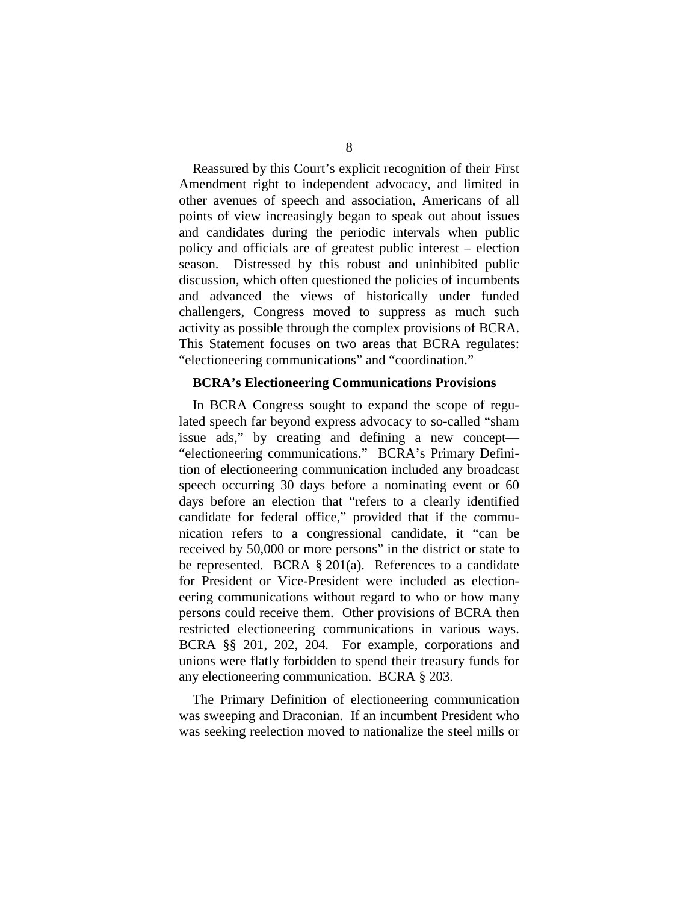Reassured by this Court's explicit recognition of their First Amendment right to independent advocacy, and limited in other avenues of speech and association, Americans of all points of view increasingly began to speak out about issues and candidates during the periodic intervals when public policy and officials are of greatest public interest – election season. Distressed by this robust and uninhibited public discussion, which often questioned the policies of incumbents and advanced the views of historically under funded challengers, Congress moved to suppress as much such activity as possible through the complex provisions of BCRA. This Statement focuses on two areas that BCRA regulates: "electioneering communications" and "coordination."

#### **BCRA's Electioneering Communications Provisions**

In BCRA Congress sought to expand the scope of regulated speech far beyond express advocacy to so-called "sham issue ads," by creating and defining a new concept— "electioneering communications." BCRA's Primary Definition of electioneering communication included any broadcast speech occurring 30 days before a nominating event or 60 days before an election that "refers to a clearly identified candidate for federal office," provided that if the communication refers to a congressional candidate, it "can be received by 50,000 or more persons" in the district or state to be represented. BCRA  $\S 201(a)$ . References to a candidate for President or Vice-President were included as electioneering communications without regard to who or how many persons could receive them. Other provisions of BCRA then restricted electioneering communications in various ways. BCRA §§ 201, 202, 204. For example, corporations and unions were flatly forbidden to spend their treasury funds for any electioneering communication. BCRA § 203.

The Primary Definition of electioneering communication was sweeping and Draconian. If an incumbent President who was seeking reelection moved to nationalize the steel mills or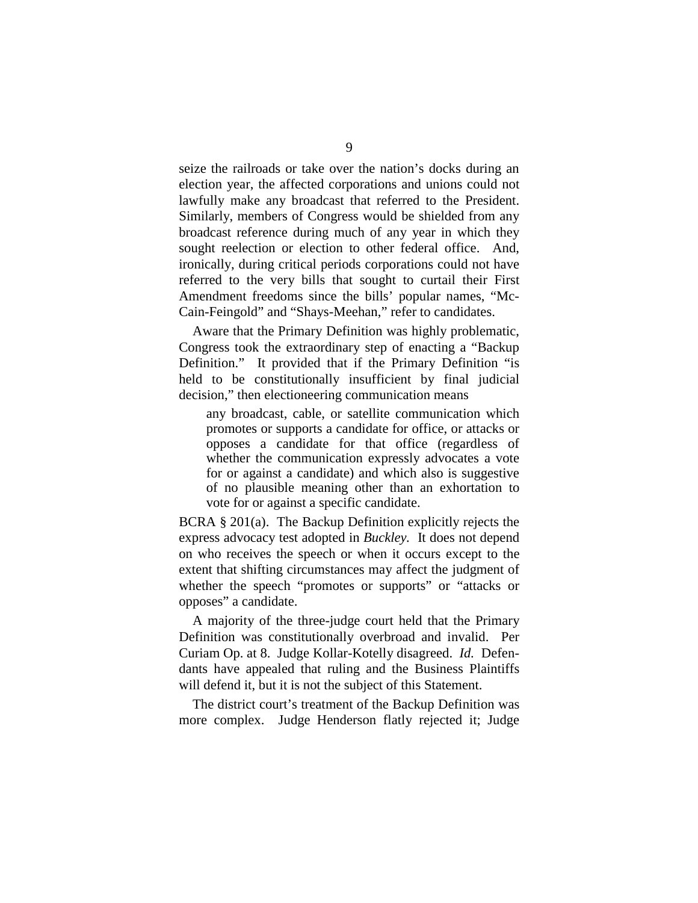seize the railroads or take over the nation's docks during an election year, the affected corporations and unions could not lawfully make any broadcast that referred to the President. Similarly, members of Congress would be shielded from any broadcast reference during much of any year in which they sought reelection or election to other federal office. And, ironically, during critical periods corporations could not have referred to the very bills that sought to curtail their First Amendment freedoms since the bills' popular names, "Mc-Cain-Feingold" and "Shays-Meehan," refer to candidates.

Aware that the Primary Definition was highly problematic, Congress took the extraordinary step of enacting a "Backup Definition." It provided that if the Primary Definition "is held to be constitutionally insufficient by final judicial decision," then electioneering communication means

any broadcast, cable, or satellite communication which promotes or supports a candidate for office, or attacks or opposes a candidate for that office (regardless of whether the communication expressly advocates a vote for or against a candidate) and which also is suggestive of no plausible meaning other than an exhortation to vote for or against a specific candidate.

BCRA § 201(a). The Backup Definition explicitly rejects the express advocacy test adopted in *Buckley.* It does not depend on who receives the speech or when it occurs except to the extent that shifting circumstances may affect the judgment of whether the speech "promotes or supports" or "attacks or opposes" a candidate.

A majority of the three-judge court held that the Primary Definition was constitutionally overbroad and invalid. Per Curiam Op. at 8. Judge Kollar-Kotelly disagreed. *Id.* Defendants have appealed that ruling and the Business Plaintiffs will defend it, but it is not the subject of this Statement.

The district court's treatment of the Backup Definition was more complex. Judge Henderson flatly rejected it; Judge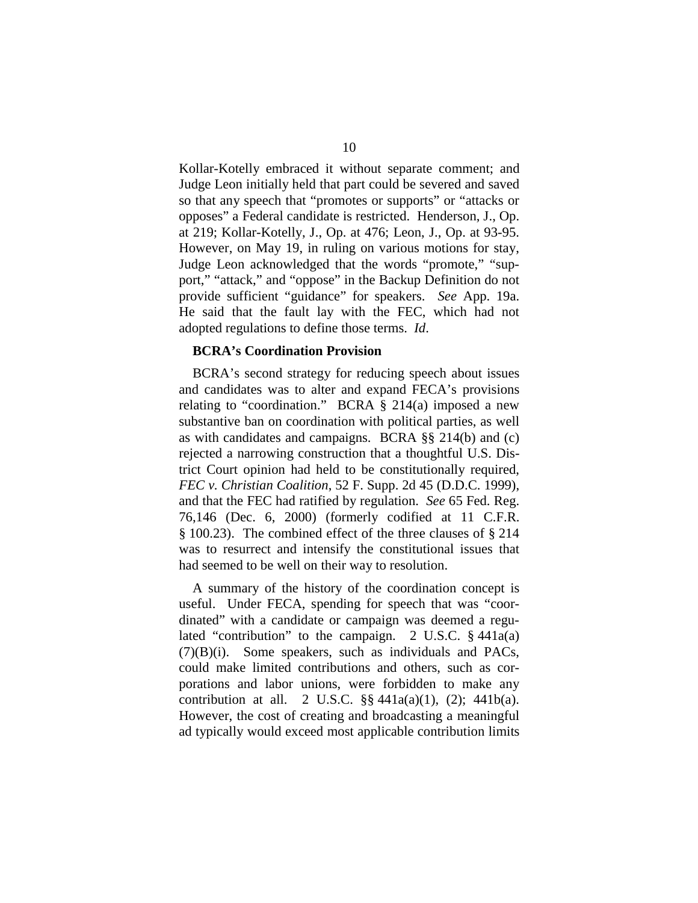Kollar-Kotelly embraced it without separate comment; and Judge Leon initially held that part could be severed and saved so that any speech that "promotes or supports" or "attacks or opposes" a Federal candidate is restricted. Henderson, J., Op. at 219; Kollar-Kotelly, J., Op. at 476; Leon, J., Op. at 93-95. However, on May 19, in ruling on various motions for stay, Judge Leon acknowledged that the words "promote," "support," "attack," and "oppose" in the Backup Definition do not provide sufficient "guidance" for speakers. *See* App. 19a. He said that the fault lay with the FEC, which had not adopted regulations to define those terms. *Id*.

#### **BCRA's Coordination Provision**

BCRA's second strategy for reducing speech about issues and candidates was to alter and expand FECA's provisions relating to "coordination." BCRA  $\S$  214(a) imposed a new substantive ban on coordination with political parties, as well as with candidates and campaigns. BCRA §§ 214(b) and (c) rejected a narrowing construction that a thoughtful U.S. District Court opinion had held to be constitutionally required, *FEC v. Christian Coalition*, 52 F. Supp. 2d 45 (D.D.C. 1999), and that the FEC had ratified by regulation. *See* 65 Fed. Reg. 76,146 (Dec. 6, 2000) (formerly codified at 11 C.F.R. § 100.23). The combined effect of the three clauses of § 214 was to resurrect and intensify the constitutional issues that had seemed to be well on their way to resolution.

A summary of the history of the coordination concept is useful. Under FECA, spending for speech that was "coordinated" with a candidate or campaign was deemed a regulated "contribution" to the campaign. 2 U.S.C. § 441a(a) (7)(B)(i). Some speakers, such as individuals and PACs, could make limited contributions and others, such as corporations and labor unions, were forbidden to make any contribution at all. 2 U.S.C.  $\S$ § 441a(a)(1), (2); 441b(a). However, the cost of creating and broadcasting a meaningful ad typically would exceed most applicable contribution limits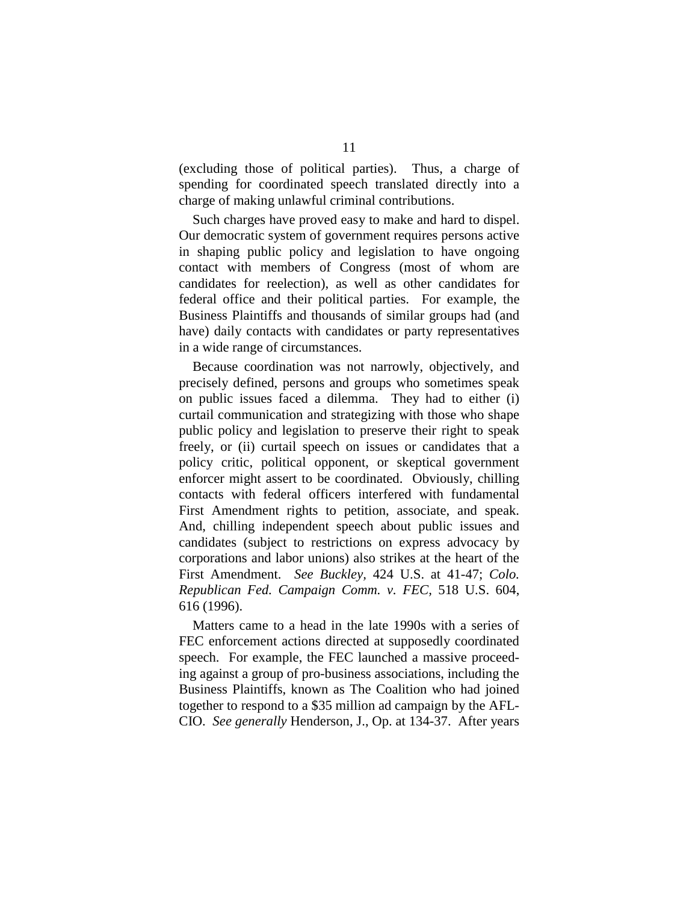(excluding those of political parties). Thus, a charge of spending for coordinated speech translated directly into a charge of making unlawful criminal contributions.

Such charges have proved easy to make and hard to dispel. Our democratic system of government requires persons active in shaping public policy and legislation to have ongoing contact with members of Congress (most of whom are candidates for reelection), as well as other candidates for federal office and their political parties. For example, the Business Plaintiffs and thousands of similar groups had (and have) daily contacts with candidates or party representatives in a wide range of circumstances.

Because coordination was not narrowly, objectively, and precisely defined, persons and groups who sometimes speak on public issues faced a dilemma. They had to either (i) curtail communication and strategizing with those who shape public policy and legislation to preserve their right to speak freely, or (ii) curtail speech on issues or candidates that a policy critic, political opponent, or skeptical government enforcer might assert to be coordinated. Obviously, chilling contacts with federal officers interfered with fundamental First Amendment rights to petition, associate, and speak. And, chilling independent speech about public issues and candidates (subject to restrictions on express advocacy by corporations and labor unions) also strikes at the heart of the First Amendment. *See Buckley,* 424 U.S. at 41-47; *Colo. Republican Fed. Campaign Comm. v. FEC,* 518 U.S. 604, 616 (1996).

Matters came to a head in the late 1990s with a series of FEC enforcement actions directed at supposedly coordinated speech. For example, the FEC launched a massive proceeding against a group of pro-business associations, including the Business Plaintiffs, known as The Coalition who had joined together to respond to a \$35 million ad campaign by the AFL-CIO. *See generally* Henderson, J., Op. at 134-37. After years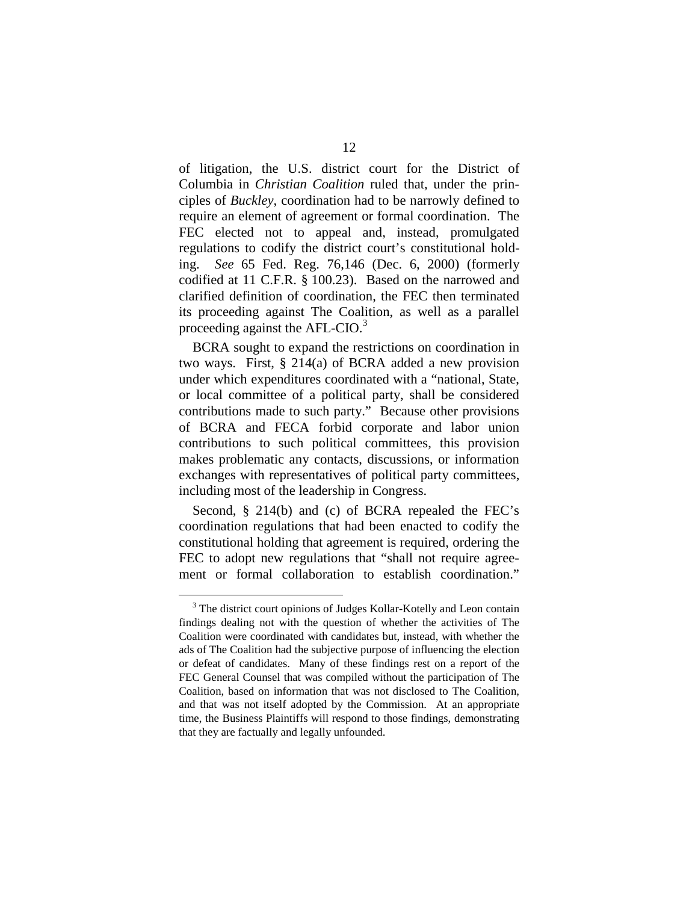of litigation, the U.S. district court for the District of Columbia in *Christian Coalition* ruled that, under the principles of *Buckley*, coordination had to be narrowly defined to require an element of agreement or formal coordination. The FEC elected not to appeal and, instead, promulgated regulations to codify the district court's constitutional holding. *See* 65 Fed. Reg. 76,146 (Dec. 6, 2000) (formerly codified at 11 C.F.R. § 100.23). Based on the narrowed and clarified definition of coordination, the FEC then terminated its proceeding against The Coalition, as well as a parallel proceeding against the AFL-CIO.<sup>3</sup>

BCRA sought to expand the restrictions on coordination in two ways. First, § 214(a) of BCRA added a new provision under which expenditures coordinated with a "national, State, or local committee of a political party, shall be considered contributions made to such party." Because other provisions of BCRA and FECA forbid corporate and labor union contributions to such political committees, this provision makes problematic any contacts, discussions, or information exchanges with representatives of political party committees, including most of the leadership in Congress.

Second, § 214(b) and (c) of BCRA repealed the FEC's coordination regulations that had been enacted to codify the constitutional holding that agreement is required, ordering the FEC to adopt new regulations that "shall not require agreement or formal collaboration to establish coordination."

<sup>&</sup>lt;sup>3</sup> The district court opinions of Judges Kollar-Kotelly and Leon contain findings dealing not with the question of whether the activities of The Coalition were coordinated with candidates but, instead, with whether the ads of The Coalition had the subjective purpose of influencing the election or defeat of candidates. Many of these findings rest on a report of the FEC General Counsel that was compiled without the participation of The Coalition, based on information that was not disclosed to The Coalition, and that was not itself adopted by the Commission. At an appropriate time, the Business Plaintiffs will respond to those findings, demonstrating that they are factually and legally unfounded.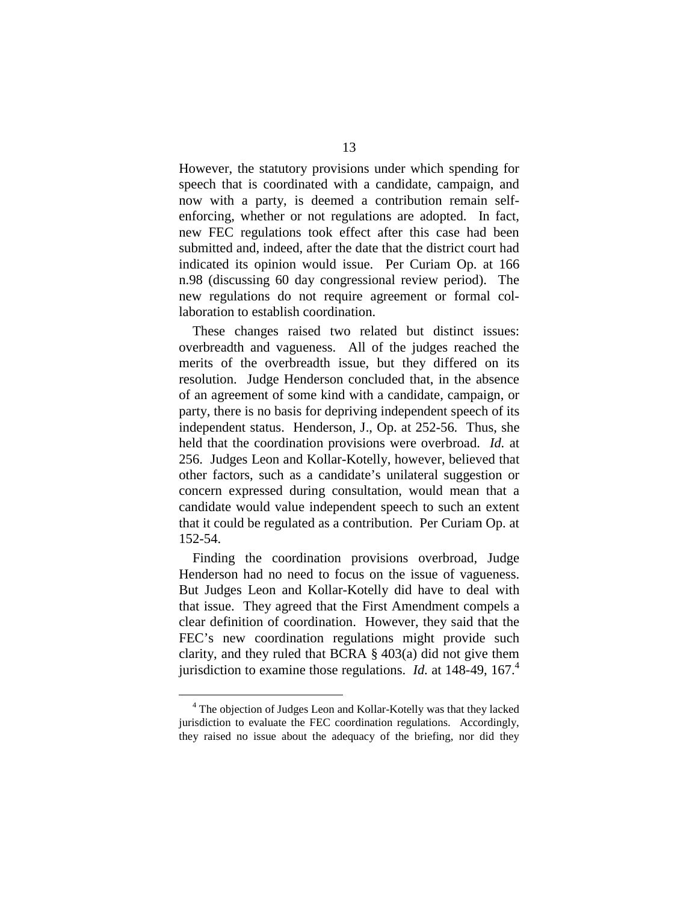However, the statutory provisions under which spending for speech that is coordinated with a candidate, campaign, and now with a party, is deemed a contribution remain selfenforcing, whether or not regulations are adopted. In fact, new FEC regulations took effect after this case had been submitted and, indeed, after the date that the district court had indicated its opinion would issue. Per Curiam Op. at 166 n.98 (discussing 60 day congressional review period). The new regulations do not require agreement or formal collaboration to establish coordination.

These changes raised two related but distinct issues: overbreadth and vagueness. All of the judges reached the merits of the overbreadth issue, but they differed on its resolution. Judge Henderson concluded that, in the absence of an agreement of some kind with a candidate, campaign, or party, there is no basis for depriving independent speech of its independent status. Henderson, J., Op. at 252-56. Thus, she held that the coordination provisions were overbroad. *Id.* at 256. Judges Leon and Kollar-Kotelly, however, believed that other factors, such as a candidate's unilateral suggestion or concern expressed during consultation, would mean that a candidate would value independent speech to such an extent that it could be regulated as a contribution. Per Curiam Op. at 152-54.

Finding the coordination provisions overbroad, Judge Henderson had no need to focus on the issue of vagueness. But Judges Leon and Kollar-Kotelly did have to deal with that issue. They agreed that the First Amendment compels a clear definition of coordination. However, they said that the FEC's new coordination regulations might provide such clarity, and they ruled that BCRA § 403(a) did not give them jurisdiction to examine those regulations. *Id.* at 148-49, 167.<sup>4</sup>

<sup>&</sup>lt;sup>4</sup> The objection of Judges Leon and Kollar-Kotelly was that they lacked jurisdiction to evaluate the FEC coordination regulations. Accordingly, they raised no issue about the adequacy of the briefing, nor did they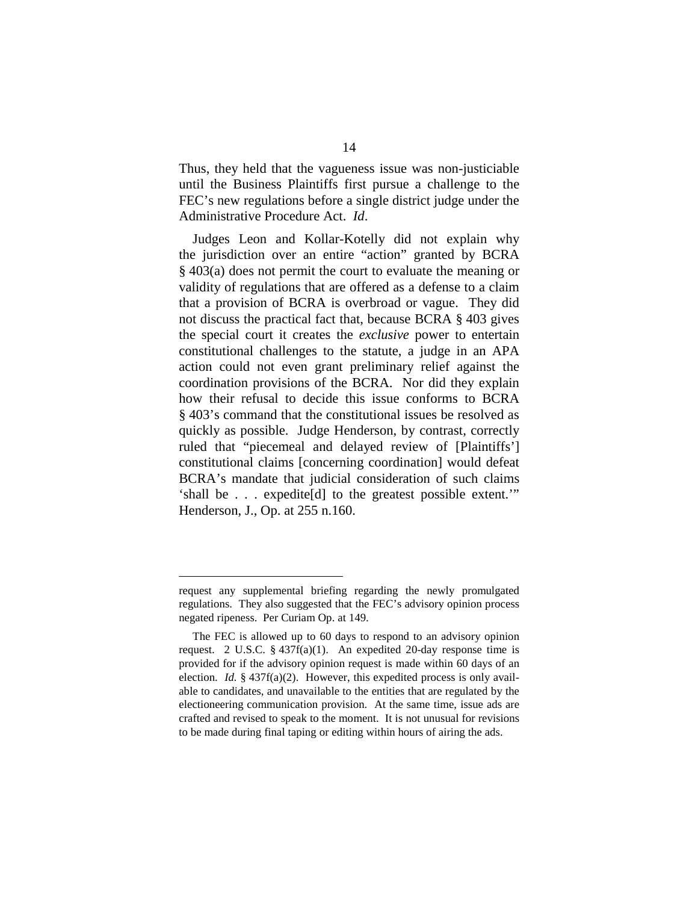Thus, they held that the vagueness issue was non-justiciable until the Business Plaintiffs first pursue a challenge to the FEC's new regulations before a single district judge under the Administrative Procedure Act. *Id*.

Judges Leon and Kollar-Kotelly did not explain why the jurisdiction over an entire "action" granted by BCRA § 403(a) does not permit the court to evaluate the meaning or validity of regulations that are offered as a defense to a claim that a provision of BCRA is overbroad or vague. They did not discuss the practical fact that, because BCRA § 403 gives the special court it creates the *exclusive* power to entertain constitutional challenges to the statute, a judge in an APA action could not even grant preliminary relief against the coordination provisions of the BCRA. Nor did they explain how their refusal to decide this issue conforms to BCRA § 403's command that the constitutional issues be resolved as quickly as possible. Judge Henderson, by contrast, correctly ruled that "piecemeal and delayed review of [Plaintiffs'] constitutional claims [concerning coordination] would defeat BCRA's mandate that judicial consideration of such claims 'shall be . . . expedite[d] to the greatest possible extent.'" Henderson, J., Op. at 255 n.160.

request any supplemental briefing regarding the newly promulgated regulations. They also suggested that the FEC's advisory opinion process negated ripeness. Per Curiam Op. at 149.

The FEC is allowed up to 60 days to respond to an advisory opinion request. 2 U.S.C. § 437f(a)(1). An expedited 20-day response time is provided for if the advisory opinion request is made within 60 days of an election. *Id.* § 437f(a)(2). However, this expedited process is only available to candidates, and unavailable to the entities that are regulated by the electioneering communication provision. At the same time, issue ads are crafted and revised to speak to the moment. It is not unusual for revisions to be made during final taping or editing within hours of airing the ads.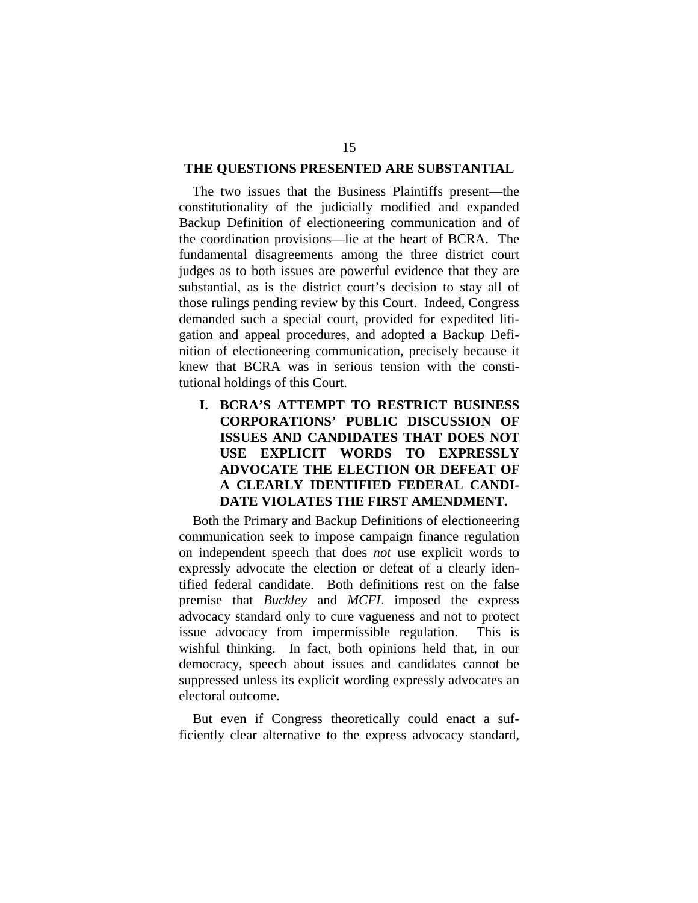## **THE QUESTIONS PRESENTED ARE SUBSTANTIAL**

The two issues that the Business Plaintiffs present—the constitutionality of the judicially modified and expanded Backup Definition of electioneering communication and of the coordination provisions—lie at the heart of BCRA. The fundamental disagreements among the three district court judges as to both issues are powerful evidence that they are substantial, as is the district court's decision to stay all of those rulings pending review by this Court. Indeed, Congress demanded such a special court, provided for expedited litigation and appeal procedures, and adopted a Backup Definition of electioneering communication, precisely because it knew that BCRA was in serious tension with the constitutional holdings of this Court.

**I. BCRA'S ATTEMPT TO RESTRICT BUSINESS CORPORATIONS' PUBLIC DISCUSSION OF ISSUES AND CANDIDATES THAT DOES NOT USE EXPLICIT WORDS TO EXPRESSLY ADVOCATE THE ELECTION OR DEFEAT OF A CLEARLY IDENTIFIED FEDERAL CANDI-DATE VIOLATES THE FIRST AMENDMENT.** 

Both the Primary and Backup Definitions of electioneering communication seek to impose campaign finance regulation on independent speech that does *not* use explicit words to expressly advocate the election or defeat of a clearly identified federal candidate. Both definitions rest on the false premise that *Buckley* and *MCFL* imposed the express advocacy standard only to cure vagueness and not to protect issue advocacy from impermissible regulation. This is wishful thinking. In fact, both opinions held that, in our democracy, speech about issues and candidates cannot be suppressed unless its explicit wording expressly advocates an electoral outcome.

But even if Congress theoretically could enact a sufficiently clear alternative to the express advocacy standard,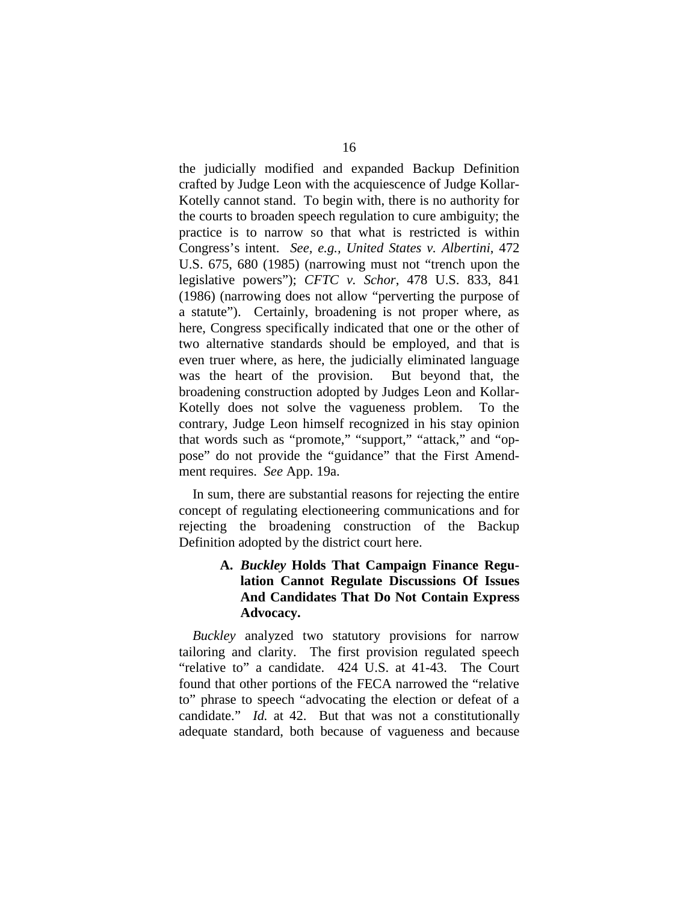the judicially modified and expanded Backup Definition crafted by Judge Leon with the acquiescence of Judge Kollar-Kotelly cannot stand. To begin with, there is no authority for the courts to broaden speech regulation to cure ambiguity; the practice is to narrow so that what is restricted is within Congress's intent. *See, e.g., United States v. Albertini*, 472 U.S. 675, 680 (1985) (narrowing must not "trench upon the legislative powers"); *CFTC v. Schor*, 478 U.S. 833, 841 (1986) (narrowing does not allow "perverting the purpose of a statute"). Certainly, broadening is not proper where, as here, Congress specifically indicated that one or the other of two alternative standards should be employed, and that is even truer where, as here, the judicially eliminated language was the heart of the provision. But beyond that, the broadening construction adopted by Judges Leon and Kollar-Kotelly does not solve the vagueness problem. To the contrary, Judge Leon himself recognized in his stay opinion that words such as "promote," "support," "attack," and "oppose" do not provide the "guidance" that the First Amendment requires. *See* App. 19a.

In sum, there are substantial reasons for rejecting the entire concept of regulating electioneering communications and for rejecting the broadening construction of the Backup Definition adopted by the district court here.

# **A.**  *Buckley* **Holds That Campaign Finance Regulation Cannot Regulate Discussions Of Issues And Candidates That Do Not Contain Express Advocacy.**

*Buckley* analyzed two statutory provisions for narrow tailoring and clarity. The first provision regulated speech "relative to" a candidate. 424 U.S. at 41-43. The Court found that other portions of the FECA narrowed the "relative to" phrase to speech "advocating the election or defeat of a candidate." *Id.* at 42. But that was not a constitutionally adequate standard, both because of vagueness and because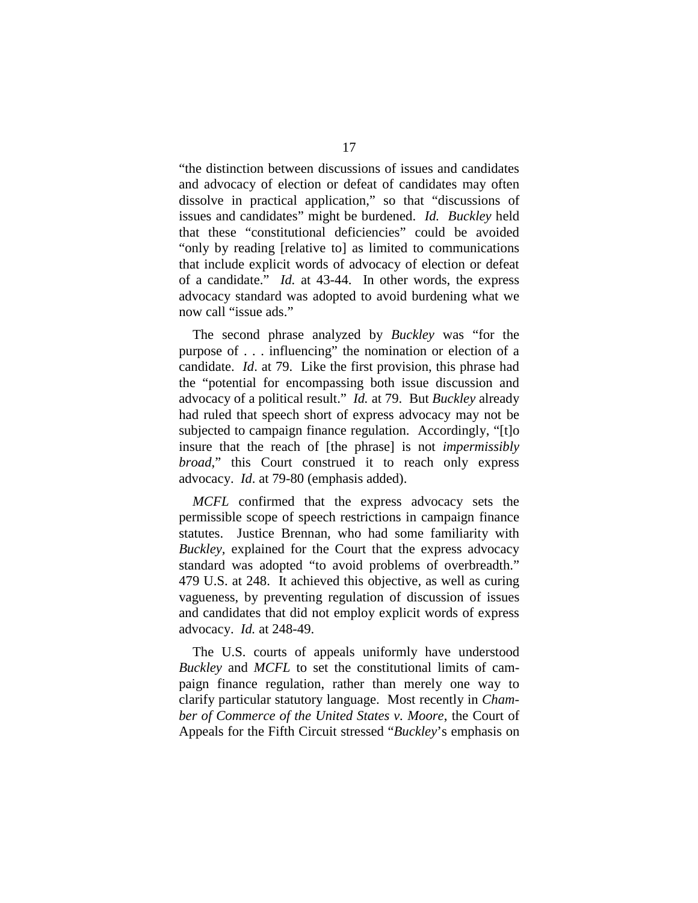"the distinction between discussions of issues and candidates and advocacy of election or defeat of candidates may often dissolve in practical application," so that "discussions of issues and candidates" might be burdened. *Id. Buckley* held that these "constitutional deficiencies" could be avoided "only by reading [relative to] as limited to communications that include explicit words of advocacy of election or defeat of a candidate." *Id.* at 43-44. In other words, the express advocacy standard was adopted to avoid burdening what we now call "issue ads."

The second phrase analyzed by *Buckley* was "for the purpose of . . . influencing" the nomination or election of a candidate. *Id*. at 79. Like the first provision, this phrase had the "potential for encompassing both issue discussion and advocacy of a political result." *Id.* at 79. But *Buckley* already had ruled that speech short of express advocacy may not be subjected to campaign finance regulation. Accordingly, "[t]o insure that the reach of [the phrase] is not *impermissibly broad*," this Court construed it to reach only express advocacy. *Id*. at 79-80 (emphasis added).

*MCFL* confirmed that the express advocacy sets the permissible scope of speech restrictions in campaign finance statutes. Justice Brennan, who had some familiarity with *Buckley,* explained for the Court that the express advocacy standard was adopted "to avoid problems of overbreadth." 479 U.S. at 248. It achieved this objective, as well as curing vagueness, by preventing regulation of discussion of issues and candidates that did not employ explicit words of express advocacy. *Id.* at 248-49.

The U.S. courts of appeals uniformly have understood *Buckley* and *MCFL* to set the constitutional limits of campaign finance regulation, rather than merely one way to clarify particular statutory language. Most recently in *Chamber of Commerce of the United States v. Moore*, the Court of Appeals for the Fifth Circuit stressed "*Buckley*'s emphasis on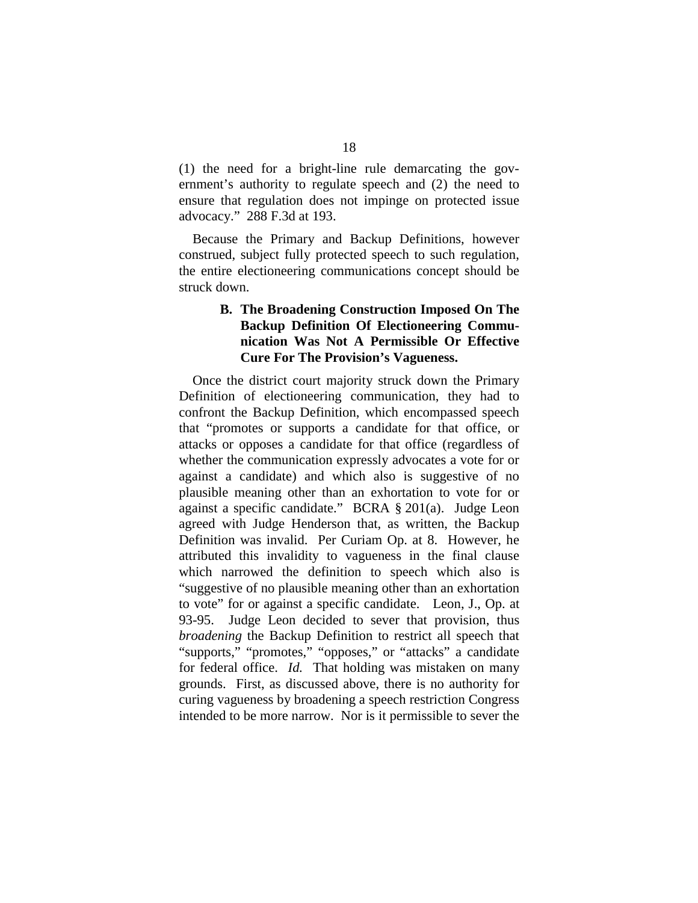(1) the need for a bright-line rule demarcating the government's authority to regulate speech and (2) the need to ensure that regulation does not impinge on protected issue advocacy." 288 F.3d at 193.

Because the Primary and Backup Definitions, however construed, subject fully protected speech to such regulation, the entire electioneering communications concept should be struck down.

## **B. The Broadening Construction Imposed On The Backup Definition Of Electioneering Communication Was Not A Permissible Or Effective Cure For The Provision's Vagueness.**

Once the district court majority struck down the Primary Definition of electioneering communication, they had to confront the Backup Definition, which encompassed speech that "promotes or supports a candidate for that office, or attacks or opposes a candidate for that office (regardless of whether the communication expressly advocates a vote for or against a candidate) and which also is suggestive of no plausible meaning other than an exhortation to vote for or against a specific candidate." BCRA § 201(a). Judge Leon agreed with Judge Henderson that, as written, the Backup Definition was invalid. Per Curiam Op. at 8. However, he attributed this invalidity to vagueness in the final clause which narrowed the definition to speech which also is "suggestive of no plausible meaning other than an exhortation to vote" for or against a specific candidate. Leon, J., Op. at 93-95. Judge Leon decided to sever that provision, thus *broadening* the Backup Definition to restrict all speech that "supports," "promotes," "opposes," or "attacks" a candidate for federal office. *Id.* That holding was mistaken on many grounds. First, as discussed above, there is no authority for curing vagueness by broadening a speech restriction Congress intended to be more narrow. Nor is it permissible to sever the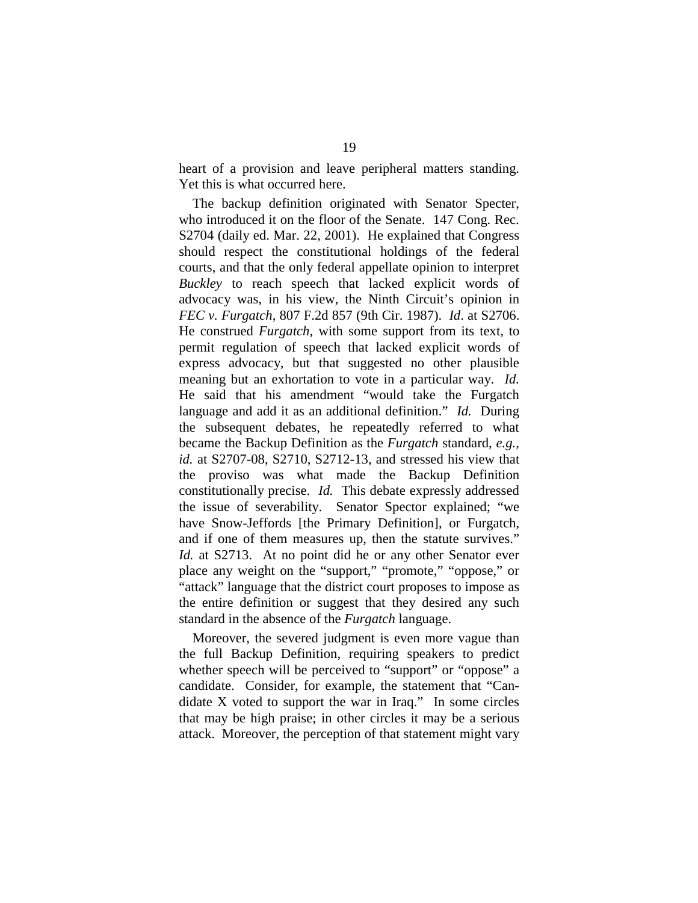heart of a provision and leave peripheral matters standing. Yet this is what occurred here.

The backup definition originated with Senator Specter, who introduced it on the floor of the Senate. 147 Cong. Rec. S2704 (daily ed. Mar. 22, 2001). He explained that Congress should respect the constitutional holdings of the federal courts, and that the only federal appellate opinion to interpret *Buckley* to reach speech that lacked explicit words of advocacy was, in his view, the Ninth Circuit's opinion in *FEC v. Furgatch*, 807 F.2d 857 (9th Cir. 1987). *Id*. at S2706. He construed *Furgatch*, with some support from its text, to permit regulation of speech that lacked explicit words of express advocacy, but that suggested no other plausible meaning but an exhortation to vote in a particular way. *Id.*  He said that his amendment "would take the Furgatch language and add it as an additional definition." *Id.* During the subsequent debates, he repeatedly referred to what became the Backup Definition as the *Furgatch* standard, *e.g.*, *id.* at S2707-08, S2710, S2712-13, and stressed his view that the proviso was what made the Backup Definition constitutionally precise. *Id.* This debate expressly addressed the issue of severability. Senator Spector explained; "we have Snow-Jeffords [the Primary Definition], or Furgatch, and if one of them measures up, then the statute survives." *Id.* at S2713. At no point did he or any other Senator ever place any weight on the "support," "promote," "oppose," or "attack" language that the district court proposes to impose as the entire definition or suggest that they desired any such standard in the absence of the *Furgatch* language.

Moreover, the severed judgment is even more vague than the full Backup Definition, requiring speakers to predict whether speech will be perceived to "support" or "oppose" a candidate. Consider, for example, the statement that "Candidate X voted to support the war in Iraq." In some circles that may be high praise; in other circles it may be a serious attack. Moreover, the perception of that statement might vary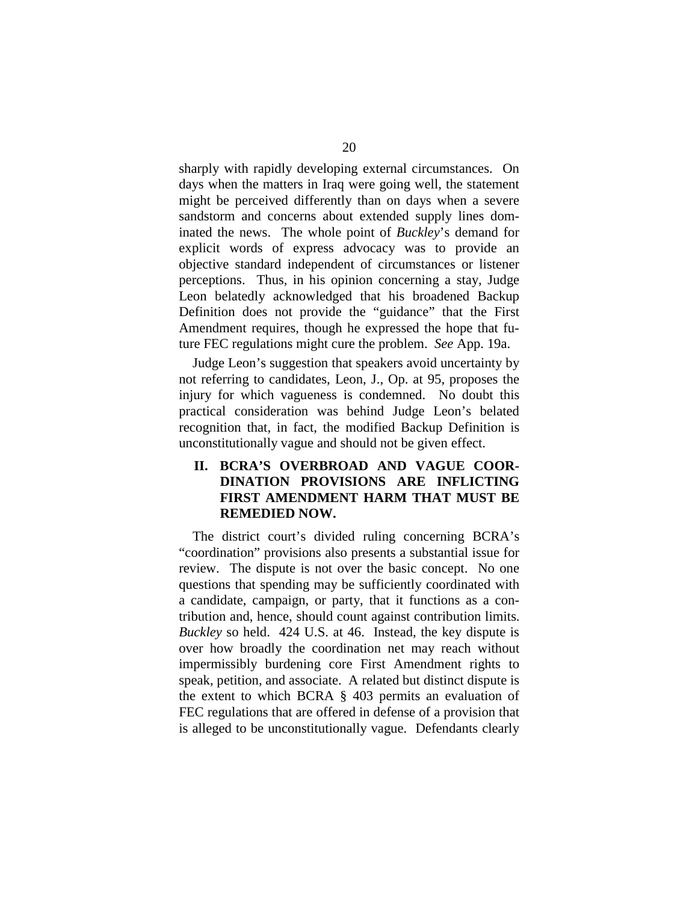sharply with rapidly developing external circumstances. On days when the matters in Iraq were going well, the statement might be perceived differently than on days when a severe sandstorm and concerns about extended supply lines dominated the news. The whole point of *Buckley*'s demand for explicit words of express advocacy was to provide an objective standard independent of circumstances or listener perceptions. Thus, in his opinion concerning a stay, Judge Leon belatedly acknowledged that his broadened Backup Definition does not provide the "guidance" that the First Amendment requires, though he expressed the hope that future FEC regulations might cure the problem. *See* App. 19a.

Judge Leon's suggestion that speakers avoid uncertainty by not referring to candidates, Leon, J., Op. at 95, proposes the injury for which vagueness is condemned. No doubt this practical consideration was behind Judge Leon's belated recognition that, in fact, the modified Backup Definition is unconstitutionally vague and should not be given effect.

# **II. BCRA'S OVERBROAD AND VAGUE COOR-DINATION PROVISIONS ARE INFLICTING FIRST AMENDMENT HARM THAT MUST BE REMEDIED NOW.**

The district court's divided ruling concerning BCRA's "coordination" provisions also presents a substantial issue for review. The dispute is not over the basic concept. No one questions that spending may be sufficiently coordinated with a candidate, campaign, or party, that it functions as a contribution and, hence, should count against contribution limits. *Buckley* so held. 424 U.S. at 46. Instead, the key dispute is over how broadly the coordination net may reach without impermissibly burdening core First Amendment rights to speak, petition, and associate. A related but distinct dispute is the extent to which BCRA § 403 permits an evaluation of FEC regulations that are offered in defense of a provision that is alleged to be unconstitutionally vague. Defendants clearly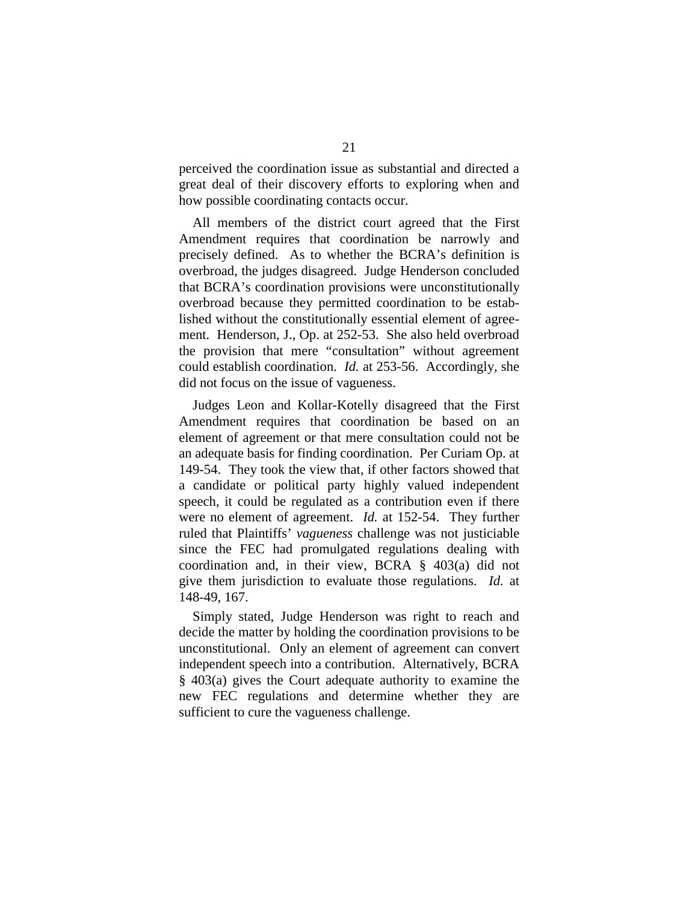perceived the coordination issue as substantial and directed a great deal of their discovery efforts to exploring when and how possible coordinating contacts occur.

All members of the district court agreed that the First Amendment requires that coordination be narrowly and precisely defined. As to whether the BCRA's definition is overbroad, the judges disagreed. Judge Henderson concluded that BCRA's coordination provisions were unconstitutionally overbroad because they permitted coordination to be established without the constitutionally essential element of agreement. Henderson, J., Op. at 252-53. She also held overbroad the provision that mere "consultation" without agreement could establish coordination. *Id.* at 253-56. Accordingly, she did not focus on the issue of vagueness.

Judges Leon and Kollar-Kotelly disagreed that the First Amendment requires that coordination be based on an element of agreement or that mere consultation could not be an adequate basis for finding coordination. Per Curiam Op. at 149-54. They took the view that, if other factors showed that a candidate or political party highly valued independent speech, it could be regulated as a contribution even if there were no element of agreement. *Id.* at 152-54. They further ruled that Plaintiffs' *vagueness* challenge was not justiciable since the FEC had promulgated regulations dealing with coordination and, in their view, BCRA § 403(a) did not give them jurisdiction to evaluate those regulations. *Id.* at 148-49, 167.

Simply stated, Judge Henderson was right to reach and decide the matter by holding the coordination provisions to be unconstitutional. Only an element of agreement can convert independent speech into a contribution. Alternatively, BCRA § 403(a) gives the Court adequate authority to examine the new FEC regulations and determine whether they are sufficient to cure the vagueness challenge.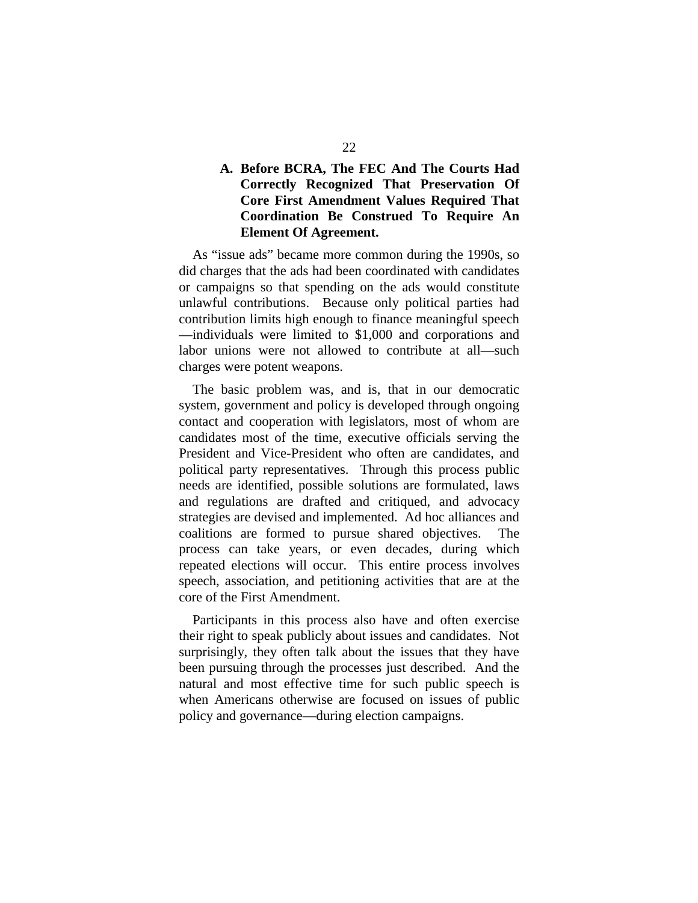# **A. Before BCRA, The FEC And The Courts Had Correctly Recognized That Preservation Of Core First Amendment Values Required That Coordination Be Construed To Require An Element Of Agreement.**

As "issue ads" became more common during the 1990s, so did charges that the ads had been coordinated with candidates or campaigns so that spending on the ads would constitute unlawful contributions. Because only political parties had contribution limits high enough to finance meaningful speech —individuals were limited to \$1,000 and corporations and labor unions were not allowed to contribute at all—such charges were potent weapons.

The basic problem was, and is, that in our democratic system, government and policy is developed through ongoing contact and cooperation with legislators, most of whom are candidates most of the time, executive officials serving the President and Vice-President who often are candidates, and political party representatives. Through this process public needs are identified, possible solutions are formulated, laws and regulations are drafted and critiqued, and advocacy strategies are devised and implemented. Ad hoc alliances and coalitions are formed to pursue shared objectives. The process can take years, or even decades, during which repeated elections will occur. This entire process involves speech, association, and petitioning activities that are at the core of the First Amendment.

Participants in this process also have and often exercise their right to speak publicly about issues and candidates. Not surprisingly, they often talk about the issues that they have been pursuing through the processes just described. And the natural and most effective time for such public speech is when Americans otherwise are focused on issues of public policy and governance—during election campaigns.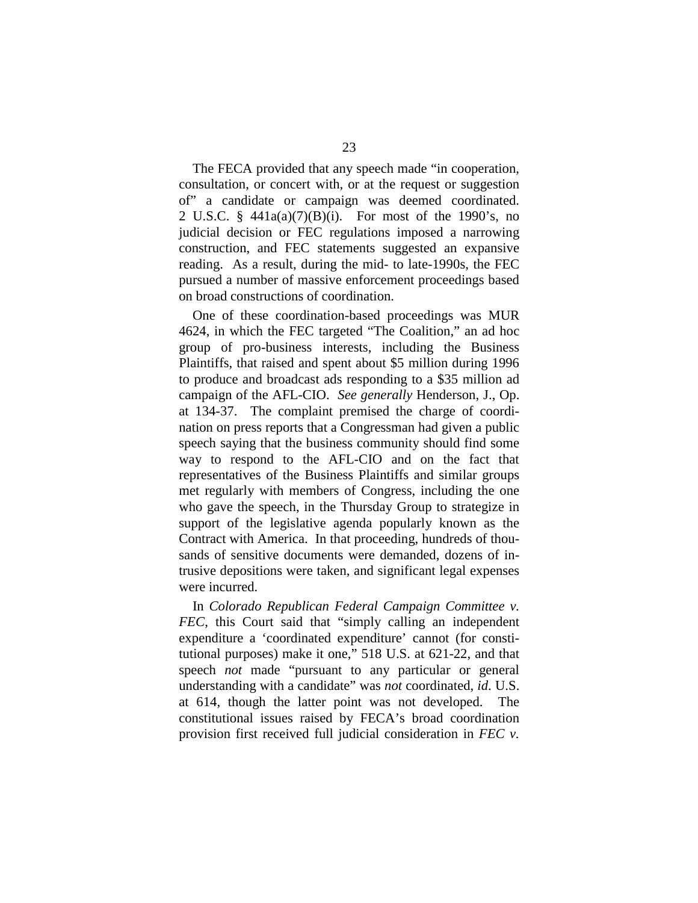The FECA provided that any speech made "in cooperation, consultation, or concert with, or at the request or suggestion of" a candidate or campaign was deemed coordinated. 2 U.S.C. § 441a(a)(7)(B)(i). For most of the 1990's, no judicial decision or FEC regulations imposed a narrowing construction, and FEC statements suggested an expansive reading. As a result, during the mid- to late-1990s, the FEC pursued a number of massive enforcement proceedings based on broad constructions of coordination.

One of these coordination-based proceedings was MUR 4624, in which the FEC targeted "The Coalition," an ad hoc group of pro-business interests, including the Business Plaintiffs, that raised and spent about \$5 million during 1996 to produce and broadcast ads responding to a \$35 million ad campaign of the AFL-CIO. *See generally* Henderson, J., Op. at 134-37. The complaint premised the charge of coordination on press reports that a Congressman had given a public speech saying that the business community should find some way to respond to the AFL-CIO and on the fact that representatives of the Business Plaintiffs and similar groups met regularly with members of Congress, including the one who gave the speech, in the Thursday Group to strategize in support of the legislative agenda popularly known as the Contract with America. In that proceeding, hundreds of thousands of sensitive documents were demanded, dozens of intrusive depositions were taken, and significant legal expenses were incurred.

In *Colorado Republican Federal Campaign Committee v. FEC*, this Court said that "simply calling an independent expenditure a 'coordinated expenditure' cannot (for constitutional purposes) make it one," 518 U.S. at 621-22, and that speech *not* made "pursuant to any particular or general understanding with a candidate" was *not* coordinated, *id*. U.S. at 614, though the latter point was not developed. The constitutional issues raised by FECA's broad coordination provision first received full judicial consideration in *FEC v.*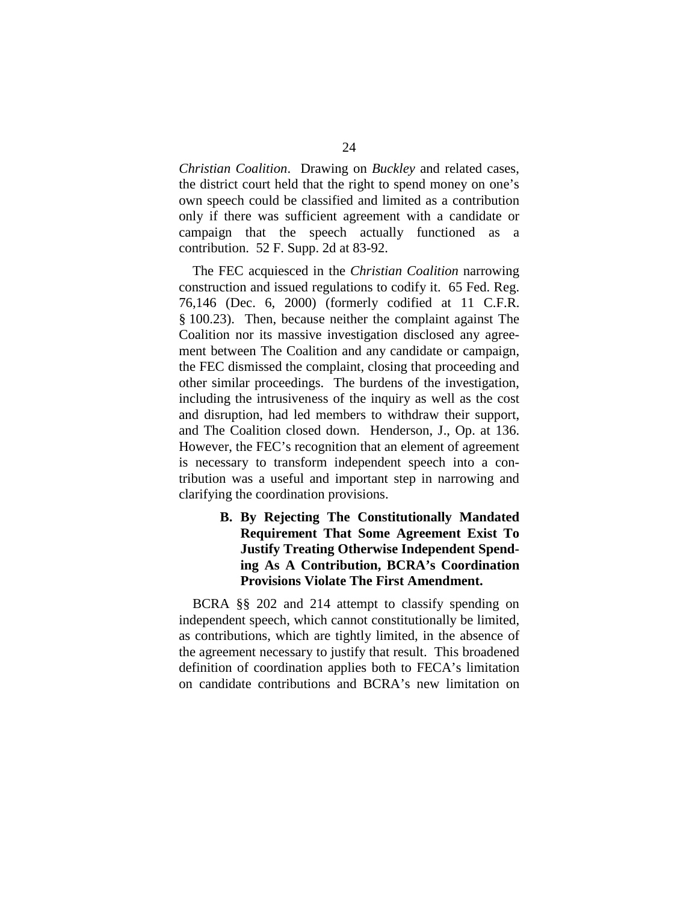*Christian Coalition*. Drawing on *Buckley* and related cases, the district court held that the right to spend money on one's own speech could be classified and limited as a contribution only if there was sufficient agreement with a candidate or campaign that the speech actually functioned as a contribution. 52 F. Supp. 2d at 83-92.

The FEC acquiesced in the *Christian Coalition* narrowing construction and issued regulations to codify it. 65 Fed. Reg. 76,146 (Dec. 6, 2000) (formerly codified at 11 C.F.R. § 100.23). Then, because neither the complaint against The Coalition nor its massive investigation disclosed any agreement between The Coalition and any candidate or campaign, the FEC dismissed the complaint, closing that proceeding and other similar proceedings. The burdens of the investigation, including the intrusiveness of the inquiry as well as the cost and disruption, had led members to withdraw their support, and The Coalition closed down. Henderson, J., Op. at 136. However, the FEC's recognition that an element of agreement is necessary to transform independent speech into a contribution was a useful and important step in narrowing and clarifying the coordination provisions.

# **B. By Rejecting The Constitutionally Mandated Requirement That Some Agreement Exist To Justify Treating Otherwise Independent Spending As A Contribution, BCRA's Coordination Provisions Violate The First Amendment.**

BCRA §§ 202 and 214 attempt to classify spending on independent speech, which cannot constitutionally be limited, as contributions, which are tightly limited, in the absence of the agreement necessary to justify that result. This broadened definition of coordination applies both to FECA's limitation on candidate contributions and BCRA's new limitation on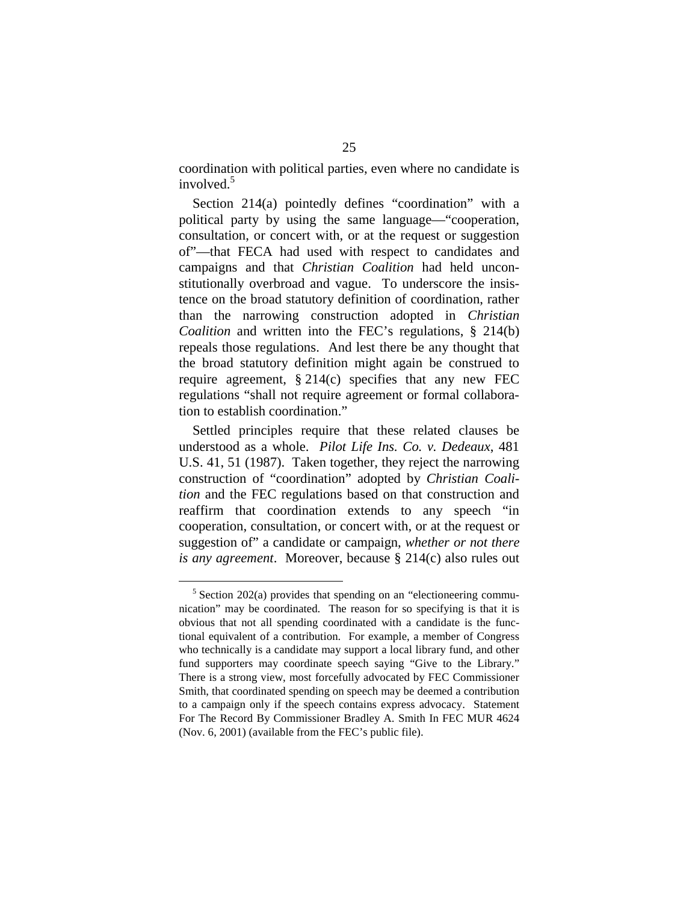coordination with political parties, even where no candidate is involved.<sup>5</sup>

Section 214(a) pointedly defines "coordination" with a political party by using the same language—"cooperation, consultation, or concert with, or at the request or suggestion of"—that FECA had used with respect to candidates and campaigns and that *Christian Coalition* had held unconstitutionally overbroad and vague. To underscore the insistence on the broad statutory definition of coordination, rather than the narrowing construction adopted in *Christian Coalition* and written into the FEC's regulations, § 214(b) repeals those regulations. And lest there be any thought that the broad statutory definition might again be construed to require agreement,  $\S 214(c)$  specifies that any new FEC regulations "shall not require agreement or formal collaboration to establish coordination."

Settled principles require that these related clauses be understood as a whole. *Pilot Life Ins. Co. v. Dedeaux*, 481 U.S. 41, 51 (1987). Taken together, they reject the narrowing construction of "coordination" adopted by *Christian Coalition* and the FEC regulations based on that construction and reaffirm that coordination extends to any speech "in cooperation, consultation, or concert with, or at the request or suggestion of" a candidate or campaign, *whether or not there is any agreement*. Moreover, because § 214(c) also rules out

 $5$  Section 202(a) provides that spending on an "electioneering communication" may be coordinated. The reason for so specifying is that it is obvious that not all spending coordinated with a candidate is the functional equivalent of a contribution. For example, a member of Congress who technically is a candidate may support a local library fund, and other fund supporters may coordinate speech saying "Give to the Library." There is a strong view, most forcefully advocated by FEC Commissioner Smith, that coordinated spending on speech may be deemed a contribution to a campaign only if the speech contains express advocacy. Statement For The Record By Commissioner Bradley A. Smith In FEC MUR 4624 (Nov. 6, 2001) (available from the FEC's public file).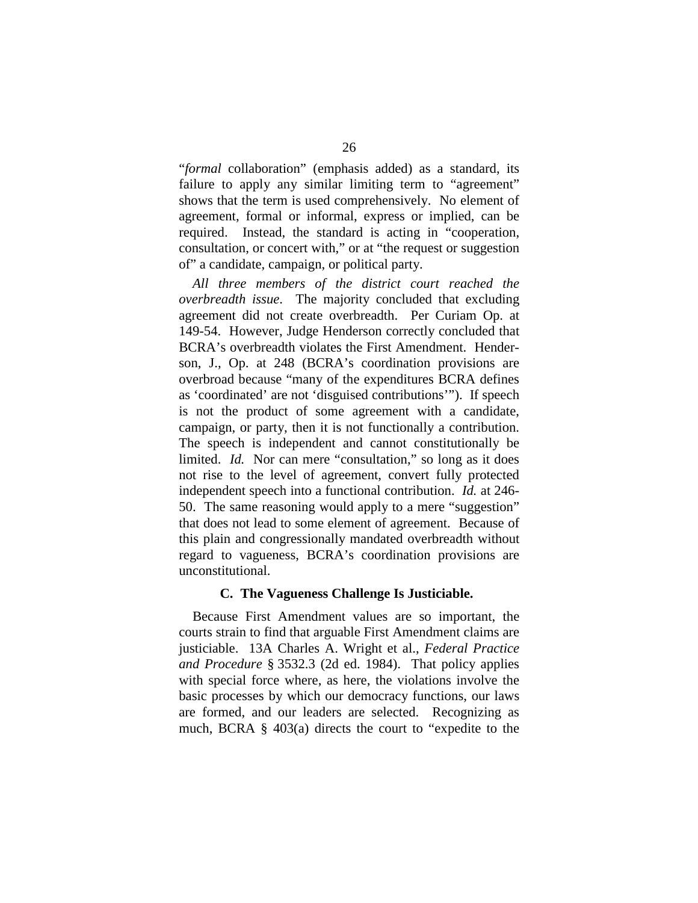"*formal* collaboration" (emphasis added) as a standard, its failure to apply any similar limiting term to "agreement" shows that the term is used comprehensively. No element of agreement, formal or informal, express or implied, can be required. Instead, the standard is acting in "cooperation, consultation, or concert with," or at "the request or suggestion of" a candidate, campaign, or political party.

*All three members of the district court reached the overbreadth issue*. The majority concluded that excluding agreement did not create overbreadth. Per Curiam Op. at 149-54. However, Judge Henderson correctly concluded that BCRA's overbreadth violates the First Amendment. Henderson, J., Op. at 248 (BCRA's coordination provisions are overbroad because "many of the expenditures BCRA defines as 'coordinated' are not 'disguised contributions'"). If speech is not the product of some agreement with a candidate, campaign, or party, then it is not functionally a contribution. The speech is independent and cannot constitutionally be limited. *Id.* Nor can mere "consultation," so long as it does not rise to the level of agreement, convert fully protected independent speech into a functional contribution. *Id.* at 246- 50. The same reasoning would apply to a mere "suggestion" that does not lead to some element of agreement. Because of this plain and congressionally mandated overbreadth without regard to vagueness, BCRA's coordination provisions are unconstitutional.

#### **C. The Vagueness Challenge Is Justiciable.**

Because First Amendment values are so important, the courts strain to find that arguable First Amendment claims are justiciable. 13A Charles A. Wright et al., *Federal Practice and Procedure* § 3532.3 (2d ed. 1984). That policy applies with special force where, as here, the violations involve the basic processes by which our democracy functions, our laws are formed, and our leaders are selected. Recognizing as much, BCRA § 403(a) directs the court to "expedite to the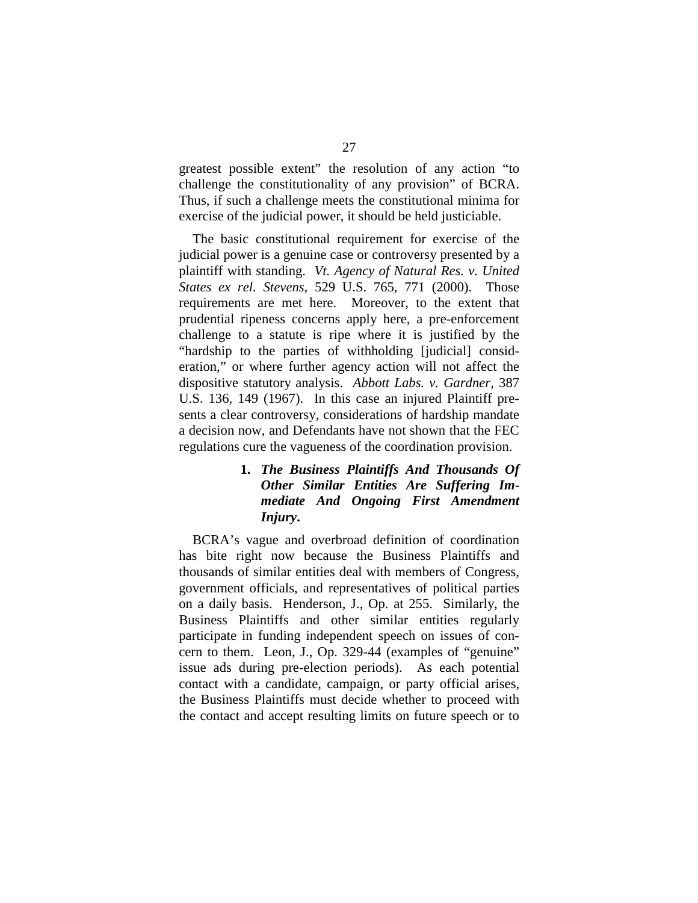greatest possible extent" the resolution of any action "to challenge the constitutionality of any provision" of BCRA. Thus, if such a challenge meets the constitutional minima for exercise of the judicial power, it should be held justiciable.

The basic constitutional requirement for exercise of the judicial power is a genuine case or controversy presented by a plaintiff with standing. *Vt. Agency of Natural Res. v. United States ex rel. Stevens*, 529 U.S. 765, 771 (2000). Those requirements are met here. Moreover, to the extent that prudential ripeness concerns apply here, a pre-enforcement challenge to a statute is ripe where it is justified by the "hardship to the parties of withholding [judicial] consideration," or where further agency action will not affect the dispositive statutory analysis. *Abbott Labs. v. Gardner,* 387 U.S. 136, 149 (1967). In this case an injured Plaintiff presents a clear controversy, considerations of hardship mandate a decision now, and Defendants have not shown that the FEC regulations cure the vagueness of the coordination provision.

# **1.**  *The Business Plaintiffs And Thousands Of Other Similar Entities Are Suffering Immediate And Ongoing First Amendment Injury***.**

BCRA's vague and overbroad definition of coordination has bite right now because the Business Plaintiffs and thousands of similar entities deal with members of Congress, government officials, and representatives of political parties on a daily basis. Henderson, J., Op. at 255. Similarly, the Business Plaintiffs and other similar entities regularly participate in funding independent speech on issues of concern to them. Leon, J., Op. 329-44 (examples of "genuine" issue ads during pre-election periods). As each potential contact with a candidate, campaign, or party official arises, the Business Plaintiffs must decide whether to proceed with the contact and accept resulting limits on future speech or to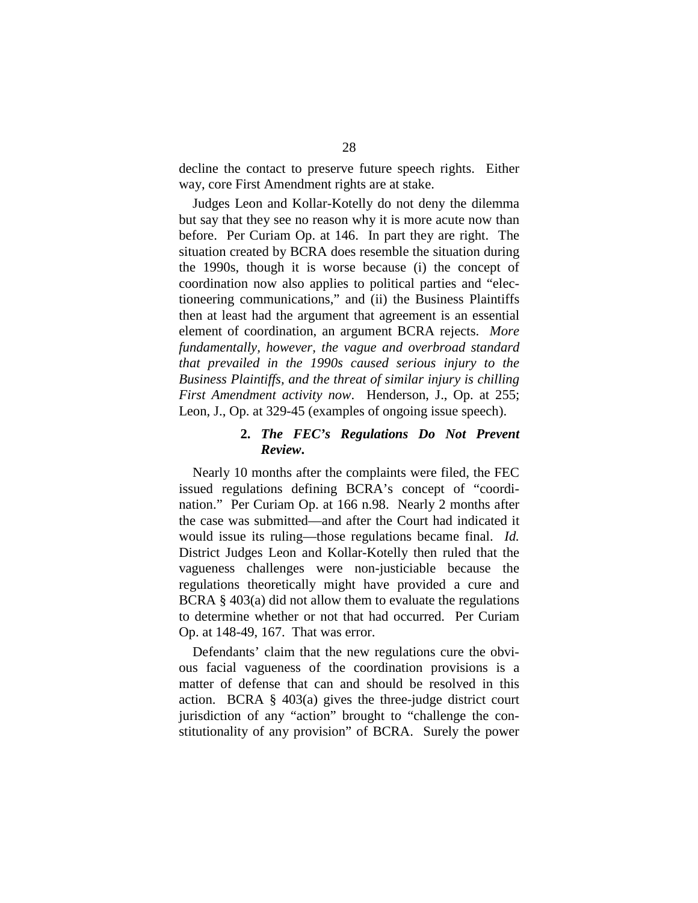decline the contact to preserve future speech rights. Either way, core First Amendment rights are at stake.

Judges Leon and Kollar-Kotelly do not deny the dilemma but say that they see no reason why it is more acute now than before. Per Curiam Op. at 146. In part they are right. The situation created by BCRA does resemble the situation during the 1990s, though it is worse because (i) the concept of coordination now also applies to political parties and "electioneering communications," and (ii) the Business Plaintiffs then at least had the argument that agreement is an essential element of coordination, an argument BCRA rejects. *More fundamentally, however, the vague and overbroad standard that prevailed in the 1990s caused serious injury to the Business Plaintiffs, and the threat of similar injury is chilling First Amendment activity now*. Henderson, J., Op. at 255; Leon, J., Op. at 329-45 (examples of ongoing issue speech).

### **2.**  *The FEC's Regulations Do Not Prevent Review***.**

Nearly 10 months after the complaints were filed, the FEC issued regulations defining BCRA's concept of "coordination." Per Curiam Op. at 166 n.98. Nearly 2 months after the case was submitted—and after the Court had indicated it would issue its ruling—those regulations became final. *Id.*  District Judges Leon and Kollar-Kotelly then ruled that the vagueness challenges were non-justiciable because the regulations theoretically might have provided a cure and BCRA  $\S$  403(a) did not allow them to evaluate the regulations to determine whether or not that had occurred. Per Curiam Op. at 148-49, 167. That was error.

Defendants' claim that the new regulations cure the obvious facial vagueness of the coordination provisions is a matter of defense that can and should be resolved in this action. BCRA § 403(a) gives the three-judge district court jurisdiction of any "action" brought to "challenge the constitutionality of any provision" of BCRA. Surely the power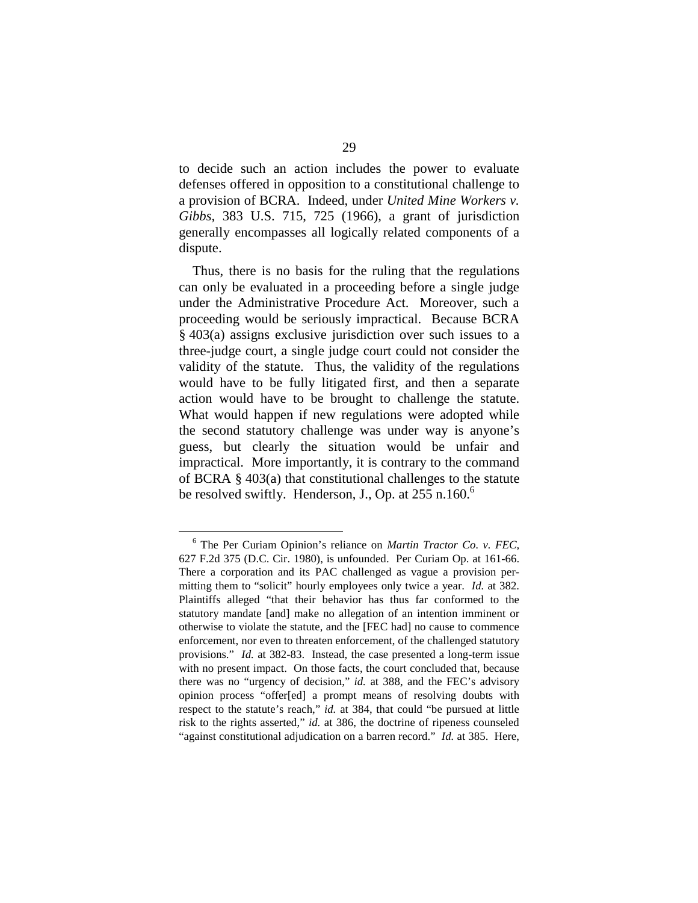to decide such an action includes the power to evaluate defenses offered in opposition to a constitutional challenge to a provision of BCRA. Indeed, under *United Mine Workers v. Gibbs,* 383 U.S. 715, 725 (1966), a grant of jurisdiction generally encompasses all logically related components of a dispute.

Thus, there is no basis for the ruling that the regulations can only be evaluated in a proceeding before a single judge under the Administrative Procedure Act. Moreover, such a proceeding would be seriously impractical. Because BCRA § 403(a) assigns exclusive jurisdiction over such issues to a three-judge court, a single judge court could not consider the validity of the statute. Thus, the validity of the regulations would have to be fully litigated first, and then a separate action would have to be brought to challenge the statute. What would happen if new regulations were adopted while the second statutory challenge was under way is anyone's guess, but clearly the situation would be unfair and impractical. More importantly, it is contrary to the command of BCRA § 403(a) that constitutional challenges to the statute be resolved swiftly. Henderson, J., Op. at  $255$  n.160.<sup>6</sup>

<sup>6</sup> The Per Curiam Opinion's reliance on *Martin Tractor Co. v. FEC,*  627 F.2d 375 (D.C. Cir. 1980), is unfounded. Per Curiam Op. at 161-66. There a corporation and its PAC challenged as vague a provision permitting them to "solicit" hourly employees only twice a year. *Id.* at 382. Plaintiffs alleged "that their behavior has thus far conformed to the statutory mandate [and] make no allegation of an intention imminent or otherwise to violate the statute, and the [FEC had] no cause to commence enforcement, nor even to threaten enforcement, of the challenged statutory provisions." *Id.* at 382-83. Instead, the case presented a long-term issue with no present impact. On those facts, the court concluded that, because there was no "urgency of decision," *id.* at 388, and the FEC's advisory opinion process "offer[ed] a prompt means of resolving doubts with respect to the statute's reach," *id.* at 384, that could "be pursued at little risk to the rights asserted," *id.* at 386, the doctrine of ripeness counseled "against constitutional adjudication on a barren record." *Id.* at 385. Here,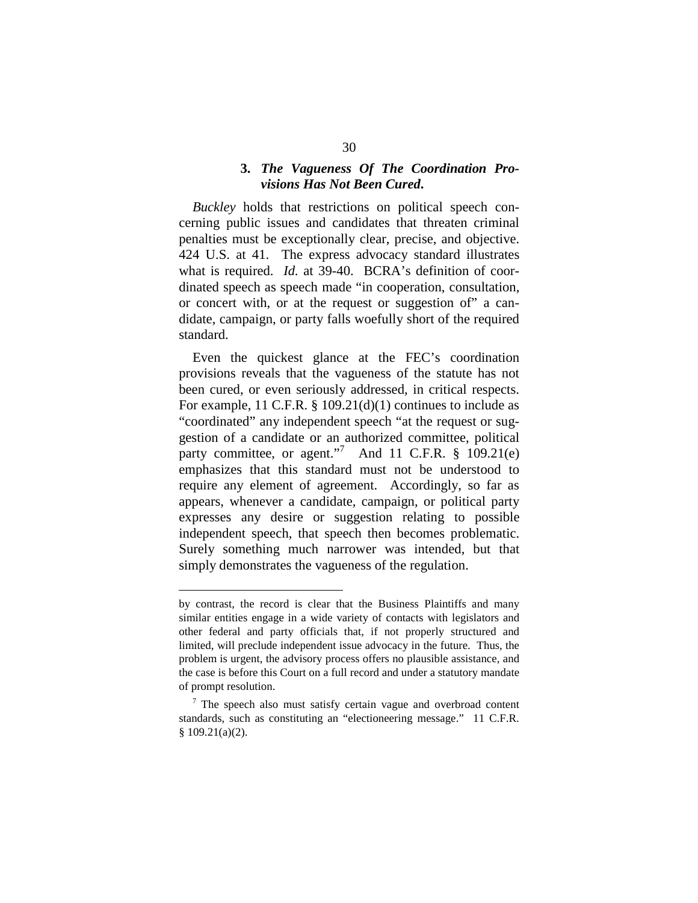## **3.**  *The Vagueness Of The Coordination Provisions Has Not Been Cured***.**

*Buckley* holds that restrictions on political speech concerning public issues and candidates that threaten criminal penalties must be exceptionally clear, precise, and objective. 424 U.S. at 41. The express advocacy standard illustrates what is required. *Id.* at 39-40. BCRA's definition of coordinated speech as speech made "in cooperation, consultation, or concert with, or at the request or suggestion of" a candidate, campaign, or party falls woefully short of the required standard.

Even the quickest glance at the FEC's coordination provisions reveals that the vagueness of the statute has not been cured, or even seriously addressed, in critical respects. For example, 11 C.F.R. § 109.21(d)(1) continues to include as "coordinated" any independent speech "at the request or suggestion of a candidate or an authorized committee, political party committee, or agent."<sup>7</sup> And 11 C.F.R.  $\frac{$}{9}$  109.21(e) emphasizes that this standard must not be understood to require any element of agreement. Accordingly, so far as appears, whenever a candidate, campaign, or political party expresses any desire or suggestion relating to possible independent speech, that speech then becomes problematic. Surely something much narrower was intended, but that simply demonstrates the vagueness of the regulation.

by contrast, the record is clear that the Business Plaintiffs and many similar entities engage in a wide variety of contacts with legislators and other federal and party officials that, if not properly structured and limited, will preclude independent issue advocacy in the future. Thus, the problem is urgent, the advisory process offers no plausible assistance, and the case is before this Court on a full record and under a statutory mandate of prompt resolution.

<sup>&</sup>lt;sup>7</sup> The speech also must satisfy certain vague and overbroad content standards, such as constituting an "electioneering message." 11 C.F.R. § 109.21(a)(2).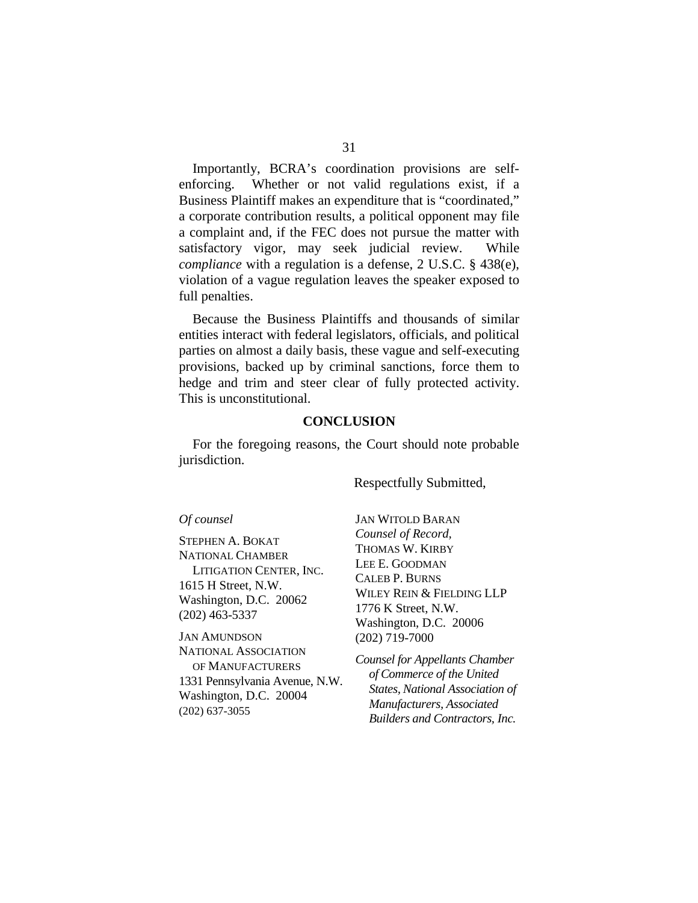Importantly, BCRA's coordination provisions are selfenforcing. Whether or not valid regulations exist, if a Business Plaintiff makes an expenditure that is "coordinated," a corporate contribution results, a political opponent may file a complaint and, if the FEC does not pursue the matter with satisfactory vigor, may seek judicial review. While *compliance* with a regulation is a defense, 2 U.S.C. § 438(e), violation of a vague regulation leaves the speaker exposed to full penalties.

Because the Business Plaintiffs and thousands of similar entities interact with federal legislators, officials, and political parties on almost a daily basis, these vague and self-executing provisions, backed up by criminal sanctions, force them to hedge and trim and steer clear of fully protected activity. This is unconstitutional.

### **CONCLUSION**

For the foregoing reasons, the Court should note probable jurisdiction.

Respectfully Submitted,

#### *Of counsel*

STEPHEN A. BOKAT NATIONAL CHAMBER LITIGATION CENTER, INC. 1615 H Street, N.W. Washington, D.C. 20062 (202) 463-5337

JAN AMUNDSON NATIONAL ASSOCIATION OF MANUFACTURERS 1331 Pennsylvania Avenue, N.W. Washington, D.C. 20004 (202) 637-3055

JAN WITOLD BARAN *Counsel of Record,*  THOMAS W. KIRBY LEE E. GOODMAN CALEB P. BURNS WILEY REIN & FIELDING LLP 1776 K Street, N.W. Washington, D.C. 20006 (202) 719-7000

*Counsel for Appellants Chamber of Commerce of the United States, National Association of Manufacturers, Associated Builders and Contractors, Inc.*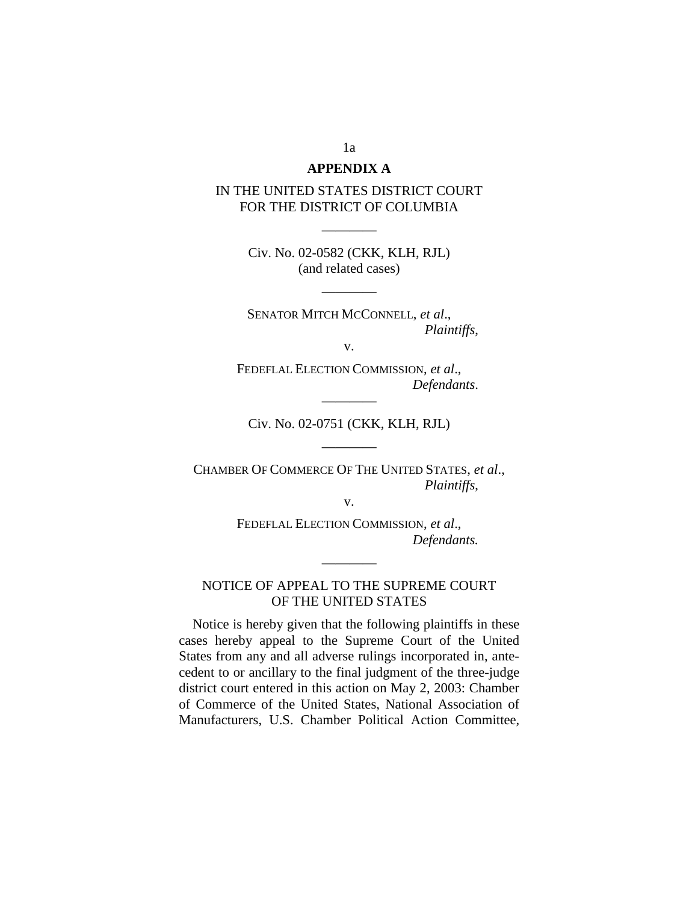### **APPENDIX A**

## IN THE UNITED STATES DISTRICT COURT FOR THE DISTRICT OF COLUMBIA

Civ. No. 02-0582 (CKK, KLH, RJL) (and related cases)

————

————

SENATOR MITCH MCCONNELL, *et al*., *Plaintiffs*,

v.

FEDEFLAL ELECTION COMMISSION, *et al*., *Defendants*.

Civ. No. 02-0751 (CKK, KLH, RJL)

————

————

CHAMBER OF COMMERCE OF THE UNITED STATES, *et al*., *Plaintiffs*,

v.

FEDEFLAL ELECTION COMMISSION, *et al*., *Defendants.* 

## NOTICE OF APPEAL TO THE SUPREME COURT OF THE UNITED STATES

————

Notice is hereby given that the following plaintiffs in these cases hereby appeal to the Supreme Court of the United States from any and all adverse rulings incorporated in, antecedent to or ancillary to the final judgment of the three-judge district court entered in this action on May 2, 2003: Chamber of Commerce of the United States, National Association of Manufacturers, U.S. Chamber Political Action Committee,

1a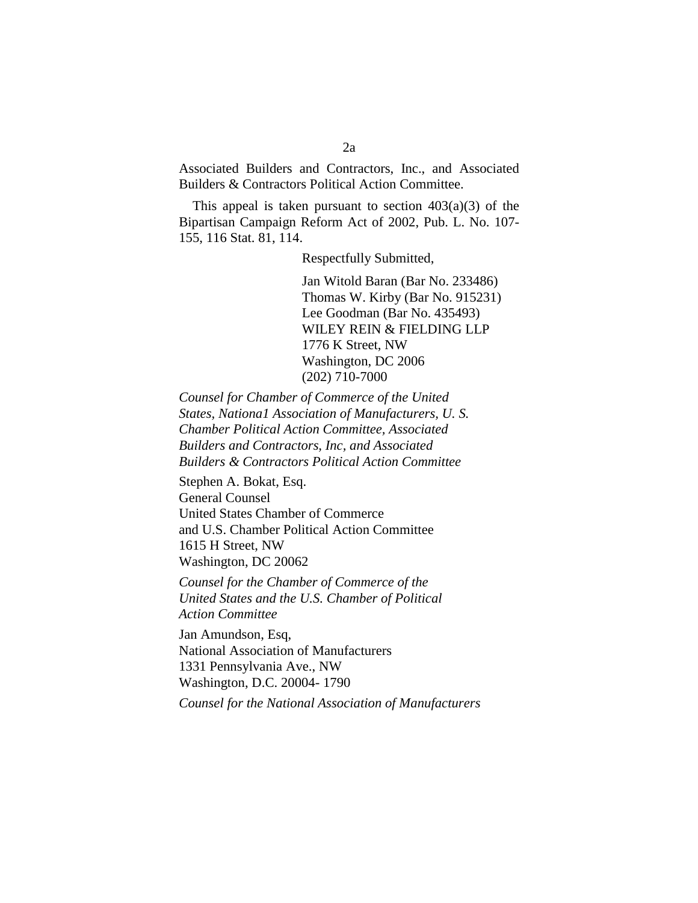Associated Builders and Contractors, Inc., and Associated Builders & Contractors Political Action Committee.

This appeal is taken pursuant to section  $403(a)(3)$  of the Bipartisan Campaign Reform Act of 2002, Pub. L. No. 107- 155, 116 Stat. 81, 114.

Respectfully Submitted,

Jan Witold Baran (Bar No. 233486) Thomas W. Kirby (Bar No. 915231) Lee Goodman (Bar No. 435493) WILEY REIN & FIELDING LLP 1776 K Street, NW Washington, DC 2006 (202) 710-7000

*Counsel for Chamber of Commerce of the United States, Nationa1 Association of Manufacturers, U. S. Chamber Political Action Committee, Associated Builders and Contractors, Inc, and Associated Builders & Contractors Political Action Committee* 

Stephen A. Bokat, Esq. General Counsel United States Chamber of Commerce and U.S. Chamber Political Action Committee 1615 H Street, NW Washington, DC 20062

*Counsel for the Chamber of Commerce of the United States and the U.S. Chamber of Political Action Committee* 

Jan Amundson, Esq, National Association of Manufacturers 1331 Pennsylvania Ave., NW Washington, D.C. 20004- 1790

*Counsel for the National Association of Manufacturers*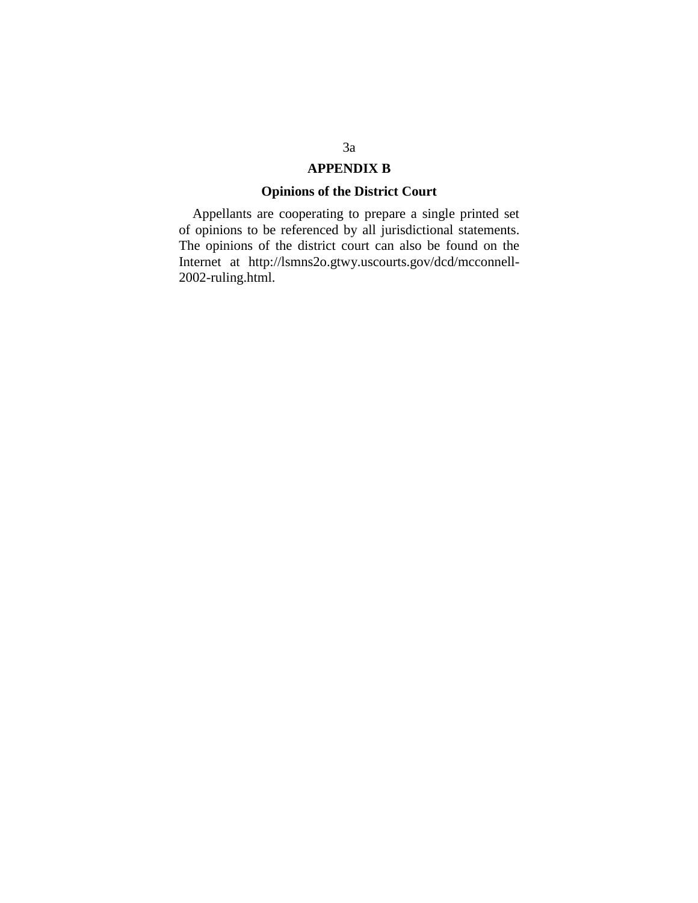## **APPENDIX B**

## **Opinions of the District Court**

Appellants are cooperating to prepare a single printed set of opinions to be referenced by all jurisdictional statements. The opinions of the district court can also be found on the Internet at http://lsmns2o.gtwy.uscourts.gov/dcd/mcconnell-2002-ruling.html.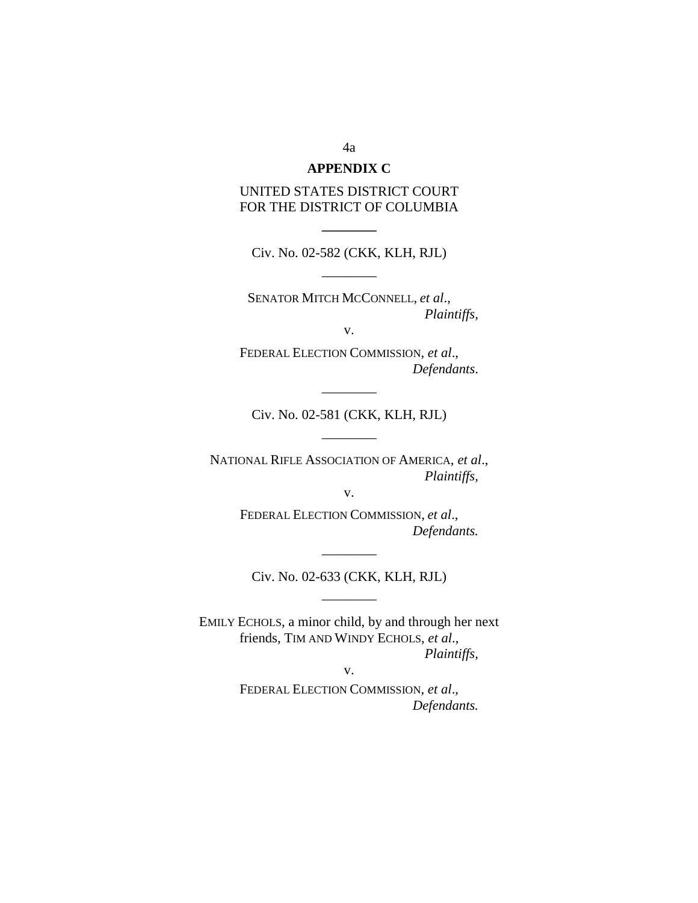### **APPENDIX C**

## UNITED STATES DISTRICT COURT FOR THE DISTRICT OF COLUMBIA

Civ. No. 02-582 (CKK, KLH, RJL)

————

**————** 

SENATOR MITCH MCCONNELL, *et al*., *Plaintiffs,* 

v.

FEDERAL ELECTION COMMISSION, *et al*., *Defendants*.

Civ. No. 02-581 (CKK, KLH, RJL)

————

————

NATIONAL RIFLE ASSOCIATION OF AMERICA, *et al*., *Plaintiffs,* 

v.

FEDERAL ELECTION COMMISSION, *et al*., *Defendants.* 

———— Civ. No. 02-633 (CKK, KLH, RJL)

————

EMILY ECHOLS, a minor child, by and through her next friends, TIM AND WINDY ECHOLS, *et al*., *Plaintiffs,* 

v.

FEDERAL ELECTION COMMISSION, *et al*., *Defendants.* 

4a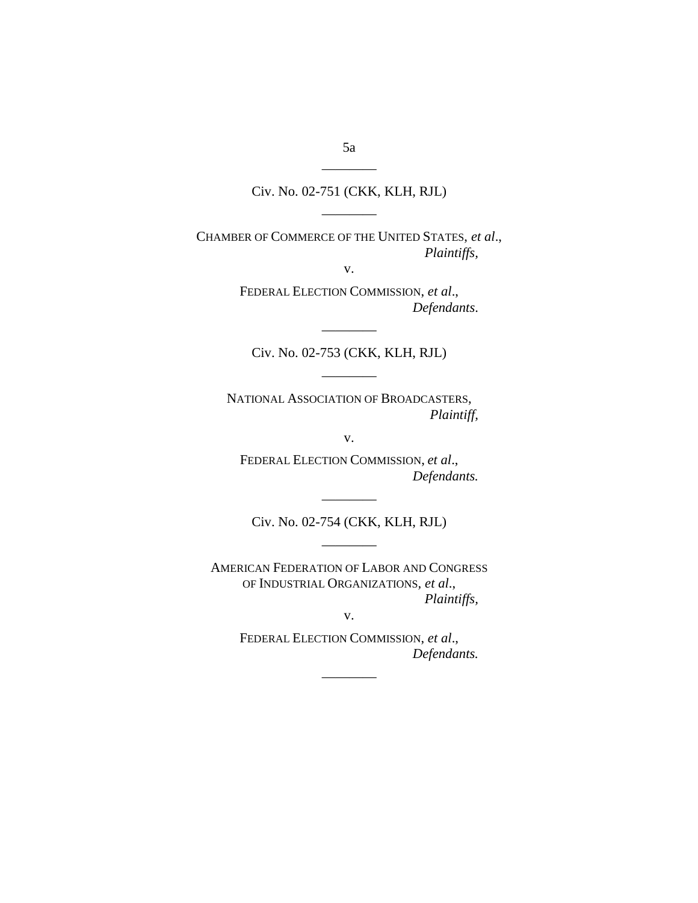## Civ. No. 02-751 (CKK, KLH, RJL)

————

CHAMBER OF COMMERCE OF THE UNITED STATES, *et al*., *Plaintiffs,* 

v.

FEDERAL ELECTION COMMISSION, *et al*., *Defendants*.

Civ. No. 02-753 (CKK, KLH, RJL)

————

————

NATIONAL ASSOCIATION OF BROADCASTERS, *Plaintiff,* 

v.

FEDERAL ELECTION COMMISSION, *et al*., *Defendants.* 

Civ. No. 02-754 (CKK, KLH, RJL)

————

————

AMERICAN FEDERATION OF LABOR AND CONGRESS OF INDUSTRIAL ORGANIZATIONS*, et al*., *Plaintiffs,* 

v.

FEDERAL ELECTION COMMISSION, *et al*., *Defendants.* 

————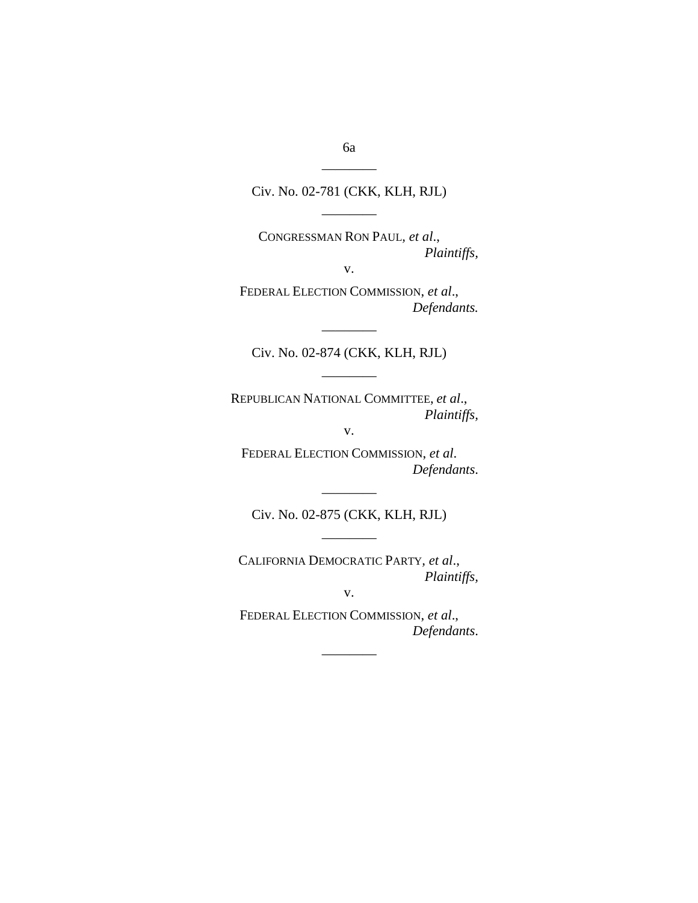Civ. No. 02-781 (CKK, KLH, RJL)

————

CONGRESSMAN RON PAUL*, et al*., *Plaintiffs,* 

v.

FEDERAL ELECTION COMMISSION, *et al*., *Defendants.* 

Civ. No. 02-874 (CKK, KLH, RJL)

————

REPUBLICAN NATIONAL COMMITTEE, *et al*., *Plaintiffs,* 

————

v.

FEDERAL ELECTION COMMISSION, *et al*. *Defendants*.

———— Civ. No. 02-875 (CKK, KLH, RJL)

————

CALIFORNIA DEMOCRATIC PARTY*, et al*., *Plaintiffs,* 

v.

FEDERAL ELECTION COMMISSION, *et al*., *Defendants*.

————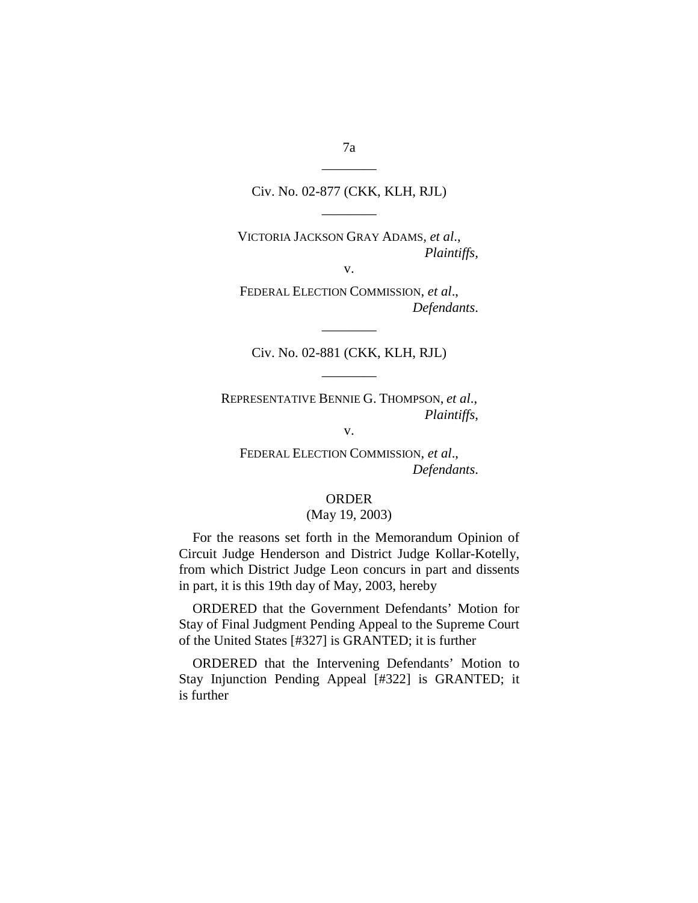Civ. No. 02-877 (CKK, KLH, RJL) ————

VICTORIA JACKSON GRAY ADAMS*, et al*., *Plaintiffs,* 

v.

FEDERAL ELECTION COMMISSION, *et al*., *Defendants*.

Civ. No. 02-881 (CKK, KLH, RJL)

————

————

REPRESENTATIVE BENNIE G. THOMPSON, *et al*., *Plaintiffs*,

v.

FEDERAL ELECTION COMMISSION, *et al*., *Defendants*.

## ORDER

### (May 19, 2003)

For the reasons set forth in the Memorandum Opinion of Circuit Judge Henderson and District Judge Kollar-Kotelly, from which District Judge Leon concurs in part and dissents in part, it is this 19th day of May, 2003, hereby

ORDERED that the Government Defendants' Motion for Stay of Final Judgment Pending Appeal to the Supreme Court of the United States [#327] is GRANTED; it is further

ORDERED that the Intervening Defendants' Motion to Stay Injunction Pending Appeal [#322] is GRANTED; it is further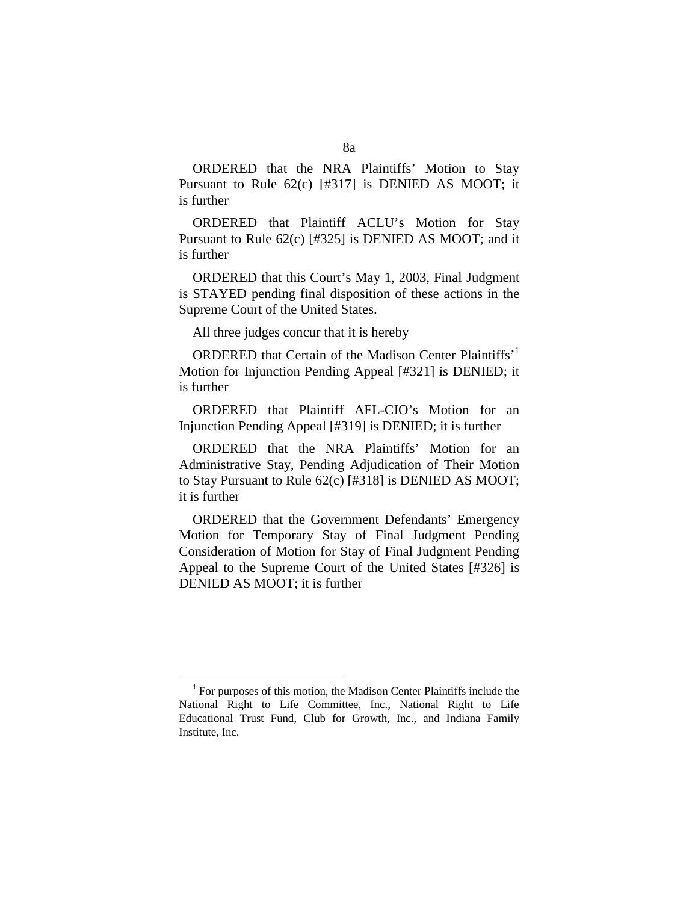ORDERED that the NRA Plaintiffs' Motion to Stay Pursuant to Rule 62(c) [#317] is DENIED AS MOOT; it is further

ORDERED that Plaintiff ACLU's Motion for Stay Pursuant to Rule 62(c) [#325] is DENIED AS MOOT; and it is further

ORDERED that this Court's May 1, 2003, Final Judgment is STAYED pending final disposition of these actions in the Supreme Court of the United States.

All three judges concur that it is hereby

ORDERED that Certain of the Madison Center Plaintiffs'<sup>1</sup> Motion for Injunction Pending Appeal [#321] is DENIED; it is further

ORDERED that Plaintiff AFL-CIO's Motion for an Injunction Pending Appeal [#319] is DENIED; it is further

ORDERED that the NRA Plaintiffs' Motion for an Administrative Stay, Pending Adjudication of Their Motion to Stay Pursuant to Rule 62(c) [#318] is DENIED AS MOOT; it is further

ORDERED that the Government Defendants' Emergency Motion for Temporary Stay of Final Judgment Pending Consideration of Motion for Stay of Final Judgment Pending Appeal to the Supreme Court of the United States [#326] is DENIED AS MOOT; it is further

 $1$  For purposes of this motion, the Madison Center Plaintiffs include the National Right to Life Committee, Inc., National Right to Life Educational Trust Fund, Club for Growth, Inc., and Indiana Family Institute, Inc.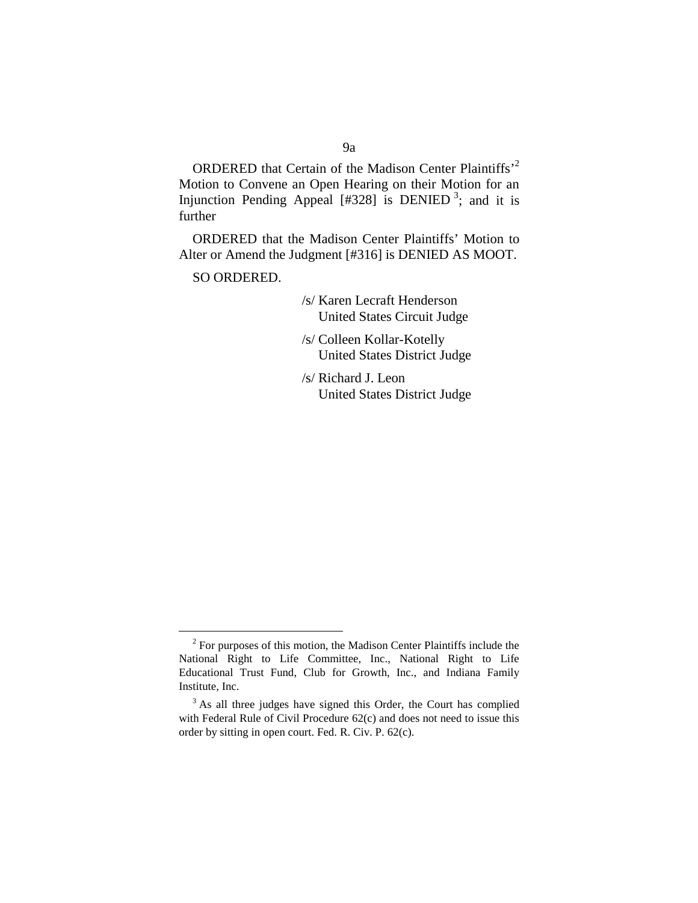ORDERED that Certain of the Madison Center Plaintiffs'2 Motion to Convene an Open Hearing on their Motion for an Injunction Pending Appeal [#328] is DENIED<sup>3</sup>; and it is further

ORDERED that the Madison Center Plaintiffs' Motion to Alter or Amend the Judgment [#316] is DENIED AS MOOT.

SO ORDERED.

/s/ Karen Lecraft Henderson United States Circuit Judge

/s/ Colleen Kollar-Kotelly United States District Judge

/s/ Richard J. Leon United States District Judge

<sup>&</sup>lt;sup>2</sup> For purposes of this motion, the Madison Center Plaintiffs include the National Right to Life Committee, Inc., National Right to Life Educational Trust Fund, Club for Growth, Inc., and Indiana Family Institute, Inc.

 $3$  As all three judges have signed this Order, the Court has complied with Federal Rule of Civil Procedure 62(c) and does not need to issue this order by sitting in open court. Fed. R. Civ. P. 62(c).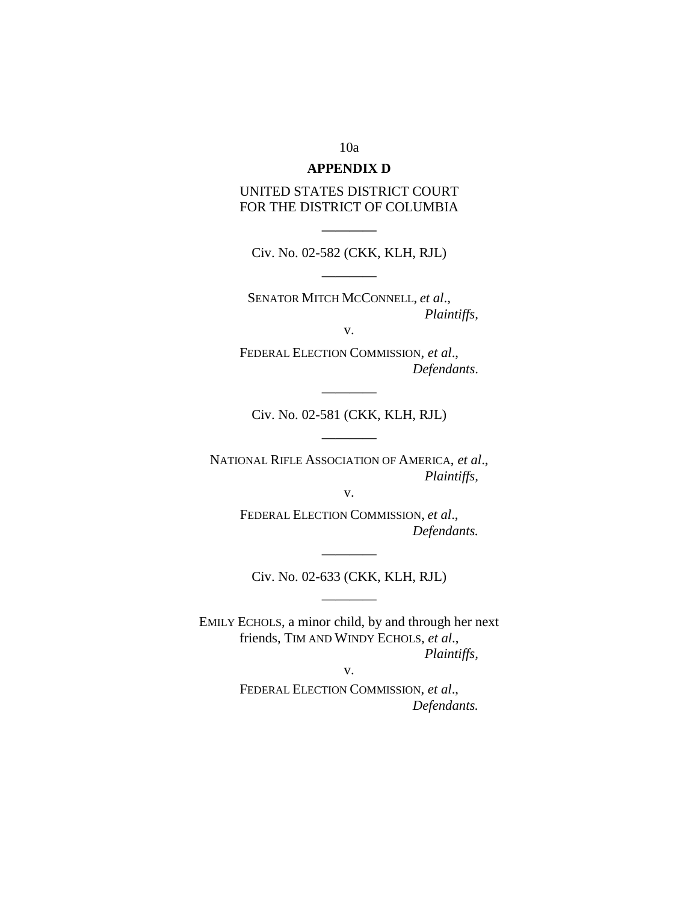### 10a

## **APPENDIX D**

UNITED STATES DISTRICT COURT FOR THE DISTRICT OF COLUMBIA

Civ. No. 02-582 (CKK, KLH, RJL) ————

**————** 

SENATOR MITCH MCCONNELL, *et al*., *Plaintiffs,* 

v.

FEDERAL ELECTION COMMISSION, *et al*., *Defendants*.

Civ. No. 02-581 (CKK, KLH, RJL)

————

————

NATIONAL RIFLE ASSOCIATION OF AMERICA, *et al*., *Plaintiffs,* 

v.

FEDERAL ELECTION COMMISSION, *et al*., *Defendants.* 

———— Civ. No. 02-633 (CKK, KLH, RJL)

————

EMILY ECHOLS, a minor child, by and through her next friends, TIM AND WINDY ECHOLS, *et al*., *Plaintiffs,* 

v.

FEDERAL ELECTION COMMISSION, *et al*., *Defendants.*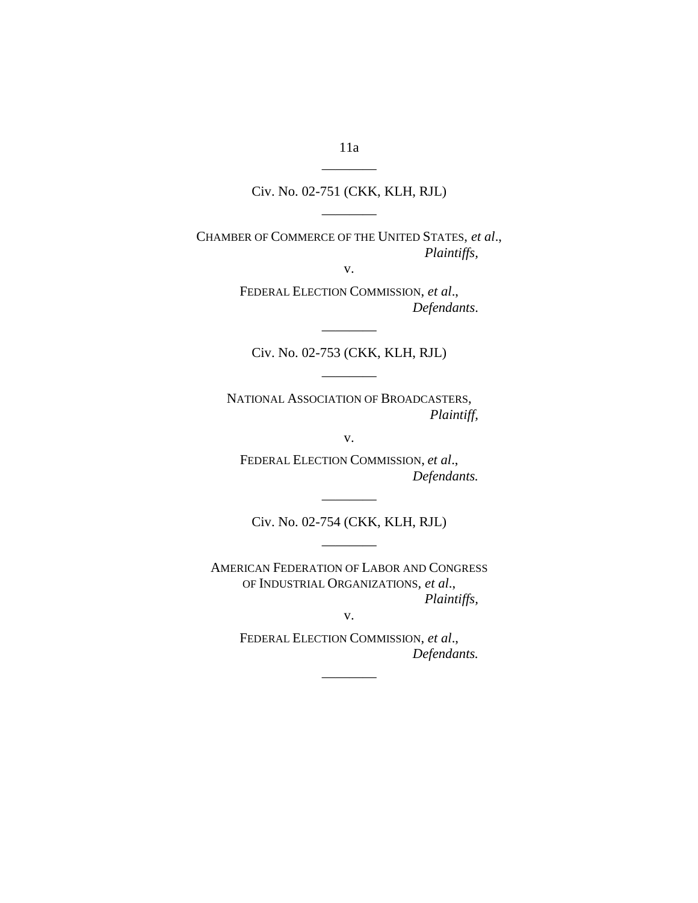Civ. No. 02-751 (CKK, KLH, RJL)

————

CHAMBER OF COMMERCE OF THE UNITED STATES, *et al*., *Plaintiffs,* 

v.

FEDERAL ELECTION COMMISSION, *et al*., *Defendants*.

Civ. No. 02-753 (CKK, KLH, RJL)

————

————

NATIONAL ASSOCIATION OF BROADCASTERS, *Plaintiff,* 

v.

FEDERAL ELECTION COMMISSION, *et al*., *Defendants.* 

Civ. No. 02-754 (CKK, KLH, RJL)

————

————

AMERICAN FEDERATION OF LABOR AND CONGRESS OF INDUSTRIAL ORGANIZATIONS*, et al*., *Plaintiffs,* 

v.

FEDERAL ELECTION COMMISSION, *et al*., *Defendants.* 

————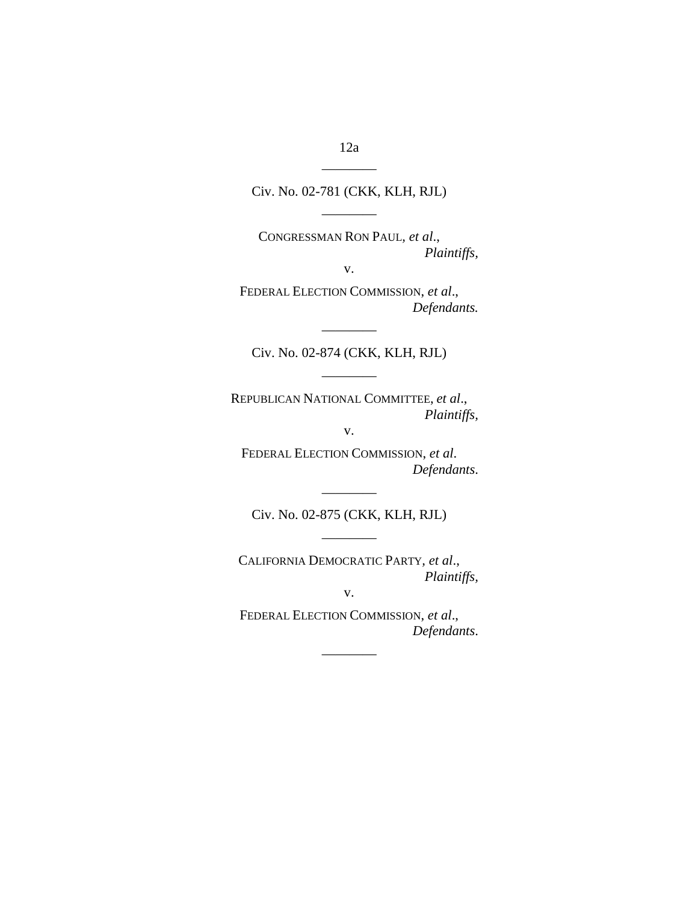Civ. No. 02-781 (CKK, KLH, RJL)

————

CONGRESSMAN RON PAUL*, et al*., *Plaintiffs,* 

v.

FEDERAL ELECTION COMMISSION, *et al*., *Defendants.* 

———— Civ. No. 02-874 (CKK, KLH, RJL)

————

REPUBLICAN NATIONAL COMMITTEE, *et al*., *Plaintiffs,* 

v.

FEDERAL ELECTION COMMISSION, *et al*. *Defendants*.

———— Civ. No. 02-875 (CKK, KLH, RJL)

————

CALIFORNIA DEMOCRATIC PARTY*, et al*., *Plaintiffs,* 

v.

FEDERAL ELECTION COMMISSION, *et al*., *Defendants*.

————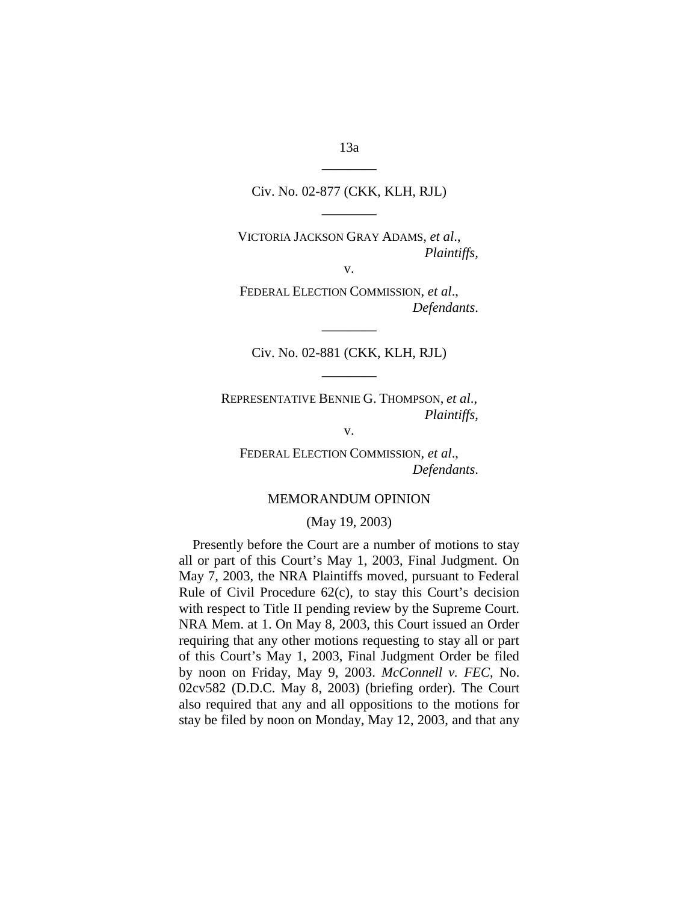Civ. No. 02-877 (CKK, KLH, RJL)

————

VICTORIA JACKSON GRAY ADAMS*, et al*., *Plaintiffs,* 

v.

FEDERAL ELECTION COMMISSION, *et al*., *Defendants*.

Civ. No. 02-881 (CKK, KLH, RJL)

————

————

REPRESENTATIVE BENNIE G. THOMPSON, *et al*., *Plaintiffs*,

v.

FEDERAL ELECTION COMMISSION, *et al*., *Defendants*.

### MEMORANDUM OPINION

### (May 19, 2003)

Presently before the Court are a number of motions to stay all or part of this Court's May 1, 2003, Final Judgment. On May 7, 2003, the NRA Plaintiffs moved, pursuant to Federal Rule of Civil Procedure 62(c), to stay this Court's decision with respect to Title II pending review by the Supreme Court. NRA Mem. at 1. On May 8, 2003, this Court issued an Order requiring that any other motions requesting to stay all or part of this Court's May 1, 2003, Final Judgment Order be filed by noon on Friday, May 9, 2003. *McConnell v. FEC*, No. 02cv582 (D.D.C. May 8, 2003) (briefing order). The Court also required that any and all oppositions to the motions for stay be filed by noon on Monday, May 12, 2003, and that any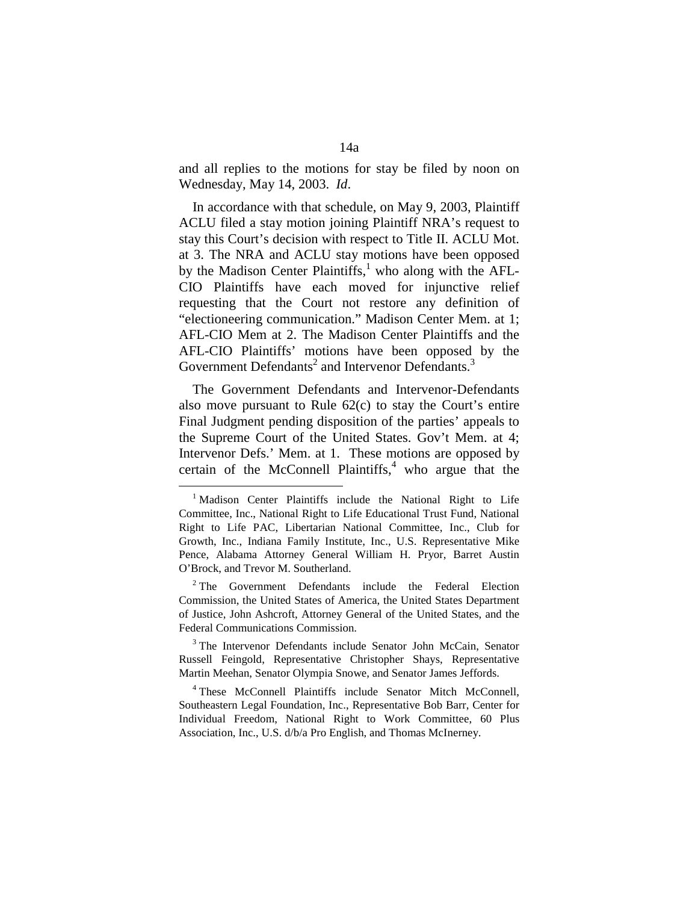and all replies to the motions for stay be filed by noon on Wednesday, May 14, 2003. *Id*.

In accordance with that schedule, on May 9, 2003, Plaintiff ACLU filed a stay motion joining Plaintiff NRA's request to stay this Court's decision with respect to Title II. ACLU Mot. at 3. The NRA and ACLU stay motions have been opposed by the Madison Center Plaintiffs,<sup>1</sup> who along with the AFL-CIO Plaintiffs have each moved for injunctive relief requesting that the Court not restore any definition of "electioneering communication." Madison Center Mem. at 1; AFL-CIO Mem at 2. The Madison Center Plaintiffs and the AFL-CIO Plaintiffs' motions have been opposed by the Government Defendants<sup>2</sup> and Intervenor Defendants.<sup>3</sup>

The Government Defendants and Intervenor-Defendants also move pursuant to Rule 62(c) to stay the Court's entire Final Judgment pending disposition of the parties' appeals to the Supreme Court of the United States. Gov't Mem. at 4; Intervenor Defs.' Mem. at 1. These motions are opposed by certain of the McConnell Plaintiffs, $4$  who argue that the

<sup>3</sup> The Intervenor Defendants include Senator John McCain, Senator Russell Feingold, Representative Christopher Shays, Representative Martin Meehan, Senator Olympia Snowe, and Senator James Jeffords.

4 These McConnell Plaintiffs include Senator Mitch McConnell, Southeastern Legal Foundation, Inc., Representative Bob Barr, Center for Individual Freedom, National Right to Work Committee, 60 Plus Association, Inc., U.S. d/b/a Pro English, and Thomas McInerney.

<sup>&</sup>lt;sup>1</sup> Madison Center Plaintiffs include the National Right to Life Committee, Inc., National Right to Life Educational Trust Fund, National Right to Life PAC, Libertarian National Committee, Inc., Club for Growth, Inc., Indiana Family Institute, Inc., U.S. Representative Mike Pence, Alabama Attorney General William H. Pryor, Barret Austin O'Brock, and Trevor M. Southerland.

<sup>&</sup>lt;sup>2</sup> The Government Defendants include the Federal Election Commission, the United States of America, the United States Department of Justice, John Ashcroft, Attorney General of the United States, and the Federal Communications Commission.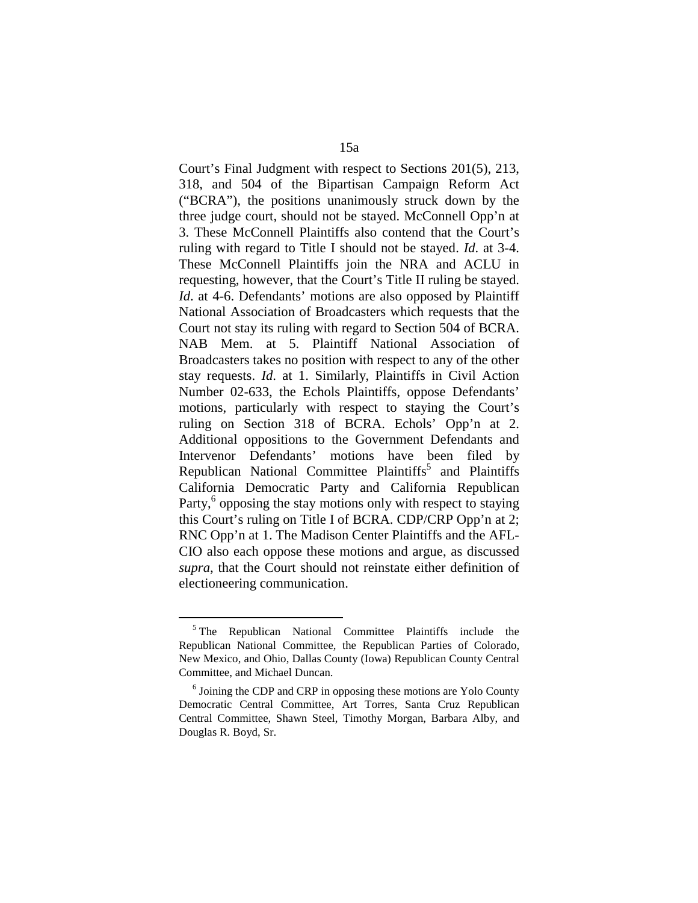Court's Final Judgment with respect to Sections 201(5), 213, 318, and 504 of the Bipartisan Campaign Reform Act ("BCRA"), the positions unanimously struck down by the three judge court, should not be stayed. McConnell Opp'n at 3. These McConnell Plaintiffs also contend that the Court's ruling with regard to Title I should not be stayed. *Id*. at 3-4. These McConnell Plaintiffs join the NRA and ACLU in requesting, however, that the Court's Title II ruling be stayed. *Id.* at 4-6. Defendants' motions are also opposed by Plaintiff National Association of Broadcasters which requests that the Court not stay its ruling with regard to Section 504 of BCRA. NAB Mem. at 5. Plaintiff National Association of Broadcasters takes no position with respect to any of the other stay requests. *Id*. at 1. Similarly, Plaintiffs in Civil Action Number 02-633, the Echols Plaintiffs, oppose Defendants' motions, particularly with respect to staying the Court's ruling on Section 318 of BCRA. Echols' Opp'n at 2. Additional oppositions to the Government Defendants and Intervenor Defendants' motions have been filed by Republican National Committee Plaintiffs<sup>5</sup> and Plaintiffs California Democratic Party and California Republican Party,<sup>6</sup> opposing the stay motions only with respect to staying this Court's ruling on Title I of BCRA. CDP/CRP Opp'n at 2; RNC Opp'n at 1. The Madison Center Plaintiffs and the AFL-CIO also each oppose these motions and argue, as discussed *supra*, that the Court should not reinstate either definition of electioneering communication.

<sup>5</sup> The Republican National Committee Plaintiffs include the Republican National Committee, the Republican Parties of Colorado, New Mexico, and Ohio, Dallas County (Iowa) Republican County Central Committee, and Michael Duncan.

<sup>6</sup> Joining the CDP and CRP in opposing these motions are Yolo County Democratic Central Committee, Art Torres, Santa Cruz Republican Central Committee, Shawn Steel, Timothy Morgan, Barbara Alby, and Douglas R. Boyd, Sr.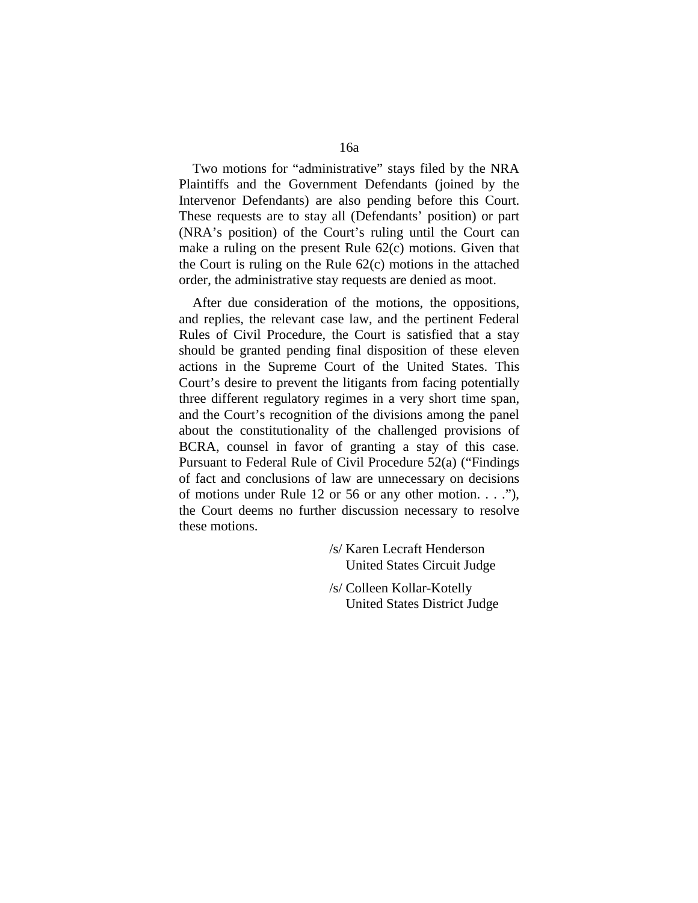Two motions for "administrative" stays filed by the NRA Plaintiffs and the Government Defendants (joined by the Intervenor Defendants) are also pending before this Court. These requests are to stay all (Defendants' position) or part (NRA's position) of the Court's ruling until the Court can make a ruling on the present Rule 62(c) motions. Given that the Court is ruling on the Rule 62(c) motions in the attached order, the administrative stay requests are denied as moot.

After due consideration of the motions, the oppositions, and replies, the relevant case law, and the pertinent Federal Rules of Civil Procedure, the Court is satisfied that a stay should be granted pending final disposition of these eleven actions in the Supreme Court of the United States. This Court's desire to prevent the litigants from facing potentially three different regulatory regimes in a very short time span, and the Court's recognition of the divisions among the panel about the constitutionality of the challenged provisions of BCRA, counsel in favor of granting a stay of this case. Pursuant to Federal Rule of Civil Procedure 52(a) ("Findings of fact and conclusions of law are unnecessary on decisions of motions under Rule 12 or 56 or any other motion. . . ."), the Court deems no further discussion necessary to resolve these motions.

> /s/ Karen Lecraft Henderson United States Circuit Judge

/s/ Colleen Kollar-Kotelly United States District Judge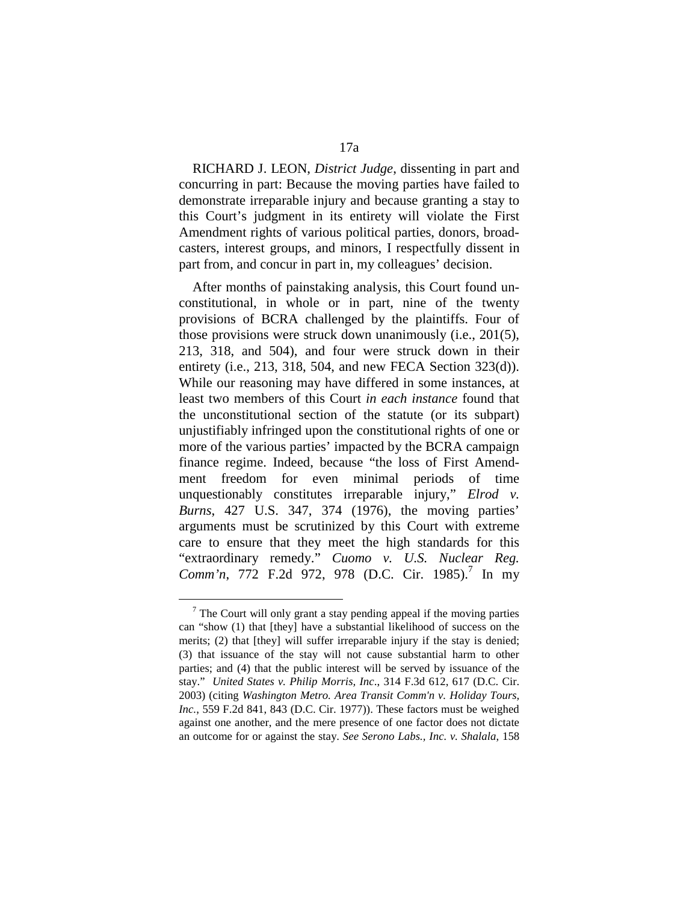RICHARD J. LEON, *District Judge*, dissenting in part and concurring in part: Because the moving parties have failed to demonstrate irreparable injury and because granting a stay to this Court's judgment in its entirety will violate the First Amendment rights of various political parties, donors, broadcasters, interest groups, and minors, I respectfully dissent in part from, and concur in part in, my colleagues' decision.

After months of painstaking analysis, this Court found unconstitutional, in whole or in part, nine of the twenty provisions of BCRA challenged by the plaintiffs. Four of those provisions were struck down unanimously (i.e., 201(5), 213, 318, and 504), and four were struck down in their entirety (i.e., 213, 318, 504, and new FECA Section 323(d)). While our reasoning may have differed in some instances, at least two members of this Court *in each instance* found that the unconstitutional section of the statute (or its subpart) unjustifiably infringed upon the constitutional rights of one or more of the various parties' impacted by the BCRA campaign finance regime. Indeed, because "the loss of First Amendment freedom for even minimal periods of time unquestionably constitutes irreparable injury," *Elrod v. Burns*, 427 U.S. 347, 374 (1976), the moving parties' arguments must be scrutinized by this Court with extreme care to ensure that they meet the high standards for this "extraordinary remedy." *Cuomo v. U.S. Nuclear Reg.*  Comm'n, 772 F.2d 972, 978 (D.C. Cir. 1985).<sup>7</sup> In my

 $7$  The Court will only grant a stay pending appeal if the moving parties can "show (1) that [they] have a substantial likelihood of success on the merits; (2) that [they] will suffer irreparable injury if the stay is denied; (3) that issuance of the stay will not cause substantial harm to other parties; and (4) that the public interest will be served by issuance of the stay." *United States v. Philip Morris, Inc*., 314 F.3d 612, 617 (D.C. Cir. 2003) (citing *Washington Metro. Area Transit Comm'n v. Holiday Tours, Inc.*, 559 F.2d 841, 843 (D.C. Cir. 1977)). These factors must be weighed against one another, and the mere presence of one factor does not dictate an outcome for or against the stay. *See Serono Labs., Inc. v. Shalala*, 158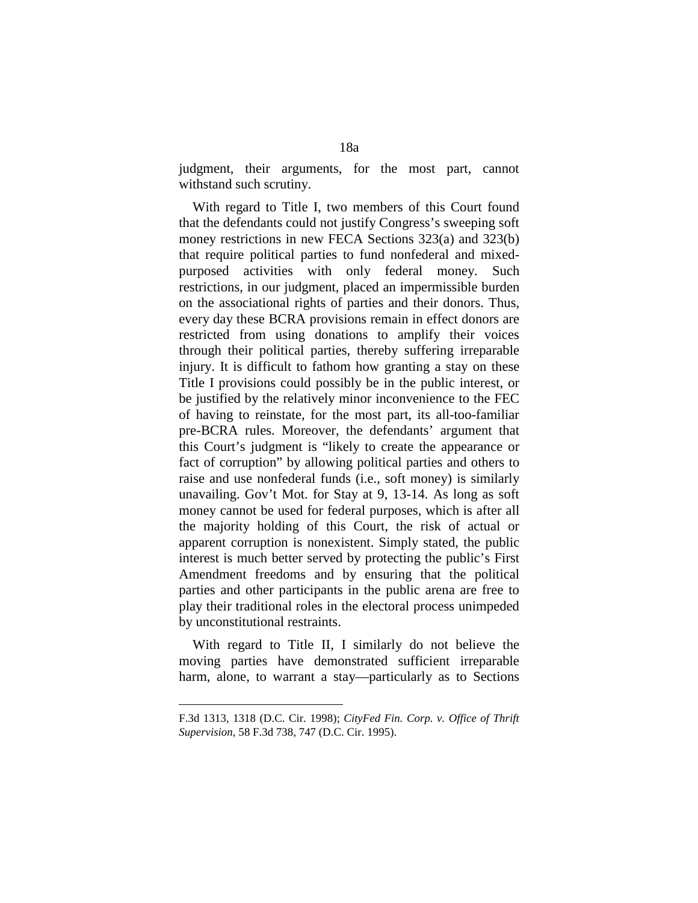judgment, their arguments, for the most part, cannot withstand such scrutiny.

With regard to Title I, two members of this Court found that the defendants could not justify Congress's sweeping soft money restrictions in new FECA Sections 323(a) and 323(b) that require political parties to fund nonfederal and mixedpurposed activities with only federal money. Such restrictions, in our judgment, placed an impermissible burden on the associational rights of parties and their donors. Thus, every day these BCRA provisions remain in effect donors are restricted from using donations to amplify their voices through their political parties, thereby suffering irreparable injury. It is difficult to fathom how granting a stay on these Title I provisions could possibly be in the public interest, or be justified by the relatively minor inconvenience to the FEC of having to reinstate, for the most part, its all-too-familiar pre-BCRA rules. Moreover, the defendants' argument that this Court's judgment is "likely to create the appearance or fact of corruption" by allowing political parties and others to raise and use nonfederal funds (i.e., soft money) is similarly unavailing. Gov't Mot. for Stay at 9, 13-14. As long as soft money cannot be used for federal purposes, which is after all the majority holding of this Court, the risk of actual or apparent corruption is nonexistent. Simply stated, the public interest is much better served by protecting the public's First Amendment freedoms and by ensuring that the political parties and other participants in the public arena are free to play their traditional roles in the electoral process unimpeded by unconstitutional restraints.

With regard to Title II, I similarly do not believe the moving parties have demonstrated sufficient irreparable harm, alone, to warrant a stay—particularly as to Sections

F.3d 1313, 1318 (D.C. Cir. 1998); *CityFed Fin. Corp. v. Office of Thrift Supervision*, 58 F.3d 738, 747 (D.C. Cir. 1995).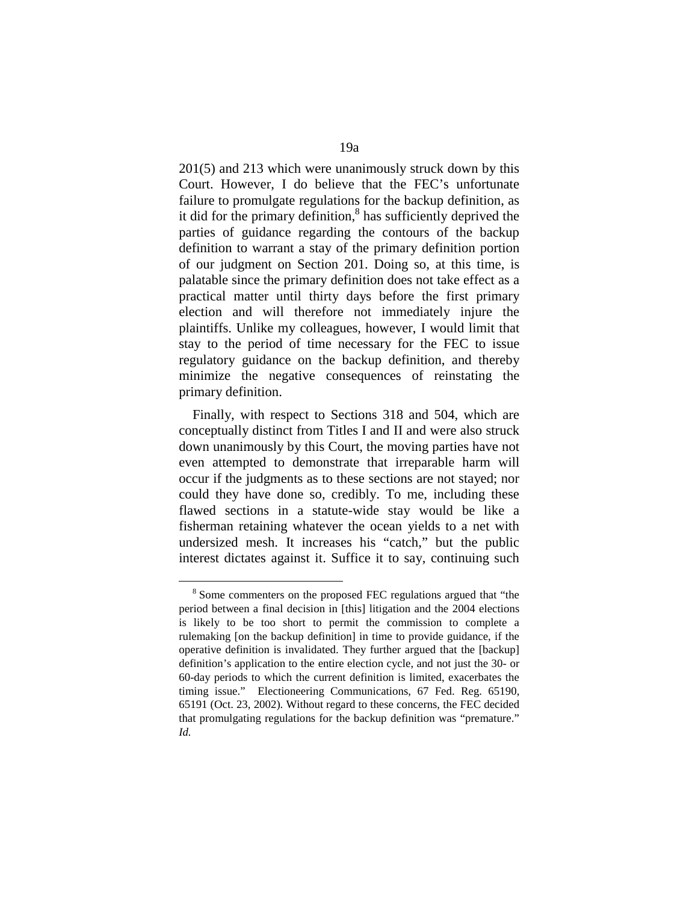201(5) and 213 which were unanimously struck down by this Court. However, I do believe that the FEC's unfortunate failure to promulgate regulations for the backup definition, as it did for the primary definition,<sup>8</sup> has sufficiently deprived the parties of guidance regarding the contours of the backup definition to warrant a stay of the primary definition portion of our judgment on Section 201. Doing so, at this time, is palatable since the primary definition does not take effect as a practical matter until thirty days before the first primary election and will therefore not immediately injure the plaintiffs. Unlike my colleagues, however, I would limit that stay to the period of time necessary for the FEC to issue regulatory guidance on the backup definition, and thereby minimize the negative consequences of reinstating the primary definition.

Finally, with respect to Sections 318 and 504, which are conceptually distinct from Titles I and II and were also struck down unanimously by this Court, the moving parties have not even attempted to demonstrate that irreparable harm will occur if the judgments as to these sections are not stayed; nor could they have done so, credibly. To me, including these flawed sections in a statute-wide stay would be like a fisherman retaining whatever the ocean yields to a net with undersized mesh. It increases his "catch," but the public interest dictates against it. Suffice it to say, continuing such

<sup>8</sup> Some commenters on the proposed FEC regulations argued that "the period between a final decision in [this] litigation and the 2004 elections is likely to be too short to permit the commission to complete a rulemaking [on the backup definition] in time to provide guidance, if the operative definition is invalidated. They further argued that the [backup] definition's application to the entire election cycle, and not just the 30- or 60-day periods to which the current definition is limited, exacerbates the timing issue." Electioneering Communications, 67 Fed. Reg. 65190, 65191 (Oct. 23, 2002). Without regard to these concerns, the FEC decided that promulgating regulations for the backup definition was "premature." *Id.*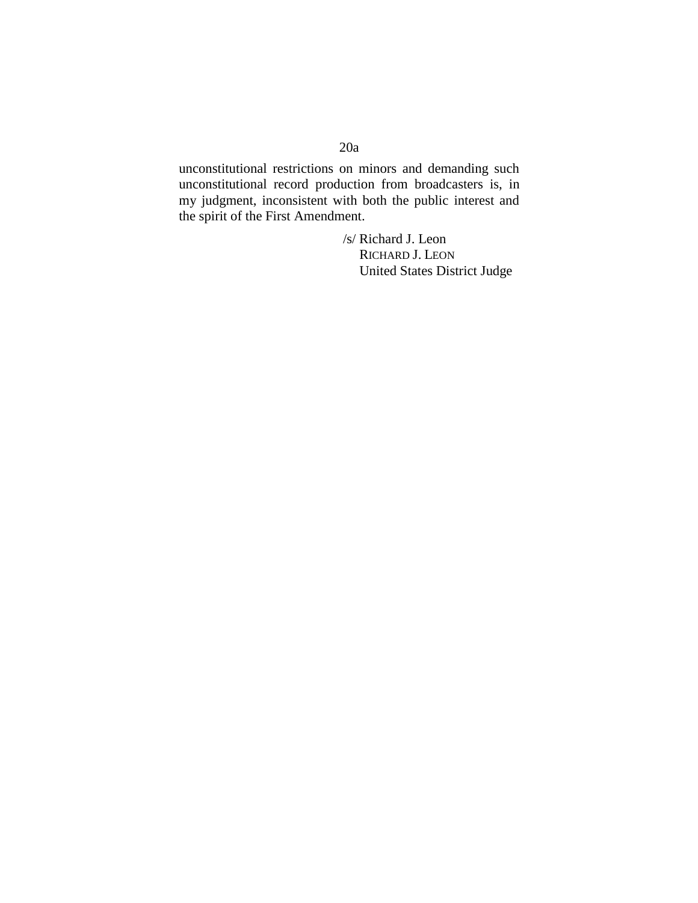# 20a

unconstitutional restrictions on minors and demanding such unconstitutional record production from broadcasters is, in my judgment, inconsistent with both the public interest and the spirit of the First Amendment.

> /s/ Richard J. Leon RICHARD J. LEON United States District Judge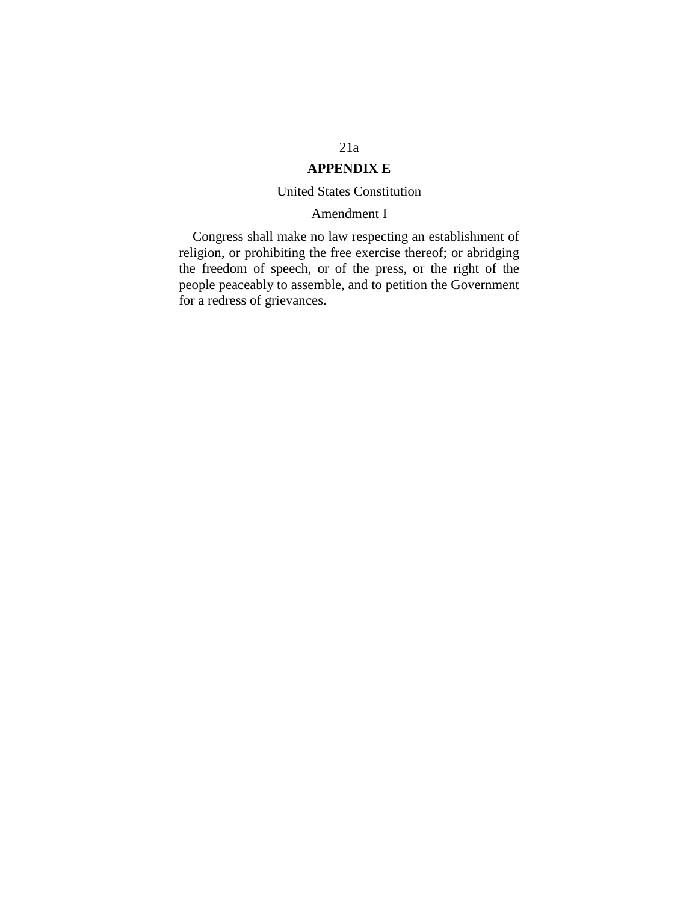# 21a

# **APPENDIX E**

## United States Constitution

## Amendment I

Congress shall make no law respecting an establishment of religion, or prohibiting the free exercise thereof; or abridging the freedom of speech, or of the press, or the right of the people peaceably to assemble, and to petition the Government for a redress of grievances.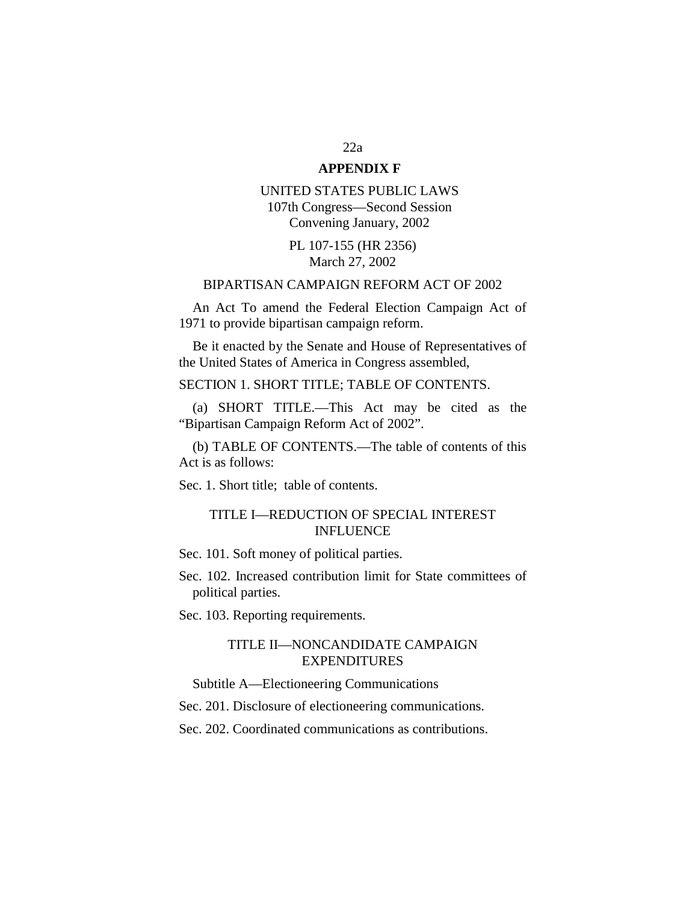## 22a **APPENDIX F**

UNITED STATES PUBLIC LAWS 107th Congress—Second Session Convening January, 2002

> PL 107-155 (HR 2356) March 27, 2002

## BIPARTISAN CAMPAIGN REFORM ACT OF 2002

An Act To amend the Federal Election Campaign Act of 1971 to provide bipartisan campaign reform.

Be it enacted by the Senate and House of Representatives of the United States of America in Congress assembled,

SECTION 1. SHORT TITLE; TABLE OF CONTENTS.

(a) SHORT TITLE.—This Act may be cited as the "Bipartisan Campaign Reform Act of 2002".

(b) TABLE OF CONTENTS.—The table of contents of this Act is as follows:

Sec. 1. Short title; table of contents.

## TITLE I—REDUCTION OF SPECIAL INTEREST INFLUENCE

Sec. 101. Soft money of political parties.

Sec. 102. Increased contribution limit for State committees of political parties.

Sec. 103. Reporting requirements.

## TITLE II—NONCANDIDATE CAMPAIGN EXPENDITURES

Subtitle A—Electioneering Communications

Sec. 201. Disclosure of electioneering communications.

Sec. 202. Coordinated communications as contributions.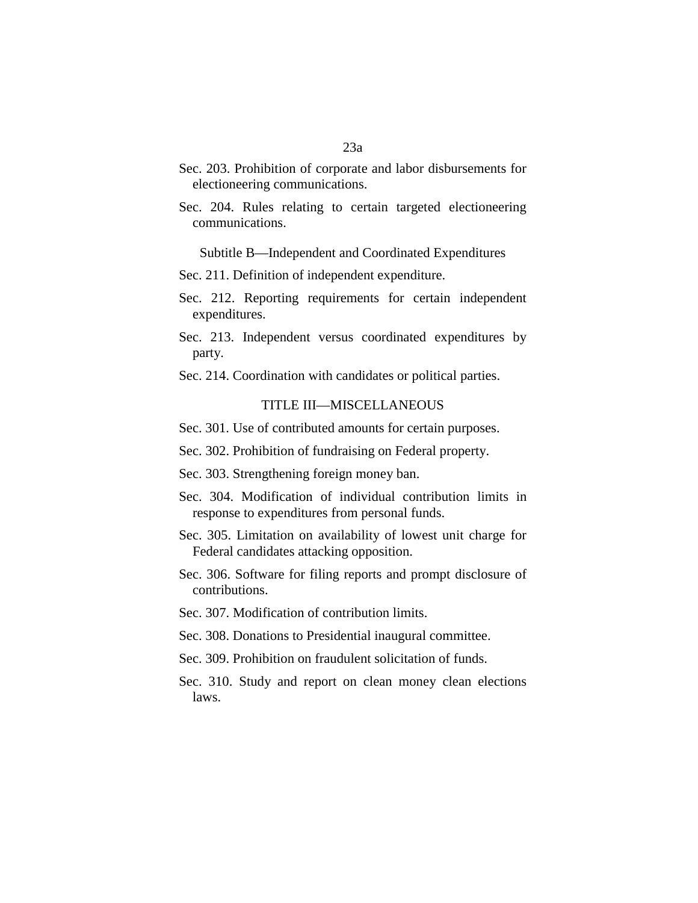- Sec. 203. Prohibition of corporate and labor disbursements for electioneering communications.
- Sec. 204. Rules relating to certain targeted electioneering communications.

Subtitle B—Independent and Coordinated Expenditures

Sec. 211. Definition of independent expenditure.

- Sec. 212. Reporting requirements for certain independent expenditures.
- Sec. 213. Independent versus coordinated expenditures by party.
- Sec. 214. Coordination with candidates or political parties.

### TITLE III—MISCELLANEOUS

Sec. 301. Use of contributed amounts for certain purposes.

- Sec. 302. Prohibition of fundraising on Federal property.
- Sec. 303. Strengthening foreign money ban.
- Sec. 304. Modification of individual contribution limits in response to expenditures from personal funds.
- Sec. 305. Limitation on availability of lowest unit charge for Federal candidates attacking opposition.
- Sec. 306. Software for filing reports and prompt disclosure of contributions.
- Sec. 307. Modification of contribution limits.
- Sec. 308. Donations to Presidential inaugural committee.
- Sec. 309. Prohibition on fraudulent solicitation of funds.
- Sec. 310. Study and report on clean money clean elections laws.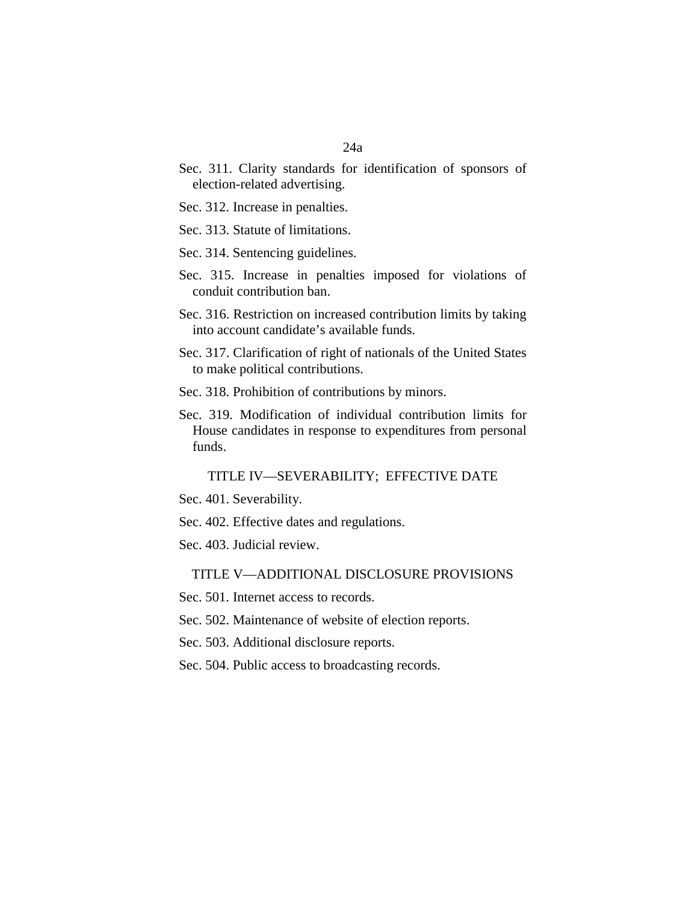- Sec. 311. Clarity standards for identification of sponsors of election-related advertising.
- Sec. 312. Increase in penalties.
- Sec. 313. Statute of limitations.
- Sec. 314. Sentencing guidelines.
- Sec. 315. Increase in penalties imposed for violations of conduit contribution ban.
- Sec. 316. Restriction on increased contribution limits by taking into account candidate's available funds.
- Sec. 317. Clarification of right of nationals of the United States to make political contributions.
- Sec. 318. Prohibition of contributions by minors.
- Sec. 319. Modification of individual contribution limits for House candidates in response to expenditures from personal funds.

TITLE IV—SEVERABILITY; EFFECTIVE DATE

- Sec. 401. Severability.
- Sec. 402. Effective dates and regulations.
- Sec. 403. Judicial review.

### TITLE V—ADDITIONAL DISCLOSURE PROVISIONS

- Sec. 501. Internet access to records.
- Sec. 502. Maintenance of website of election reports.
- Sec. 503. Additional disclosure reports.
- Sec. 504. Public access to broadcasting records.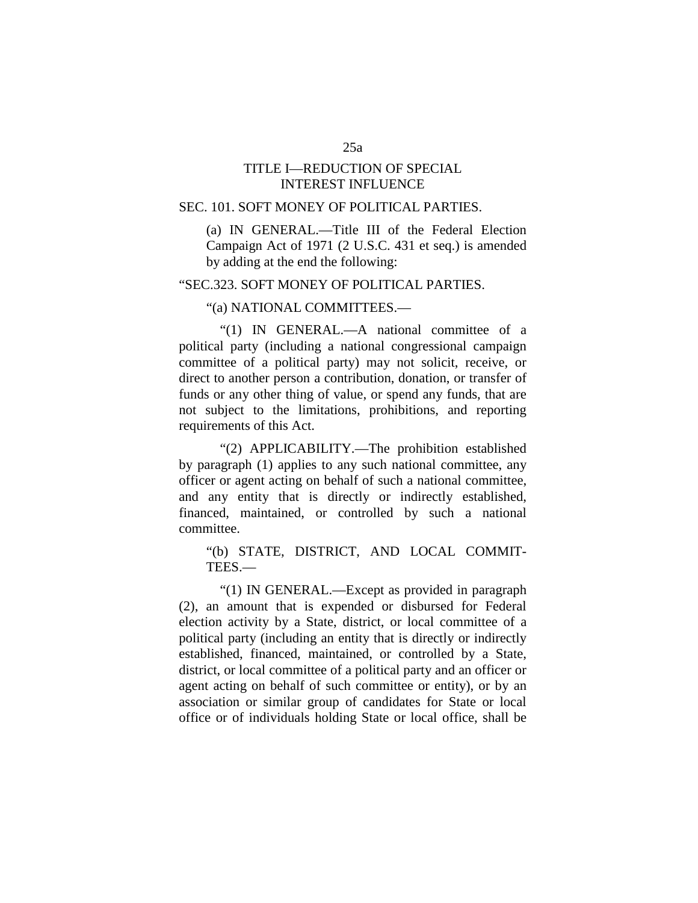## TITLE I—REDUCTION OF SPECIAL INTEREST INFLUENCE

## SEC. 101. SOFT MONEY OF POLITICAL PARTIES.

(a) IN GENERAL.—Title III of the Federal Election Campaign Act of 1971 (2 U.S.C. 431 et seq.) is amended by adding at the end the following:

### "SEC.323. SOFT MONEY OF POLITICAL PARTIES.

### "(a) NATIONAL COMMITTEES.—

"(1) IN GENERAL.—A national committee of a political party (including a national congressional campaign committee of a political party) may not solicit, receive, or direct to another person a contribution, donation, or transfer of funds or any other thing of value, or spend any funds, that are not subject to the limitations, prohibitions, and reporting requirements of this Act.

"(2) APPLICABILITY.—The prohibition established by paragraph (1) applies to any such national committee, any officer or agent acting on behalf of such a national committee, and any entity that is directly or indirectly established, financed, maintained, or controlled by such a national committee.

"(b) STATE, DISTRICT, AND LOCAL COMMIT-TEES.—

"(1) IN GENERAL.—Except as provided in paragraph (2), an amount that is expended or disbursed for Federal election activity by a State, district, or local committee of a political party (including an entity that is directly or indirectly established, financed, maintained, or controlled by a State, district, or local committee of a political party and an officer or agent acting on behalf of such committee or entity), or by an association or similar group of candidates for State or local office or of individuals holding State or local office, shall be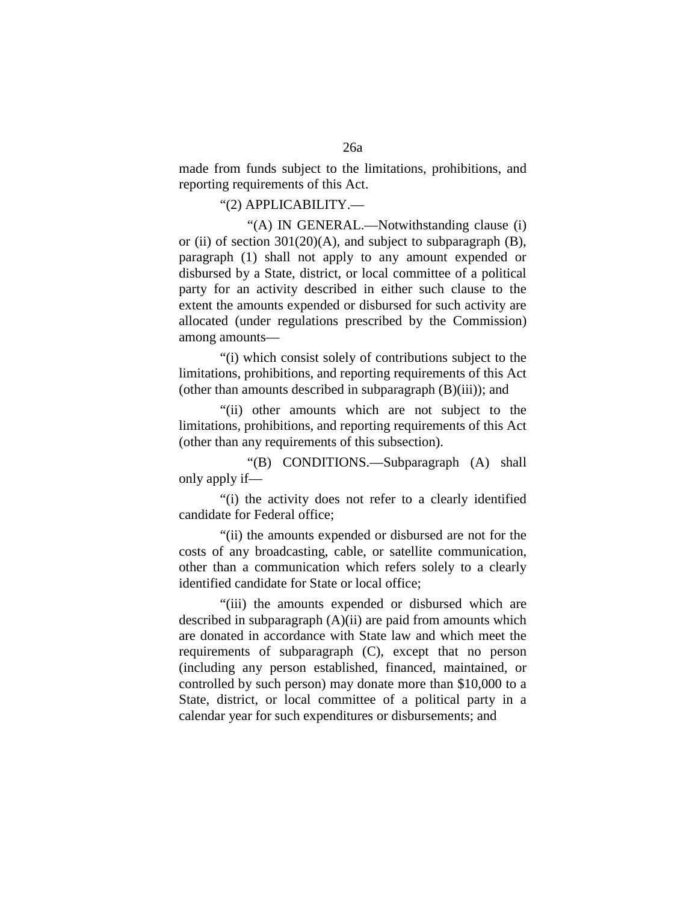made from funds subject to the limitations, prohibitions, and reporting requirements of this Act.

### "(2) APPLICABILITY.—

"(A) IN GENERAL.—Notwithstanding clause (i) or (ii) of section  $301(20)(A)$ , and subject to subparagraph (B), paragraph (1) shall not apply to any amount expended or disbursed by a State, district, or local committee of a political party for an activity described in either such clause to the extent the amounts expended or disbursed for such activity are allocated (under regulations prescribed by the Commission) among amounts—

"(i) which consist solely of contributions subject to the limitations, prohibitions, and reporting requirements of this Act (other than amounts described in subparagraph (B)(iii)); and

"(ii) other amounts which are not subject to the limitations, prohibitions, and reporting requirements of this Act (other than any requirements of this subsection).

"(B) CONDITIONS.—Subparagraph (A) shall only apply if—

"(i) the activity does not refer to a clearly identified candidate for Federal office;

"(ii) the amounts expended or disbursed are not for the costs of any broadcasting, cable, or satellite communication, other than a communication which refers solely to a clearly identified candidate for State or local office;

"(iii) the amounts expended or disbursed which are described in subparagraph (A)(ii) are paid from amounts which are donated in accordance with State law and which meet the requirements of subparagraph (C), except that no person (including any person established, financed, maintained, or controlled by such person) may donate more than \$10,000 to a State, district, or local committee of a political party in a calendar year for such expenditures or disbursements; and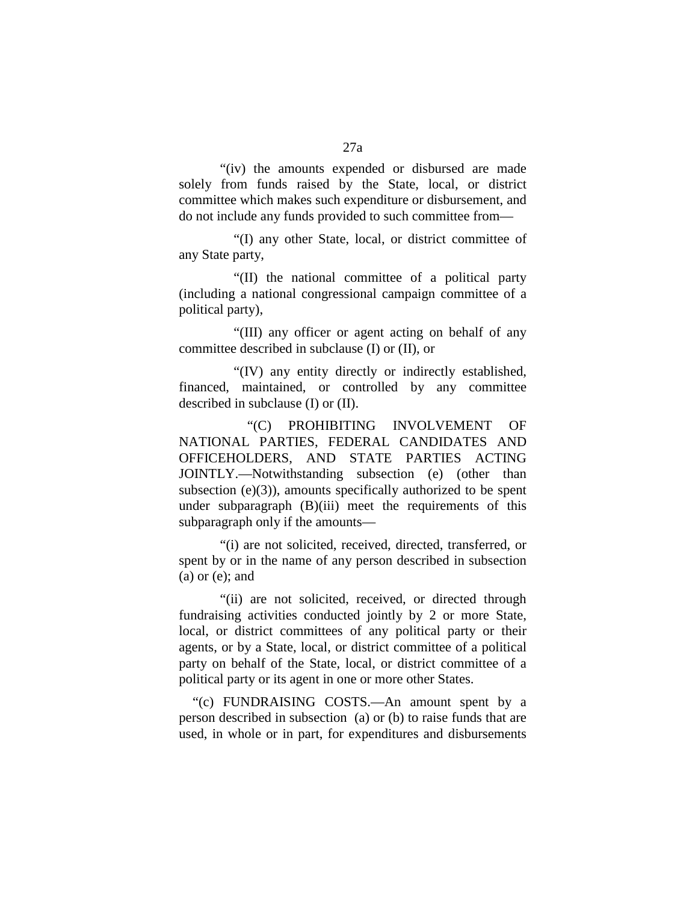"(iv) the amounts expended or disbursed are made solely from funds raised by the State, local, or district committee which makes such expenditure or disbursement, and do not include any funds provided to such committee from—

"(I) any other State, local, or district committee of any State party,

"(II) the national committee of a political party (including a national congressional campaign committee of a political party),

"(III) any officer or agent acting on behalf of any committee described in subclause (I) or (II), or

"(IV) any entity directly or indirectly established, financed, maintained, or controlled by any committee described in subclause (I) or (II).

"(C) PROHIBITING INVOLVEMENT OF NATIONAL PARTIES, FEDERAL CANDIDATES AND OFFICEHOLDERS, AND STATE PARTIES ACTING JOINTLY.—Notwithstanding subsection (e) (other than subsection  $(e)(3)$ , amounts specifically authorized to be spent under subparagraph (B)(iii) meet the requirements of this subparagraph only if the amounts—

"(i) are not solicited, received, directed, transferred, or spent by or in the name of any person described in subsection  $(a)$  or  $(e)$ ; and

"(ii) are not solicited, received, or directed through fundraising activities conducted jointly by 2 or more State, local, or district committees of any political party or their agents, or by a State, local, or district committee of a political party on behalf of the State, local, or district committee of a political party or its agent in one or more other States.

"(c) FUNDRAISING COSTS.—An amount spent by a person described in subsection (a) or (b) to raise funds that are used, in whole or in part, for expenditures and disbursements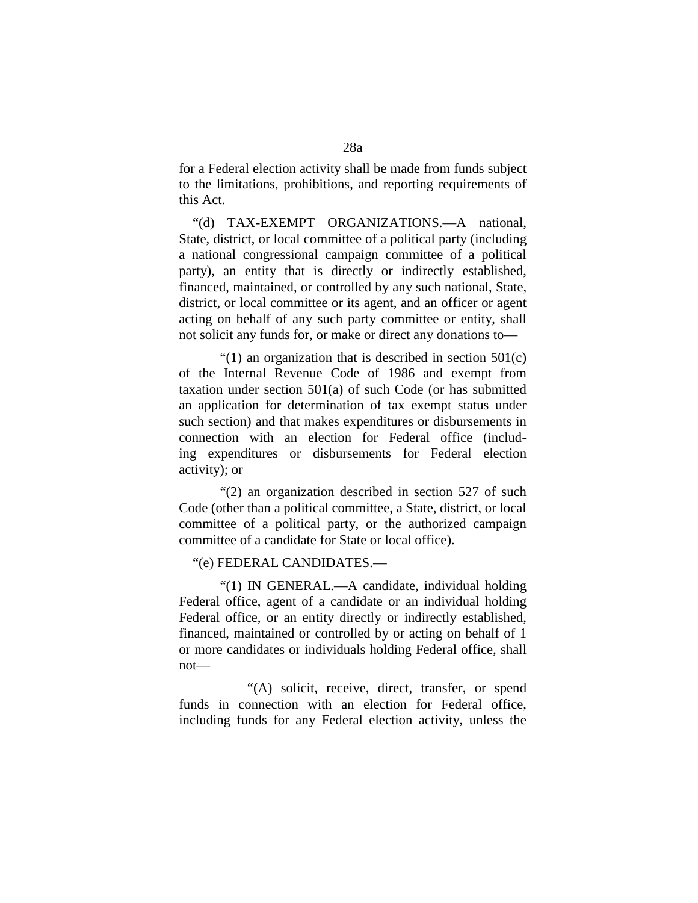for a Federal election activity shall be made from funds subject to the limitations, prohibitions, and reporting requirements of this Act.

"(d) TAX-EXEMPT ORGANIZATIONS.—A national, State, district, or local committee of a political party (including a national congressional campaign committee of a political party), an entity that is directly or indirectly established, financed, maintained, or controlled by any such national, State, district, or local committee or its agent, and an officer or agent acting on behalf of any such party committee or entity, shall not solicit any funds for, or make or direct any donations to—

"(1) an organization that is described in section  $501(c)$ of the Internal Revenue Code of 1986 and exempt from taxation under section 501(a) of such Code (or has submitted an application for determination of tax exempt status under such section) and that makes expenditures or disbursements in connection with an election for Federal office (including expenditures or disbursements for Federal election activity); or

"(2) an organization described in section 527 of such Code (other than a political committee, a State, district, or local committee of a political party, or the authorized campaign committee of a candidate for State or local office).

### "(e) FEDERAL CANDIDATES.—

"(1) IN GENERAL.—A candidate, individual holding Federal office, agent of a candidate or an individual holding Federal office, or an entity directly or indirectly established, financed, maintained or controlled by or acting on behalf of 1 or more candidates or individuals holding Federal office, shall not—

"(A) solicit, receive, direct, transfer, or spend funds in connection with an election for Federal office, including funds for any Federal election activity, unless the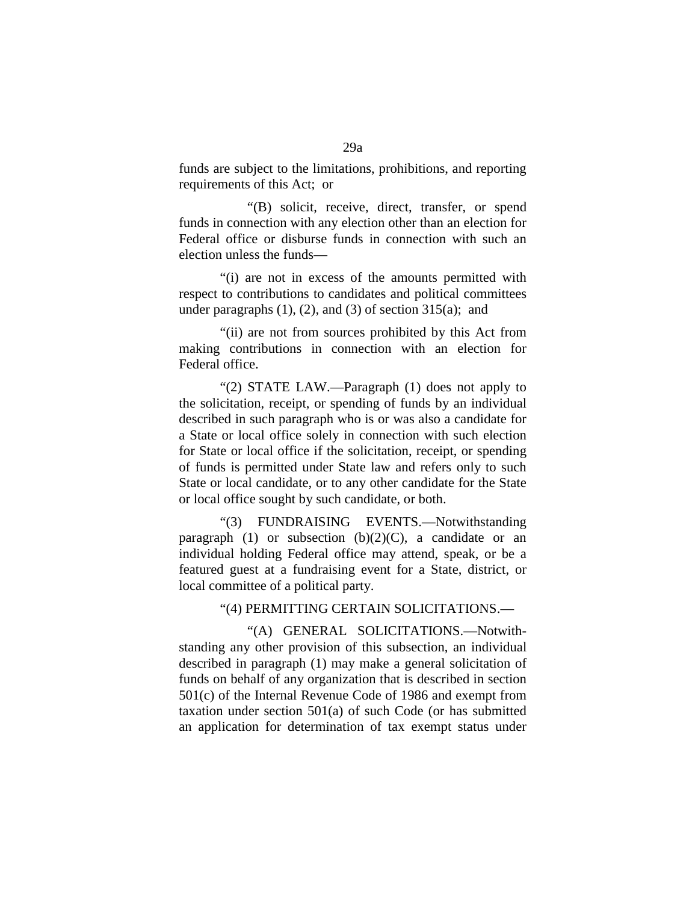funds are subject to the limitations, prohibitions, and reporting requirements of this Act; or

"(B) solicit, receive, direct, transfer, or spend funds in connection with any election other than an election for Federal office or disburse funds in connection with such an election unless the funds—

"(i) are not in excess of the amounts permitted with respect to contributions to candidates and political committees under paragraphs  $(1)$ ,  $(2)$ , and  $(3)$  of section  $315(a)$ ; and

"(ii) are not from sources prohibited by this Act from making contributions in connection with an election for Federal office.

"(2) STATE LAW.—Paragraph (1) does not apply to the solicitation, receipt, or spending of funds by an individual described in such paragraph who is or was also a candidate for a State or local office solely in connection with such election for State or local office if the solicitation, receipt, or spending of funds is permitted under State law and refers only to such State or local candidate, or to any other candidate for the State or local office sought by such candidate, or both.

"(3) FUNDRAISING EVENTS.—Notwithstanding paragraph (1) or subsection  $(b)(2)(C)$ , a candidate or an individual holding Federal office may attend, speak, or be a featured guest at a fundraising event for a State, district, or local committee of a political party.

"(4) PERMITTING CERTAIN SOLICITATIONS.—

"(A) GENERAL SOLICITATIONS.—Notwithstanding any other provision of this subsection, an individual described in paragraph (1) may make a general solicitation of funds on behalf of any organization that is described in section 501(c) of the Internal Revenue Code of 1986 and exempt from taxation under section 501(a) of such Code (or has submitted an application for determination of tax exempt status under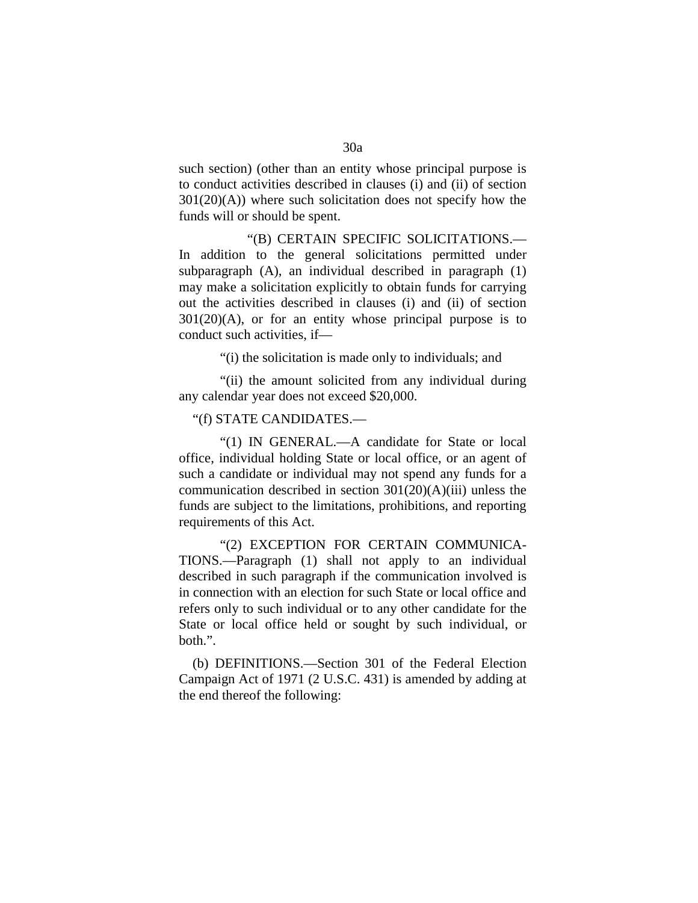such section) (other than an entity whose principal purpose is to conduct activities described in clauses (i) and (ii) of section  $301(20)(A)$ ) where such solicitation does not specify how the funds will or should be spent.

"(B) CERTAIN SPECIFIC SOLICITATIONS.— In addition to the general solicitations permitted under subparagraph (A), an individual described in paragraph (1) may make a solicitation explicitly to obtain funds for carrying out the activities described in clauses (i) and (ii) of section  $301(20)(A)$ , or for an entity whose principal purpose is to conduct such activities, if—

"(i) the solicitation is made only to individuals; and

"(ii) the amount solicited from any individual during any calendar year does not exceed \$20,000.

"(f) STATE CANDIDATES.—

"(1) IN GENERAL.—A candidate for State or local office, individual holding State or local office, or an agent of such a candidate or individual may not spend any funds for a communication described in section 301(20)(A)(iii) unless the funds are subject to the limitations, prohibitions, and reporting requirements of this Act.

"(2) EXCEPTION FOR CERTAIN COMMUNICA-TIONS.—Paragraph (1) shall not apply to an individual described in such paragraph if the communication involved is in connection with an election for such State or local office and refers only to such individual or to any other candidate for the State or local office held or sought by such individual, or both.".

(b) DEFINITIONS.—Section 301 of the Federal Election Campaign Act of 1971 (2 U.S.C. 431) is amended by adding at the end thereof the following: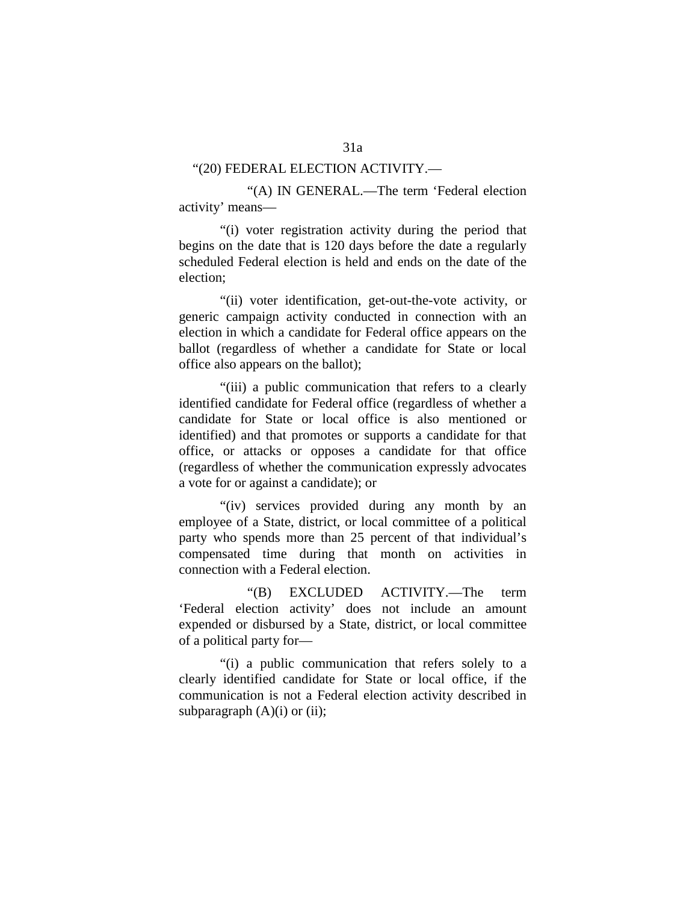### "(20) FEDERAL ELECTION ACTIVITY.—

"(A) IN GENERAL.—The term 'Federal election activity' means—

"(i) voter registration activity during the period that begins on the date that is 120 days before the date a regularly scheduled Federal election is held and ends on the date of the election;

"(ii) voter identification, get-out-the-vote activity, or generic campaign activity conducted in connection with an election in which a candidate for Federal office appears on the ballot (regardless of whether a candidate for State or local office also appears on the ballot);

"(iii) a public communication that refers to a clearly identified candidate for Federal office (regardless of whether a candidate for State or local office is also mentioned or identified) and that promotes or supports a candidate for that office, or attacks or opposes a candidate for that office (regardless of whether the communication expressly advocates a vote for or against a candidate); or

"(iv) services provided during any month by an employee of a State, district, or local committee of a political party who spends more than 25 percent of that individual's compensated time during that month on activities in connection with a Federal election.

"(B) EXCLUDED ACTIVITY.—The term 'Federal election activity' does not include an amount expended or disbursed by a State, district, or local committee of a political party for—

"(i) a public communication that refers solely to a clearly identified candidate for State or local office, if the communication is not a Federal election activity described in subparagraph  $(A)(i)$  or  $(ii)$ ;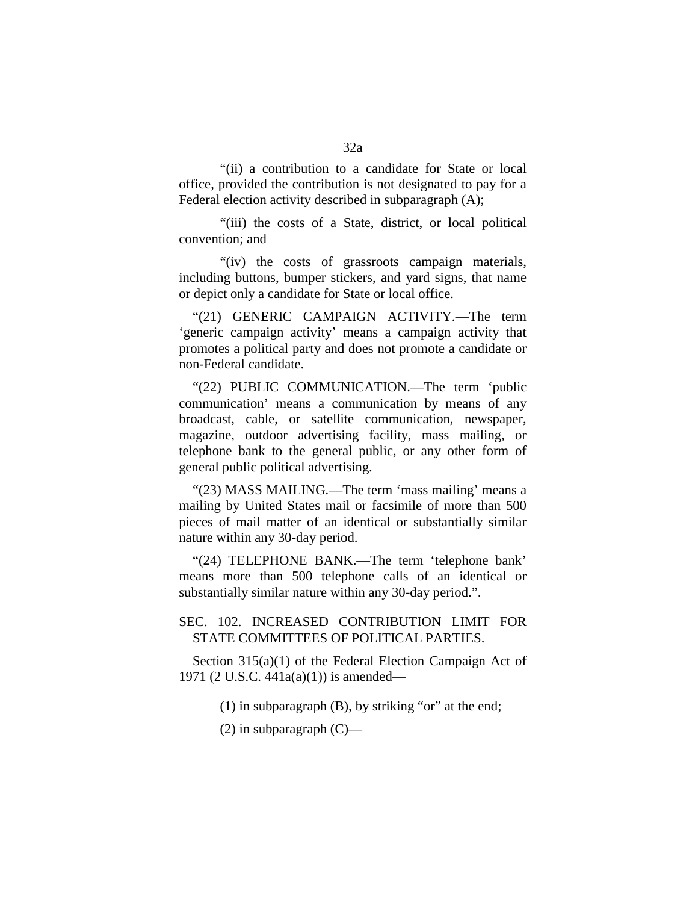"(ii) a contribution to a candidate for State or local office, provided the contribution is not designated to pay for a Federal election activity described in subparagraph (A);

"(iii) the costs of a State, district, or local political convention; and

"(iv) the costs of grassroots campaign materials, including buttons, bumper stickers, and yard signs, that name or depict only a candidate for State or local office.

"(21) GENERIC CAMPAIGN ACTIVITY.—The term 'generic campaign activity' means a campaign activity that promotes a political party and does not promote a candidate or non-Federal candidate.

"(22) PUBLIC COMMUNICATION.—The term 'public communication' means a communication by means of any broadcast, cable, or satellite communication, newspaper, magazine, outdoor advertising facility, mass mailing, or telephone bank to the general public, or any other form of general public political advertising.

"(23) MASS MAILING.—The term 'mass mailing' means a mailing by United States mail or facsimile of more than 500 pieces of mail matter of an identical or substantially similar nature within any 30-day period.

"(24) TELEPHONE BANK.—The term 'telephone bank' means more than 500 telephone calls of an identical or substantially similar nature within any 30-day period.".

## SEC. 102. INCREASED CONTRIBUTION LIMIT FOR STATE COMMITTEES OF POLITICAL PARTIES.

Section 315(a)(1) of the Federal Election Campaign Act of 1971 (2 U.S.C. 441a(a)(1)) is amended—

(1) in subparagraph (B), by striking "or" at the end;

 $(2)$  in subparagraph  $(C)$ —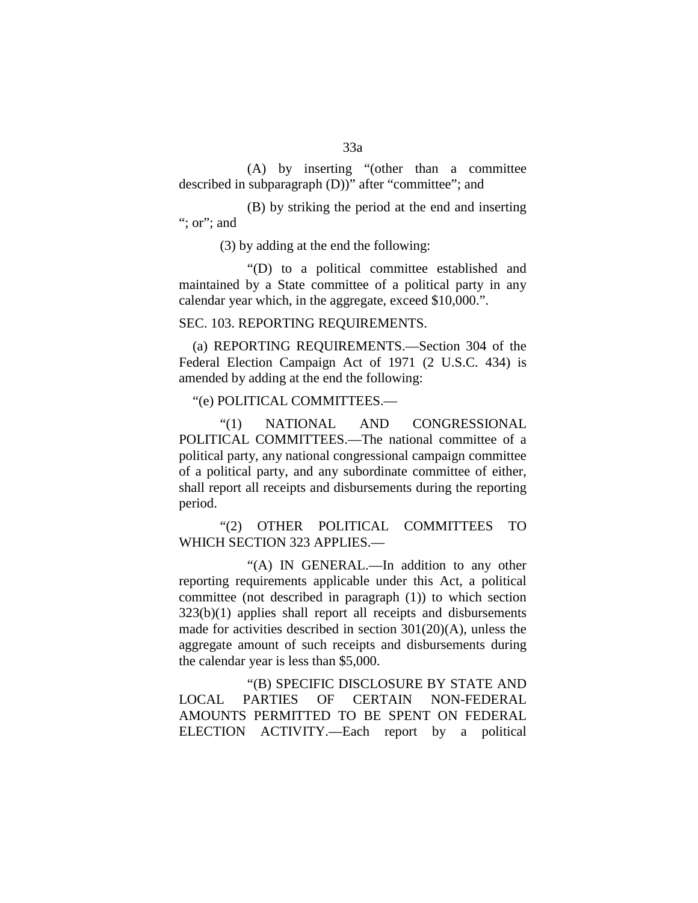(A) by inserting "(other than a committee described in subparagraph (D))" after "committee"; and

(B) by striking the period at the end and inserting "; or"; and

(3) by adding at the end the following:

"(D) to a political committee established and maintained by a State committee of a political party in any calendar year which, in the aggregate, exceed \$10,000.".

### SEC. 103. REPORTING REQUIREMENTS.

(a) REPORTING REQUIREMENTS.—Section 304 of the Federal Election Campaign Act of 1971 (2 U.S.C. 434) is amended by adding at the end the following:

"(e) POLITICAL COMMITTEES.—

"(1) NATIONAL AND CONGRESSIONAL POLITICAL COMMITTEES.—The national committee of a political party, any national congressional campaign committee of a political party, and any subordinate committee of either, shall report all receipts and disbursements during the reporting period.

"(2) OTHER POLITICAL COMMITTEES TO WHICH SECTION 323 APPLIES.—

"(A) IN GENERAL.—In addition to any other reporting requirements applicable under this Act, a political committee (not described in paragraph (1)) to which section 323(b)(1) applies shall report all receipts and disbursements made for activities described in section 301(20)(A), unless the aggregate amount of such receipts and disbursements during the calendar year is less than \$5,000.

"(B) SPECIFIC DISCLOSURE BY STATE AND LOCAL PARTIES OF CERTAIN NON-FEDERAL AMOUNTS PERMITTED TO BE SPENT ON FEDERAL ELECTION ACTIVITY.—Each report by a political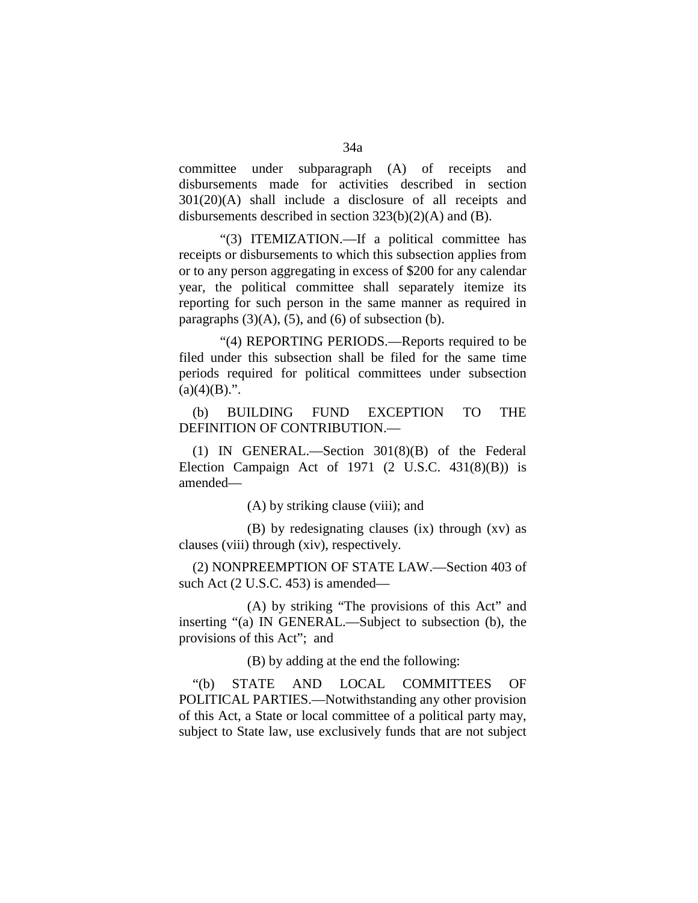committee under subparagraph (A) of receipts and disbursements made for activities described in section 301(20)(A) shall include a disclosure of all receipts and disbursements described in section 323(b)(2)(A) and (B).

"(3) ITEMIZATION.—If a political committee has receipts or disbursements to which this subsection applies from or to any person aggregating in excess of \$200 for any calendar year, the political committee shall separately itemize its reporting for such person in the same manner as required in paragraphs  $(3)(A)$ ,  $(5)$ , and  $(6)$  of subsection  $(b)$ .

"(4) REPORTING PERIODS.—Reports required to be filed under this subsection shall be filed for the same time periods required for political committees under subsection  $(a)(4)(B)$ .".

(b) BUILDING FUND EXCEPTION TO THE DEFINITION OF CONTRIBUTION.—

(1) IN GENERAL.—Section 301(8)(B) of the Federal Election Campaign Act of  $1971$  (2 U.S.C.  $431(8)(B)$ ) is amended—

(A) by striking clause (viii); and

(B) by redesignating clauses (ix) through (xv) as clauses (viii) through (xiv), respectively.

(2) NONPREEMPTION OF STATE LAW.—Section 403 of such Act (2 U.S.C. 453) is amended—

(A) by striking "The provisions of this Act" and inserting "(a) IN GENERAL.—Subject to subsection (b), the provisions of this Act"; and

(B) by adding at the end the following:

"(b) STATE AND LOCAL COMMITTEES OF POLITICAL PARTIES.—Notwithstanding any other provision of this Act, a State or local committee of a political party may, subject to State law, use exclusively funds that are not subject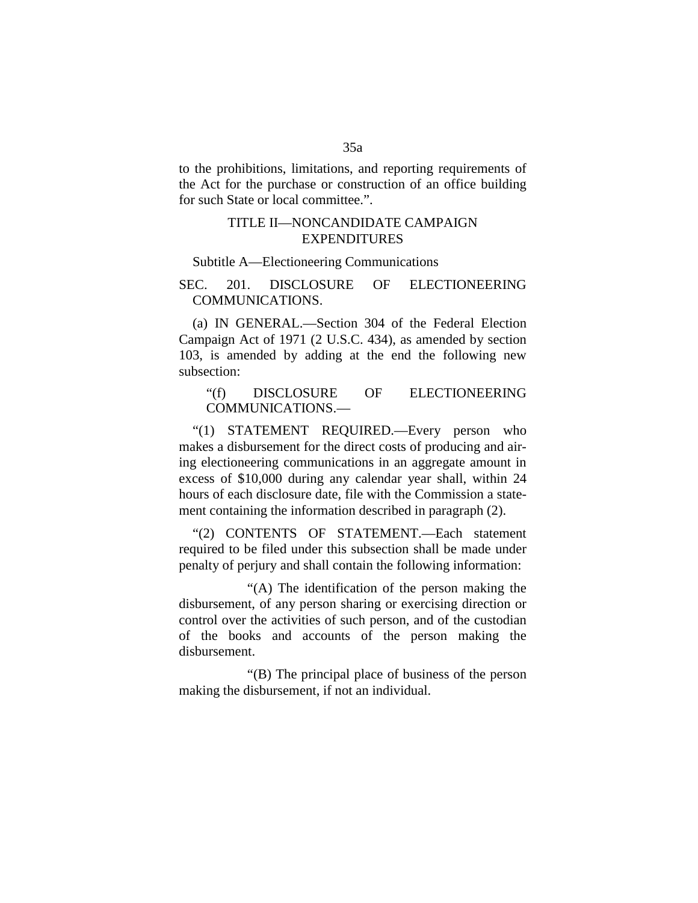to the prohibitions, limitations, and reporting requirements of the Act for the purchase or construction of an office building for such State or local committee.".

## TITLE II—NONCANDIDATE CAMPAIGN EXPENDITURES

#### Subtitle A—Electioneering Communications

## SEC. 201. DISCLOSURE OF ELECTIONEERING COMMUNICATIONS.

(a) IN GENERAL.—Section 304 of the Federal Election Campaign Act of 1971 (2 U.S.C. 434), as amended by section 103, is amended by adding at the end the following new subsection:

### "(f) DISCLOSURE OF ELECTIONEERING COMMUNICATIONS.—

"(1) STATEMENT REQUIRED.—Every person who makes a disbursement for the direct costs of producing and airing electioneering communications in an aggregate amount in excess of \$10,000 during any calendar year shall, within 24 hours of each disclosure date, file with the Commission a statement containing the information described in paragraph (2).

"(2) CONTENTS OF STATEMENT.—Each statement required to be filed under this subsection shall be made under penalty of perjury and shall contain the following information:

"(A) The identification of the person making the disbursement, of any person sharing or exercising direction or control over the activities of such person, and of the custodian of the books and accounts of the person making the disbursement.

"(B) The principal place of business of the person making the disbursement, if not an individual.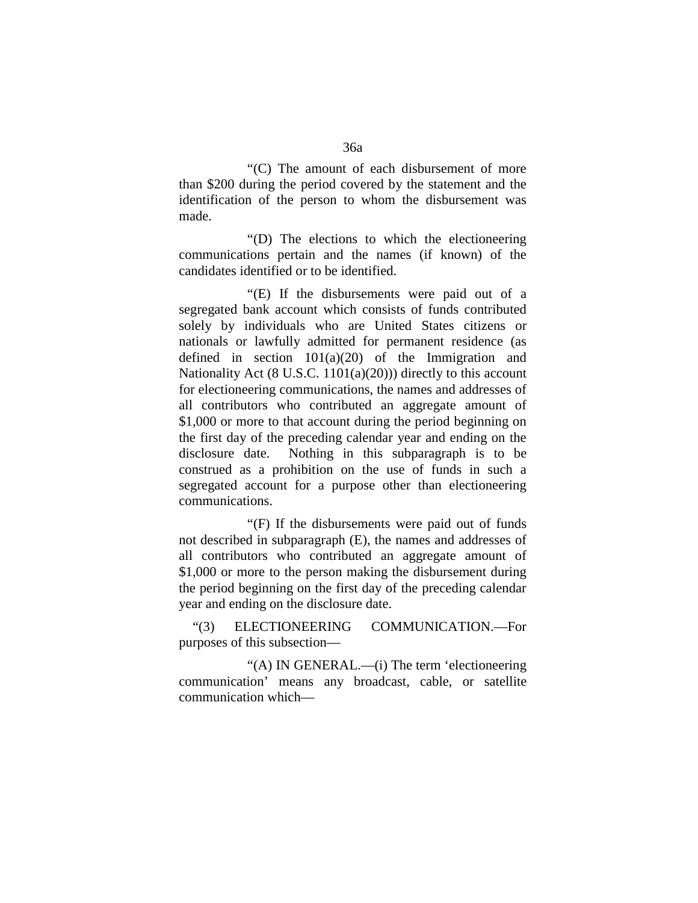"(C) The amount of each disbursement of more than \$200 during the period covered by the statement and the identification of the person to whom the disbursement was made.

"(D) The elections to which the electioneering communications pertain and the names (if known) of the candidates identified or to be identified.

"(E) If the disbursements were paid out of a segregated bank account which consists of funds contributed solely by individuals who are United States citizens or nationals or lawfully admitted for permanent residence (as defined in section  $101(a)(20)$  of the Immigration and Nationality Act (8 U.S.C. 1101(a)(20))) directly to this account for electioneering communications, the names and addresses of all contributors who contributed an aggregate amount of \$1,000 or more to that account during the period beginning on the first day of the preceding calendar year and ending on the disclosure date. Nothing in this subparagraph is to be construed as a prohibition on the use of funds in such a segregated account for a purpose other than electioneering communications.

"(F) If the disbursements were paid out of funds not described in subparagraph (E), the names and addresses of all contributors who contributed an aggregate amount of \$1,000 or more to the person making the disbursement during the period beginning on the first day of the preceding calendar year and ending on the disclosure date.

"(3) ELECTIONEERING COMMUNICATION.—For purposes of this subsection—

"(A) IN GENERAL.—(i) The term 'electioneering communication' means any broadcast, cable, or satellite communication which—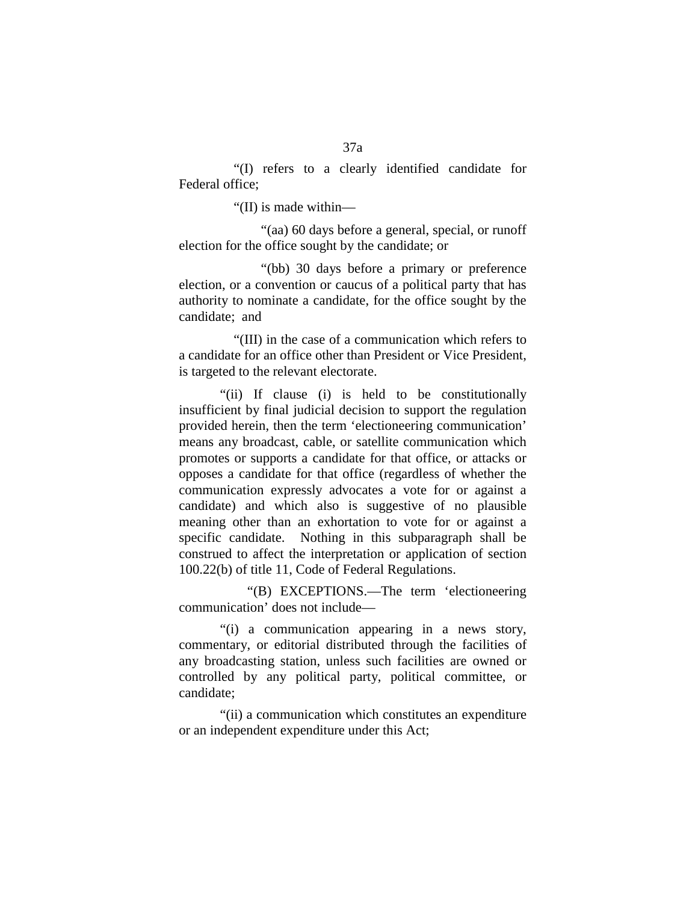"(I) refers to a clearly identified candidate for Federal office;

"(II) is made within—

"(aa) 60 days before a general, special, or runoff election for the office sought by the candidate; or

"(bb) 30 days before a primary or preference election, or a convention or caucus of a political party that has authority to nominate a candidate, for the office sought by the candidate; and

"(III) in the case of a communication which refers to a candidate for an office other than President or Vice President, is targeted to the relevant electorate.

"(ii) If clause (i) is held to be constitutionally insufficient by final judicial decision to support the regulation provided herein, then the term 'electioneering communication' means any broadcast, cable, or satellite communication which promotes or supports a candidate for that office, or attacks or opposes a candidate for that office (regardless of whether the communication expressly advocates a vote for or against a candidate) and which also is suggestive of no plausible meaning other than an exhortation to vote for or against a specific candidate. Nothing in this subparagraph shall be construed to affect the interpretation or application of section 100.22(b) of title 11, Code of Federal Regulations.

"(B) EXCEPTIONS.—The term 'electioneering communication' does not include—

"(i) a communication appearing in a news story, commentary, or editorial distributed through the facilities of any broadcasting station, unless such facilities are owned or controlled by any political party, political committee, or candidate;

"(ii) a communication which constitutes an expenditure or an independent expenditure under this Act;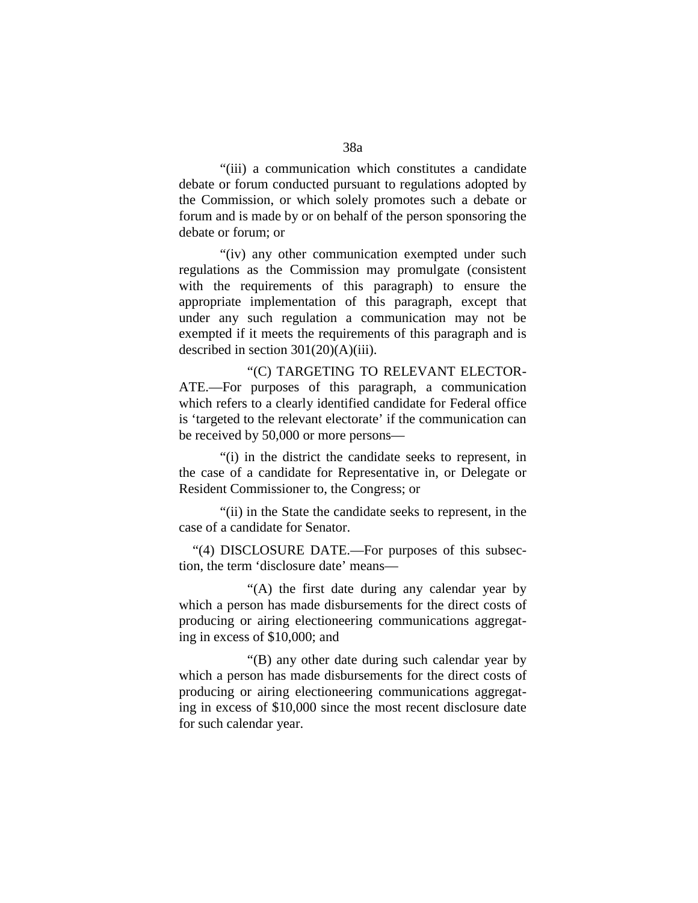"(iii) a communication which constitutes a candidate debate or forum conducted pursuant to regulations adopted by the Commission, or which solely promotes such a debate or forum and is made by or on behalf of the person sponsoring the debate or forum; or

"(iv) any other communication exempted under such regulations as the Commission may promulgate (consistent with the requirements of this paragraph) to ensure the appropriate implementation of this paragraph, except that under any such regulation a communication may not be exempted if it meets the requirements of this paragraph and is described in section  $301(20)(A)(iii)$ .

"(C) TARGETING TO RELEVANT ELECTOR-ATE.—For purposes of this paragraph, a communication which refers to a clearly identified candidate for Federal office is 'targeted to the relevant electorate' if the communication can be received by 50,000 or more persons—

"(i) in the district the candidate seeks to represent, in the case of a candidate for Representative in, or Delegate or Resident Commissioner to, the Congress; or

"(ii) in the State the candidate seeks to represent, in the case of a candidate for Senator.

"(4) DISCLOSURE DATE.—For purposes of this subsection, the term 'disclosure date' means—

"(A) the first date during any calendar year by which a person has made disbursements for the direct costs of producing or airing electioneering communications aggregating in excess of \$10,000; and

"(B) any other date during such calendar year by which a person has made disbursements for the direct costs of producing or airing electioneering communications aggregating in excess of \$10,000 since the most recent disclosure date for such calendar year.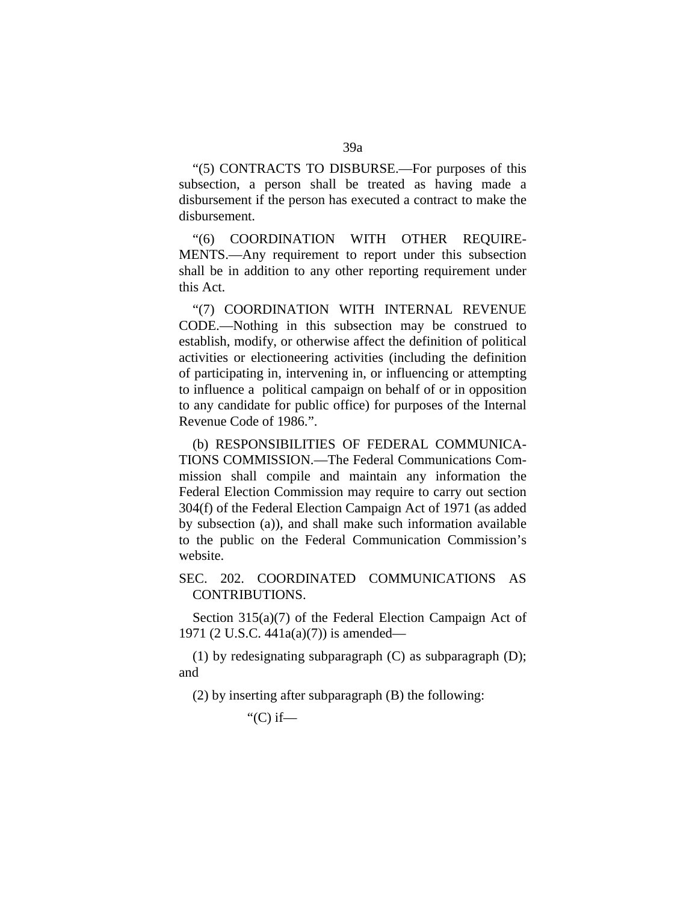"(5) CONTRACTS TO DISBURSE.—For purposes of this subsection, a person shall be treated as having made a disbursement if the person has executed a contract to make the disbursement.

"(6) COORDINATION WITH OTHER REQUIRE-MENTS.—Any requirement to report under this subsection shall be in addition to any other reporting requirement under this Act.

"(7) COORDINATION WITH INTERNAL REVENUE CODE.—Nothing in this subsection may be construed to establish, modify, or otherwise affect the definition of political activities or electioneering activities (including the definition of participating in, intervening in, or influencing or attempting to influence a political campaign on behalf of or in opposition to any candidate for public office) for purposes of the Internal Revenue Code of 1986.".

(b) RESPONSIBILITIES OF FEDERAL COMMUNICA-TIONS COMMISSION.—The Federal Communications Commission shall compile and maintain any information the Federal Election Commission may require to carry out section 304(f) of the Federal Election Campaign Act of 1971 (as added by subsection (a)), and shall make such information available to the public on the Federal Communication Commission's website.

## SEC. 202. COORDINATED COMMUNICATIONS AS CONTRIBUTIONS.

Section 315(a)(7) of the Federal Election Campaign Act of 1971 (2 U.S.C. 441a(a)(7)) is amended—

(1) by redesignating subparagraph (C) as subparagraph (D); and

(2) by inserting after subparagraph (B) the following:

" $(C)$  if—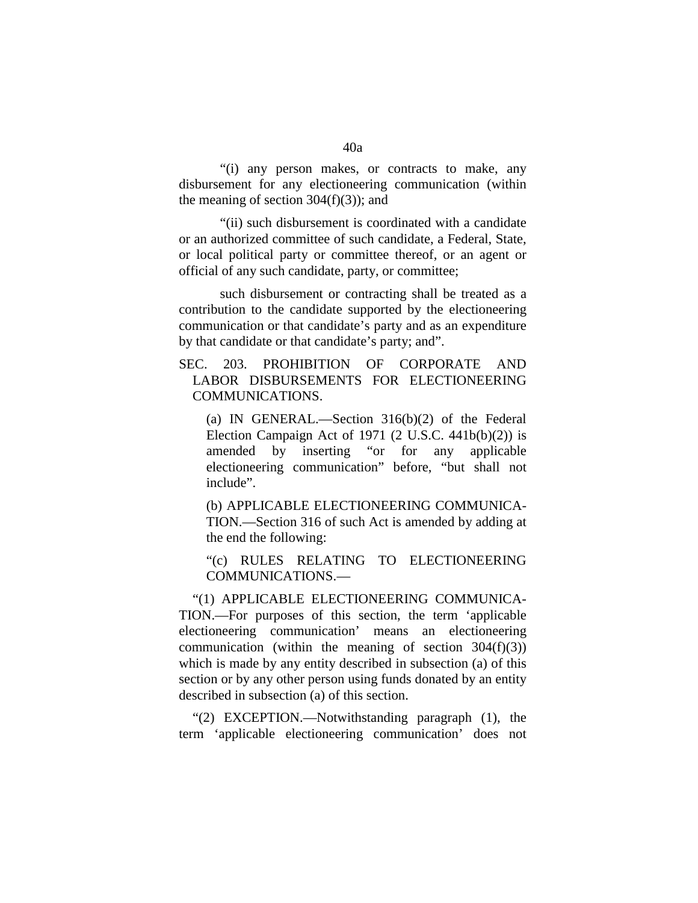"(i) any person makes, or contracts to make, any disbursement for any electioneering communication (within the meaning of section  $304(f)(3)$ ; and

"(ii) such disbursement is coordinated with a candidate or an authorized committee of such candidate, a Federal, State, or local political party or committee thereof, or an agent or official of any such candidate, party, or committee;

such disbursement or contracting shall be treated as a contribution to the candidate supported by the electioneering communication or that candidate's party and as an expenditure by that candidate or that candidate's party; and".

SEC. 203. PROHIBITION OF CORPORATE AND LABOR DISBURSEMENTS FOR ELECTIONEERING COMMUNICATIONS.

(a) IN GENERAL.—Section 316(b)(2) of the Federal Election Campaign Act of 1971 (2 U.S.C.  $441b(b)(2)$ ) is amended by inserting "or for any applicable electioneering communication" before, "but shall not include".

(b) APPLICABLE ELECTIONEERING COMMUNICA-TION.—Section 316 of such Act is amended by adding at the end the following:

"(c) RULES RELATING TO ELECTIONEERING COMMUNICATIONS.—

"(1) APPLICABLE ELECTIONEERING COMMUNICA-TION.—For purposes of this section, the term 'applicable electioneering communication' means an electioneering communication (within the meaning of section  $304(f)(3)$ ) which is made by any entity described in subsection (a) of this section or by any other person using funds donated by an entity described in subsection (a) of this section.

"(2) EXCEPTION.—Notwithstanding paragraph (1), the term 'applicable electioneering communication' does not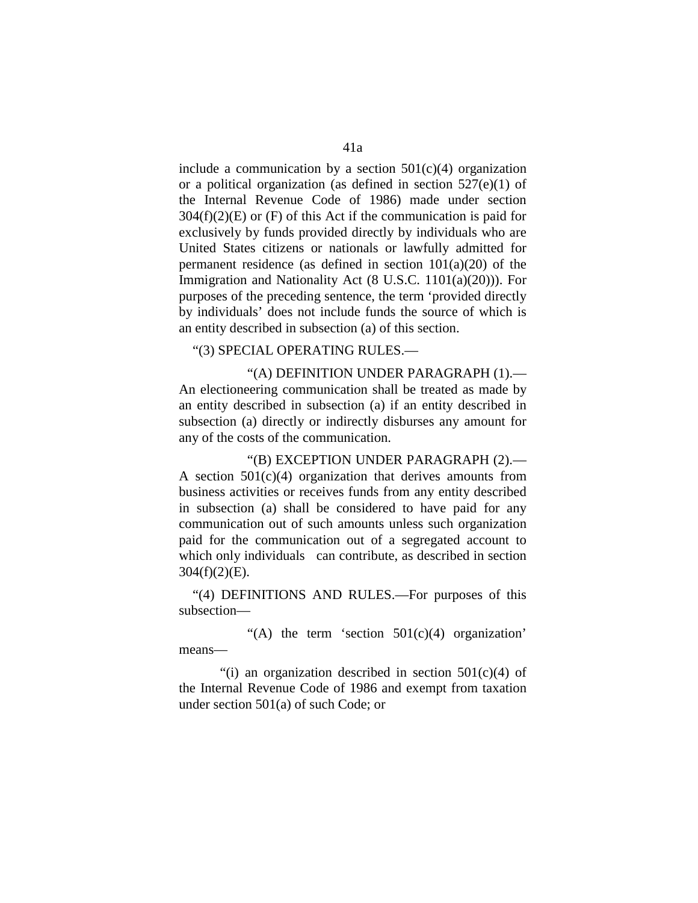include a communication by a section  $501(c)(4)$  organization or a political organization (as defined in section  $527(e)(1)$  of the Internal Revenue Code of 1986) made under section  $304(f)(2)(E)$  or (F) of this Act if the communication is paid for exclusively by funds provided directly by individuals who are United States citizens or nationals or lawfully admitted for permanent residence (as defined in section  $101(a)(20)$  of the Immigration and Nationality Act (8 U.S.C. 1101(a)(20))). For purposes of the preceding sentence, the term 'provided directly by individuals' does not include funds the source of which is an entity described in subsection (a) of this section.

#### "(3) SPECIAL OPERATING RULES.—

"(A) DEFINITION UNDER PARAGRAPH (1).— An electioneering communication shall be treated as made by an entity described in subsection (a) if an entity described in subsection (a) directly or indirectly disburses any amount for any of the costs of the communication.

"(B) EXCEPTION UNDER PARAGRAPH (2).— A section  $501(c)(4)$  organization that derives amounts from business activities or receives funds from any entity described in subsection (a) shall be considered to have paid for any communication out of such amounts unless such organization paid for the communication out of a segregated account to which only individuals can contribute, as described in section  $304(f)(2)(E)$ .

"(4) DEFINITIONS AND RULES.—For purposes of this subsection—

"(A) the term 'section  $501(c)(4)$  organization' means—

"(i) an organization described in section  $501(c)(4)$  of the Internal Revenue Code of 1986 and exempt from taxation under section 501(a) of such Code; or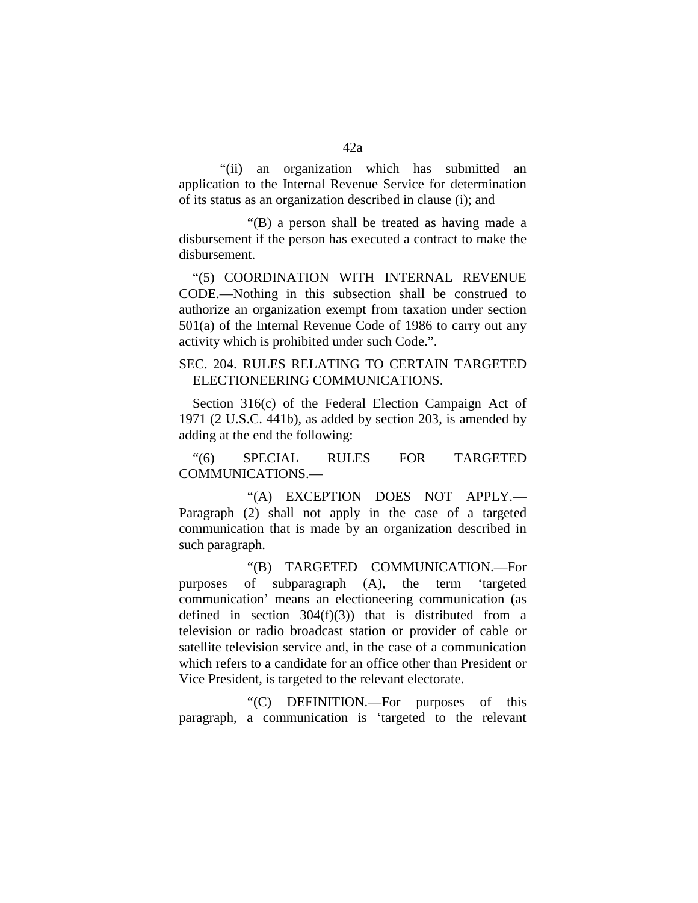"(ii) an organization which has submitted an application to the Internal Revenue Service for determination of its status as an organization described in clause (i); and

"(B) a person shall be treated as having made a disbursement if the person has executed a contract to make the disbursement.

"(5) COORDINATION WITH INTERNAL REVENUE CODE.—Nothing in this subsection shall be construed to authorize an organization exempt from taxation under section 501(a) of the Internal Revenue Code of 1986 to carry out any activity which is prohibited under such Code.".

# SEC. 204. RULES RELATING TO CERTAIN TARGETED ELECTIONEERING COMMUNICATIONS.

Section 316(c) of the Federal Election Campaign Act of 1971 (2 U.S.C. 441b), as added by section 203, is amended by adding at the end the following:

"(6) SPECIAL RULES FOR TARGETED COMMUNICATIONS.—

"(A) EXCEPTION DOES NOT APPLY.— Paragraph (2) shall not apply in the case of a targeted communication that is made by an organization described in such paragraph.

"(B) TARGETED COMMUNICATION.—For purposes of subparagraph (A), the term 'targeted communication' means an electioneering communication (as defined in section  $304(f)(3)$  that is distributed from a television or radio broadcast station or provider of cable or satellite television service and, in the case of a communication which refers to a candidate for an office other than President or Vice President, is targeted to the relevant electorate.

"(C) DEFINITION.—For purposes of this paragraph, a communication is 'targeted to the relevant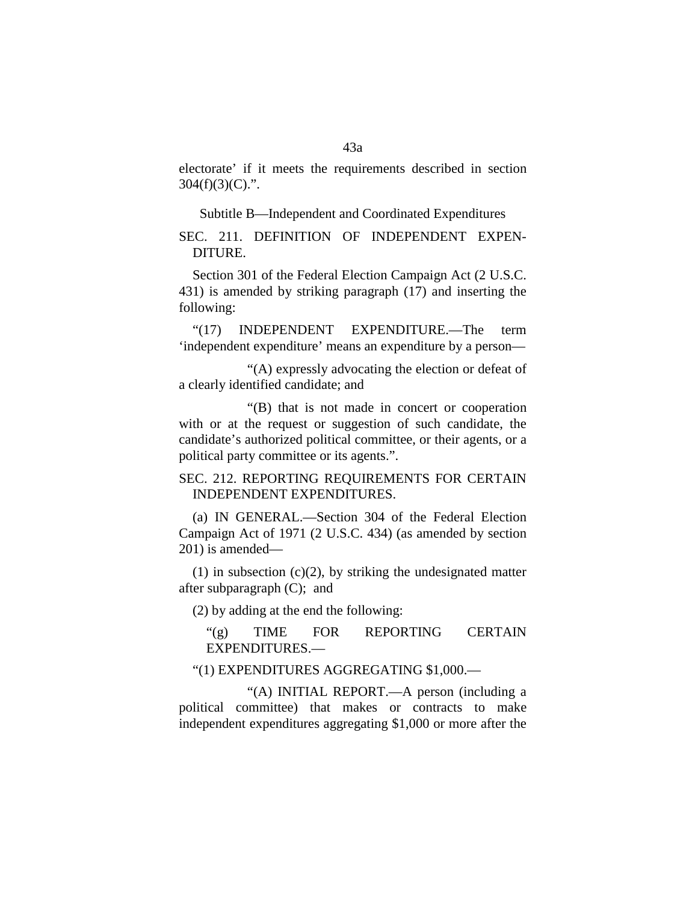electorate' if it meets the requirements described in section  $304(f)(3)(C)$ .".

Subtitle B—Independent and Coordinated Expenditures

SEC. 211. DEFINITION OF INDEPENDENT EXPEN-DITURE.

Section 301 of the Federal Election Campaign Act (2 U.S.C. 431) is amended by striking paragraph (17) and inserting the following:

"(17) INDEPENDENT EXPENDITURE.—The term 'independent expenditure' means an expenditure by a person—

"(A) expressly advocating the election or defeat of a clearly identified candidate; and

"(B) that is not made in concert or cooperation with or at the request or suggestion of such candidate, the candidate's authorized political committee, or their agents, or a political party committee or its agents.".

### SEC. 212. REPORTING REQUIREMENTS FOR CERTAIN INDEPENDENT EXPENDITURES.

(a) IN GENERAL.—Section 304 of the Federal Election Campaign Act of 1971 (2 U.S.C. 434) (as amended by section 201) is amended—

 $(1)$  in subsection  $(c)(2)$ , by striking the undesignated matter after subparagraph (C); and

(2) by adding at the end the following:

"(g) TIME FOR REPORTING CERTAIN EXPENDITURES.—

### "(1) EXPENDITURES AGGREGATING \$1,000.—

"(A) INITIAL REPORT.—A person (including a political committee) that makes or contracts to make independent expenditures aggregating \$1,000 or more after the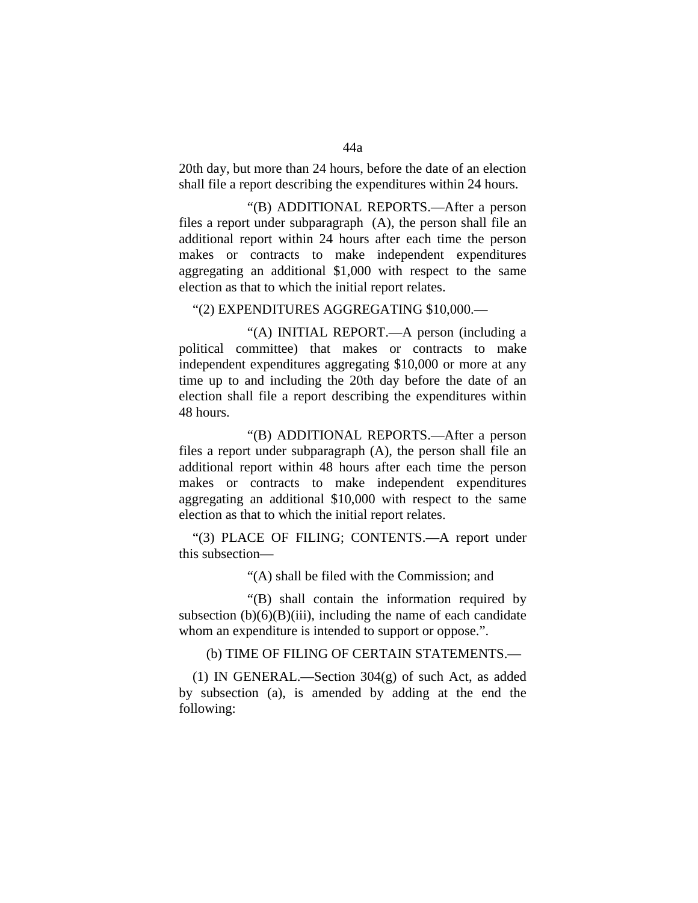20th day, but more than 24 hours, before the date of an election shall file a report describing the expenditures within 24 hours.

"(B) ADDITIONAL REPORTS.—After a person files a report under subparagraph (A), the person shall file an additional report within 24 hours after each time the person makes or contracts to make independent expenditures aggregating an additional \$1,000 with respect to the same election as that to which the initial report relates.

"(2) EXPENDITURES AGGREGATING \$10,000.—

"(A) INITIAL REPORT.—A person (including a political committee) that makes or contracts to make independent expenditures aggregating \$10,000 or more at any time up to and including the 20th day before the date of an election shall file a report describing the expenditures within 48 hours.

"(B) ADDITIONAL REPORTS.—After a person files a report under subparagraph (A), the person shall file an additional report within 48 hours after each time the person makes or contracts to make independent expenditures aggregating an additional \$10,000 with respect to the same election as that to which the initial report relates.

"(3) PLACE OF FILING; CONTENTS.—A report under this subsection—

"(A) shall be filed with the Commission; and

"(B) shall contain the information required by subsection  $(b)(6)(B)(iii)$ , including the name of each candidate whom an expenditure is intended to support or oppose.".

(b) TIME OF FILING OF CERTAIN STATEMENTS.—

(1) IN GENERAL.—Section 304(g) of such Act, as added by subsection (a), is amended by adding at the end the following: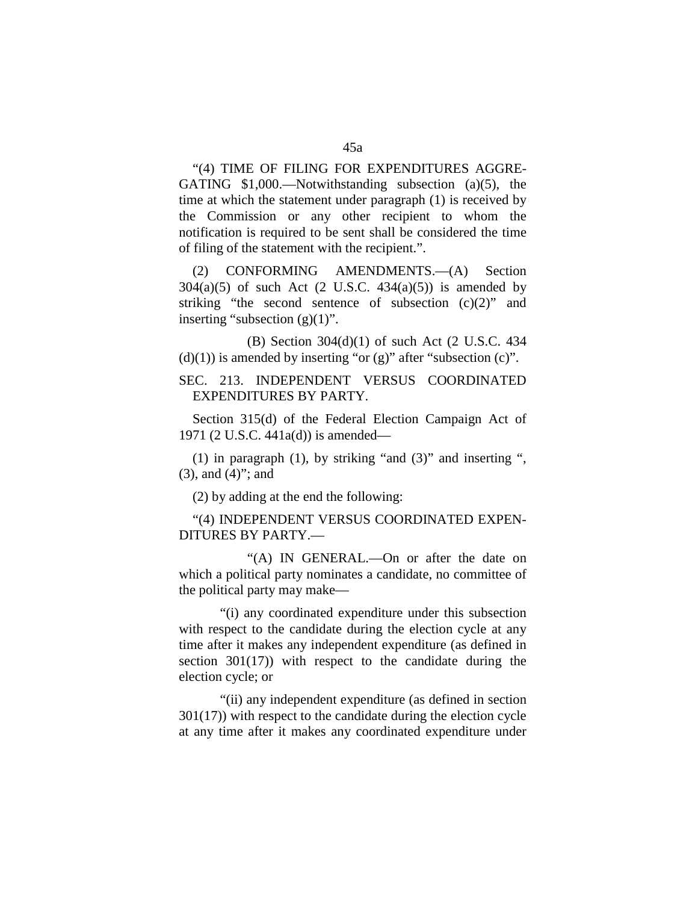"(4) TIME OF FILING FOR EXPENDITURES AGGRE-GATING \$1,000.—Notwithstanding subsection (a)(5), the time at which the statement under paragraph (1) is received by the Commission or any other recipient to whom the notification is required to be sent shall be considered the time of filing of the statement with the recipient.".

(2) CONFORMING AMENDMENTS.—(A) Section  $304(a)(5)$  of such Act  $(2 \text{ U.S.C. } 434(a)(5))$  is amended by striking "the second sentence of subsection  $(c)(2)$ " and inserting "subsection  $(g)(1)$ ".

(B) Section 304(d)(1) of such Act (2 U.S.C. 434  $(d)(1)$ ) is amended by inserting "or  $(g)$ " after "subsection  $(c)$ ".

# SEC. 213. INDEPENDENT VERSUS COORDINATED EXPENDITURES BY PARTY.

Section 315(d) of the Federal Election Campaign Act of 1971 (2 U.S.C. 441a(d)) is amended—

(1) in paragraph  $(1)$ , by striking "and  $(3)$ " and inserting ", (3), and (4)"; and

(2) by adding at the end the following:

"(4) INDEPENDENT VERSUS COORDINATED EXPEN-DITURES BY PARTY.—

"(A) IN GENERAL.—On or after the date on which a political party nominates a candidate, no committee of the political party may make—

"(i) any coordinated expenditure under this subsection with respect to the candidate during the election cycle at any time after it makes any independent expenditure (as defined in section 301(17)) with respect to the candidate during the election cycle; or

"(ii) any independent expenditure (as defined in section 301(17)) with respect to the candidate during the election cycle at any time after it makes any coordinated expenditure under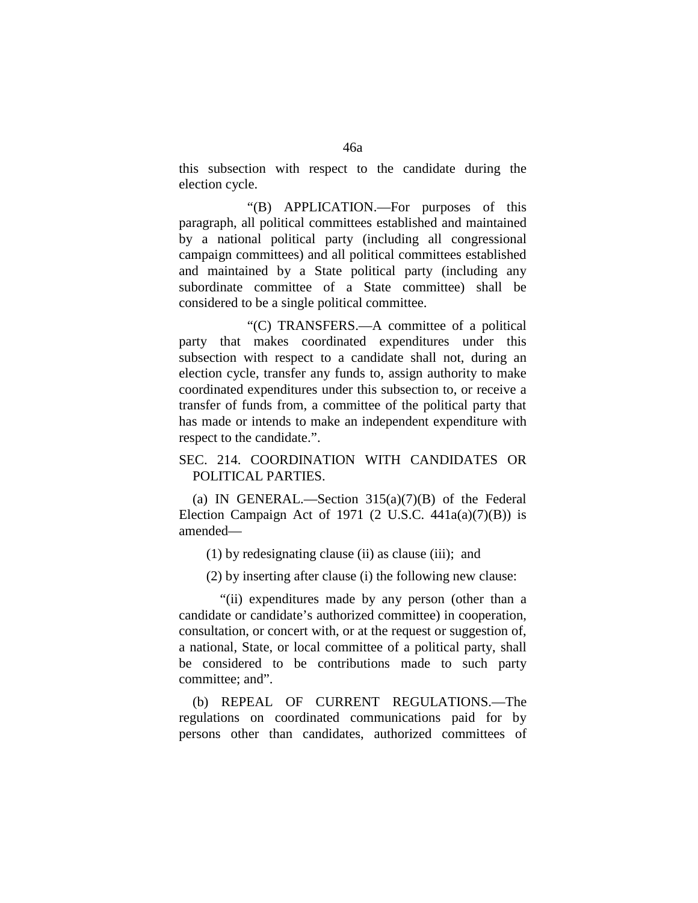this subsection with respect to the candidate during the election cycle.

"(B) APPLICATION.—For purposes of this paragraph, all political committees established and maintained by a national political party (including all congressional campaign committees) and all political committees established and maintained by a State political party (including any subordinate committee of a State committee) shall be considered to be a single political committee.

"(C) TRANSFERS.—A committee of a political party that makes coordinated expenditures under this subsection with respect to a candidate shall not, during an election cycle, transfer any funds to, assign authority to make coordinated expenditures under this subsection to, or receive a transfer of funds from, a committee of the political party that has made or intends to make an independent expenditure with respect to the candidate.".

# SEC. 214. COORDINATION WITH CANDIDATES OR POLITICAL PARTIES.

(a) IN GENERAL.—Section  $315(a)(7)(B)$  of the Federal Election Campaign Act of 1971  $(2 \text{ U.S.C. } 441a(a)(7)(B))$  is amended—

(1) by redesignating clause (ii) as clause (iii); and

(2) by inserting after clause (i) the following new clause:

"(ii) expenditures made by any person (other than a candidate or candidate's authorized committee) in cooperation, consultation, or concert with, or at the request or suggestion of, a national, State, or local committee of a political party, shall be considered to be contributions made to such party committee; and".

(b) REPEAL OF CURRENT REGULATIONS.—The regulations on coordinated communications paid for by persons other than candidates, authorized committees of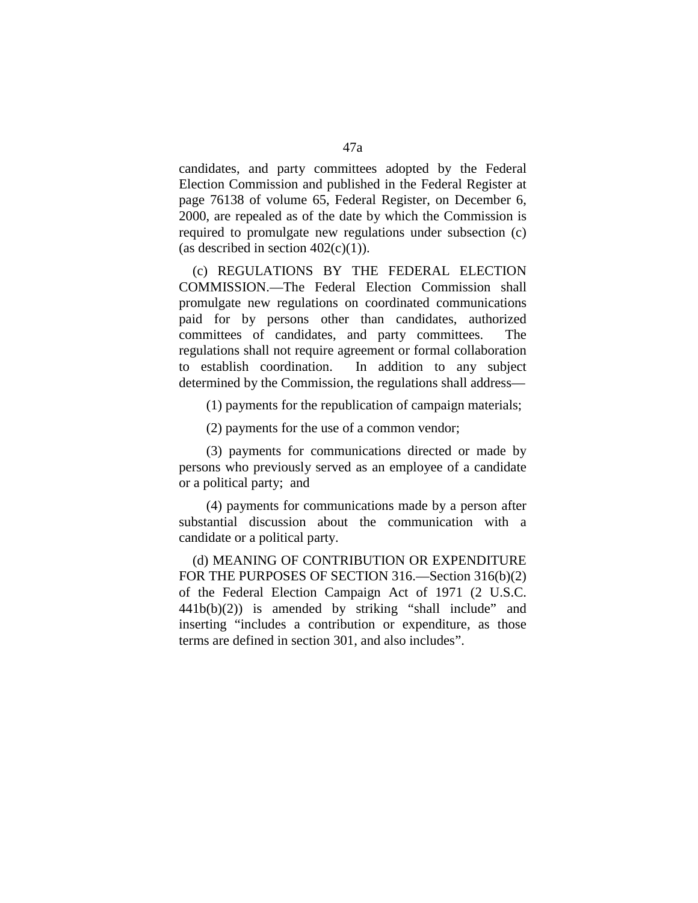candidates, and party committees adopted by the Federal Election Commission and published in the Federal Register at page 76138 of volume 65, Federal Register, on December 6, 2000, are repealed as of the date by which the Commission is required to promulgate new regulations under subsection (c) (as described in section  $402(c)(1)$ ).

(c) REGULATIONS BY THE FEDERAL ELECTION COMMISSION.—The Federal Election Commission shall promulgate new regulations on coordinated communications paid for by persons other than candidates, authorized committees of candidates, and party committees. The regulations shall not require agreement or formal collaboration to establish coordination. In addition to any subject determined by the Commission, the regulations shall address—

(1) payments for the republication of campaign materials;

(2) payments for the use of a common vendor;

(3) payments for communications directed or made by persons who previously served as an employee of a candidate or a political party; and

(4) payments for communications made by a person after substantial discussion about the communication with a candidate or a political party.

(d) MEANING OF CONTRIBUTION OR EXPENDITURE FOR THE PURPOSES OF SECTION 316.—Section 316(b)(2) of the Federal Election Campaign Act of 1971 (2 U.S.C.  $441b(b)(2)$  is amended by striking "shall include" and inserting "includes a contribution or expenditure, as those terms are defined in section 301, and also includes".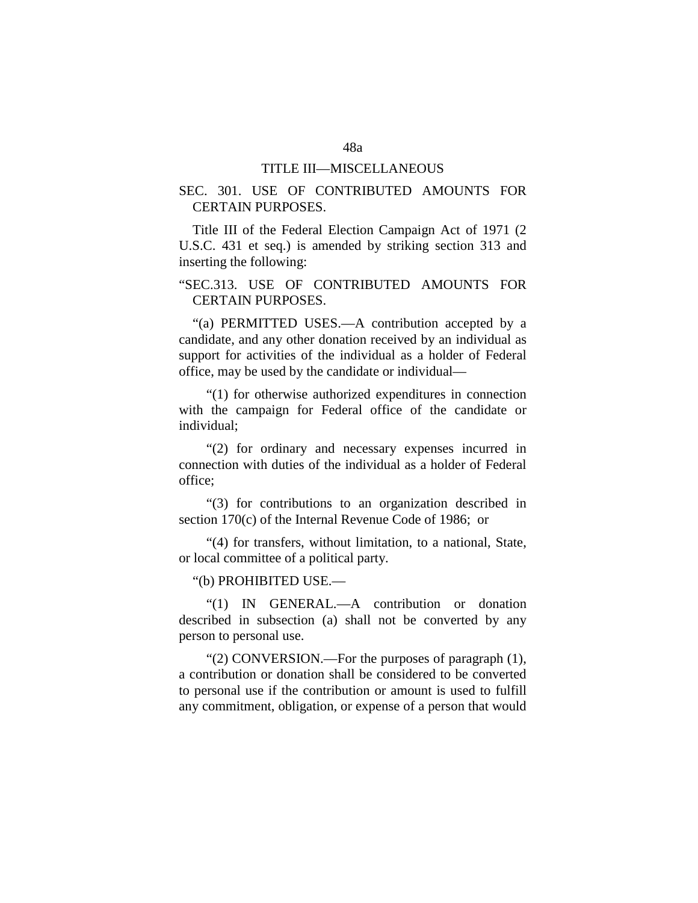#### TITLE III—MISCELLANEOUS

## SEC. 301. USE OF CONTRIBUTED AMOUNTS FOR CERTAIN PURPOSES.

Title III of the Federal Election Campaign Act of 1971 (2 U.S.C. 431 et seq.) is amended by striking section 313 and inserting the following:

# "SEC.313. USE OF CONTRIBUTED AMOUNTS FOR CERTAIN PURPOSES.

"(a) PERMITTED USES.—A contribution accepted by a candidate, and any other donation received by an individual as support for activities of the individual as a holder of Federal office, may be used by the candidate or individual—

"(1) for otherwise authorized expenditures in connection with the campaign for Federal office of the candidate or individual;

"(2) for ordinary and necessary expenses incurred in connection with duties of the individual as a holder of Federal office;

"(3) for contributions to an organization described in section 170(c) of the Internal Revenue Code of 1986; or

"(4) for transfers, without limitation, to a national, State, or local committee of a political party.

"(b) PROHIBITED USE.—

"(1) IN GENERAL.—A contribution or donation described in subsection (a) shall not be converted by any person to personal use.

"(2) CONVERSION.—For the purposes of paragraph (1), a contribution or donation shall be considered to be converted to personal use if the contribution or amount is used to fulfill any commitment, obligation, or expense of a person that would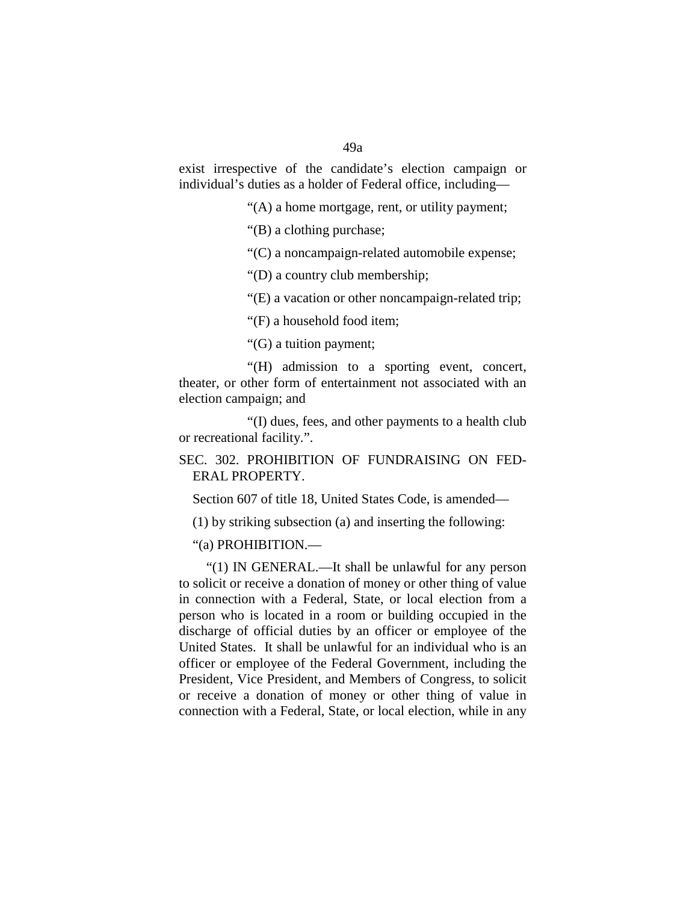exist irrespective of the candidate's election campaign or individual's duties as a holder of Federal office, including—

"(A) a home mortgage, rent, or utility payment;

"(B) a clothing purchase;

"(C) a noncampaign-related automobile expense;

"(D) a country club membership;

"(E) a vacation or other noncampaign-related trip;

"(F) a household food item;

"(G) a tuition payment;

"(H) admission to a sporting event, concert, theater, or other form of entertainment not associated with an election campaign; and

"(I) dues, fees, and other payments to a health club or recreational facility.".

SEC. 302. PROHIBITION OF FUNDRAISING ON FED-ERAL PROPERTY.

Section 607 of title 18, United States Code, is amended—

(1) by striking subsection (a) and inserting the following:

"(a) PROHIBITION.—

"(1) IN GENERAL.—It shall be unlawful for any person to solicit or receive a donation of money or other thing of value in connection with a Federal, State, or local election from a person who is located in a room or building occupied in the discharge of official duties by an officer or employee of the United States. It shall be unlawful for an individual who is an officer or employee of the Federal Government, including the President, Vice President, and Members of Congress, to solicit or receive a donation of money or other thing of value in connection with a Federal, State, or local election, while in any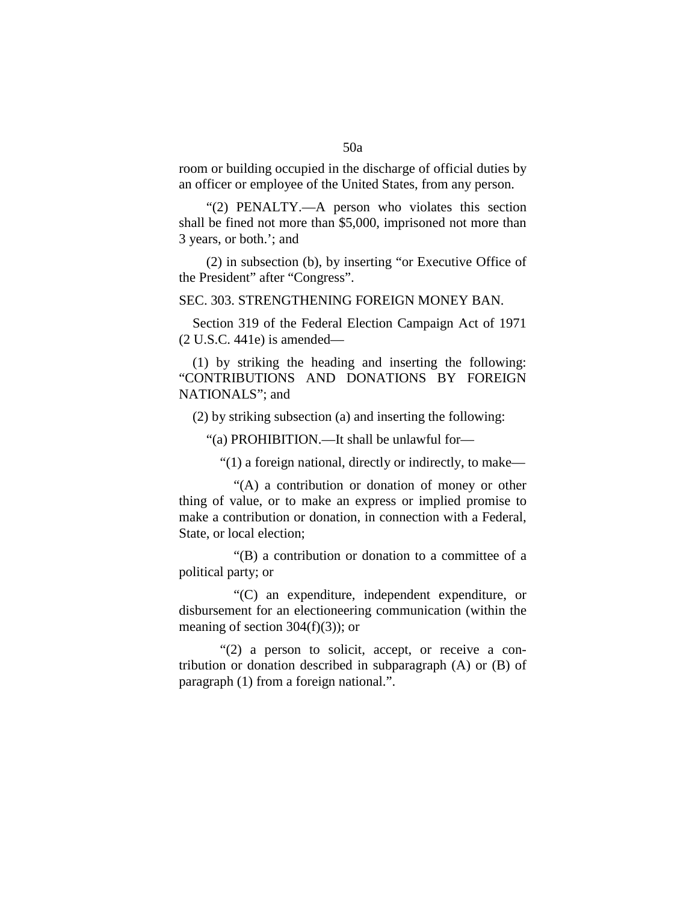room or building occupied in the discharge of official duties by an officer or employee of the United States, from any person.

"(2) PENALTY.—A person who violates this section shall be fined not more than \$5,000, imprisoned not more than 3 years, or both.'; and

(2) in subsection (b), by inserting "or Executive Office of the President" after "Congress".

### SEC. 303. STRENGTHENING FOREIGN MONEY BAN.

Section 319 of the Federal Election Campaign Act of 1971 (2 U.S.C. 441e) is amended—

(1) by striking the heading and inserting the following: "CONTRIBUTIONS AND DONATIONS BY FOREIGN NATIONALS"; and

(2) by striking subsection (a) and inserting the following:

"(a) PROHIBITION.—It shall be unlawful for—

"(1) a foreign national, directly or indirectly, to make—

"(A) a contribution or donation of money or other thing of value, or to make an express or implied promise to make a contribution or donation, in connection with a Federal, State, or local election;

"(B) a contribution or donation to a committee of a political party; or

"(C) an expenditure, independent expenditure, or disbursement for an electioneering communication (within the meaning of section  $304(f)(3)$ ; or

"(2) a person to solicit, accept, or receive a contribution or donation described in subparagraph (A) or (B) of paragraph (1) from a foreign national.".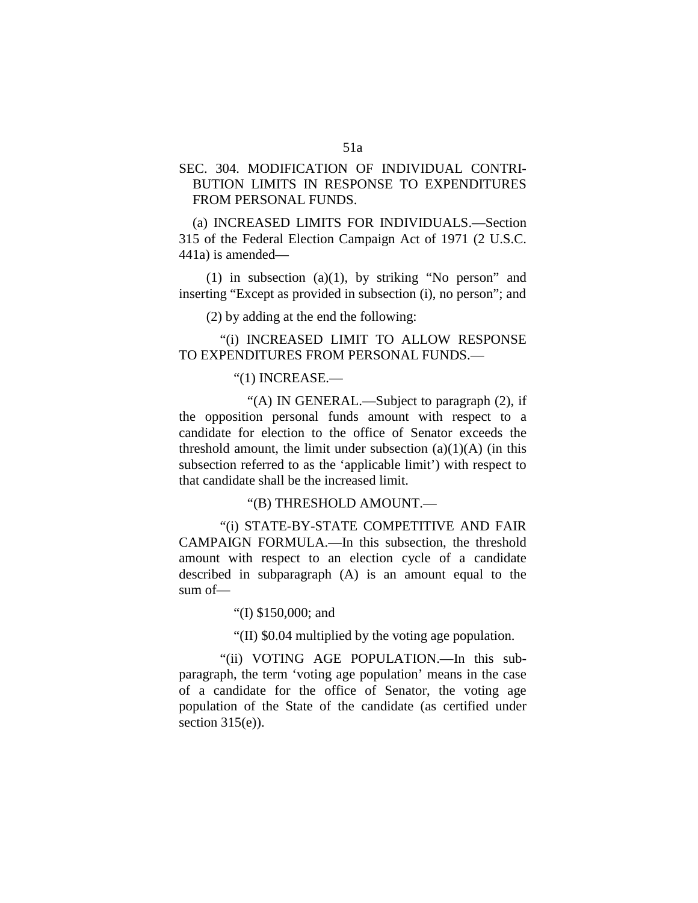# SEC. 304. MODIFICATION OF INDIVIDUAL CONTRI-BUTION LIMITS IN RESPONSE TO EXPENDITURES FROM PERSONAL FUNDS.

(a) INCREASED LIMITS FOR INDIVIDUALS.—Section 315 of the Federal Election Campaign Act of 1971 (2 U.S.C. 441a) is amended—

(1) in subsection (a)(1), by striking "No person" and inserting "Except as provided in subsection (i), no person"; and

(2) by adding at the end the following:

"(i) INCREASED LIMIT TO ALLOW RESPONSE TO EXPENDITURES FROM PERSONAL FUNDS.—

### "(1) INCREASE.—

"(A) IN GENERAL.—Subject to paragraph (2), if the opposition personal funds amount with respect to a candidate for election to the office of Senator exceeds the threshold amount, the limit under subsection  $(a)(1)(A)$  (in this subsection referred to as the 'applicable limit') with respect to that candidate shall be the increased limit.

"(B) THRESHOLD AMOUNT.—

"(i) STATE-BY-STATE COMPETITIVE AND FAIR CAMPAIGN FORMULA.—In this subsection, the threshold amount with respect to an election cycle of a candidate described in subparagraph (A) is an amount equal to the sum of—

"(I) \$150,000; and

"(II) \$0.04 multiplied by the voting age population.

"(ii) VOTING AGE POPULATION.—In this subparagraph, the term 'voting age population' means in the case of a candidate for the office of Senator, the voting age population of the State of the candidate (as certified under section  $315(e)$ ).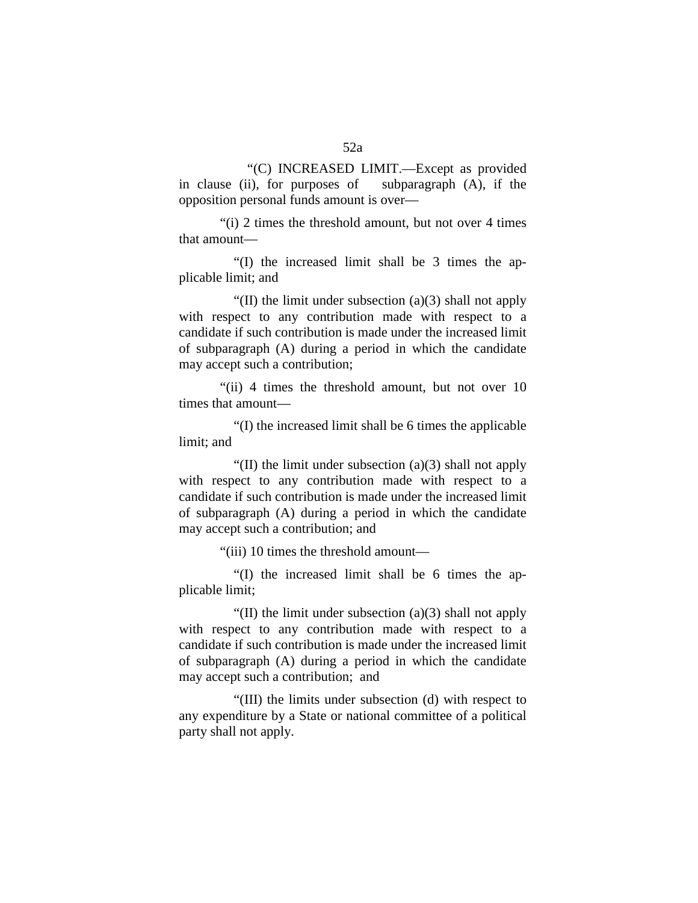"(C) INCREASED LIMIT.—Except as provided in clause (ii), for purposes of subparagraph (A), if the opposition personal funds amount is over—

"(i) 2 times the threshold amount, but not over 4 times that amount—

"(I) the increased limit shall be 3 times the applicable limit; and

"(II) the limit under subsection  $(a)(3)$  shall not apply with respect to any contribution made with respect to a candidate if such contribution is made under the increased limit of subparagraph (A) during a period in which the candidate may accept such a contribution;

"(ii) 4 times the threshold amount, but not over 10 times that amount—

"(I) the increased limit shall be 6 times the applicable limit; and

"(II) the limit under subsection  $(a)(3)$  shall not apply with respect to any contribution made with respect to a candidate if such contribution is made under the increased limit of subparagraph (A) during a period in which the candidate may accept such a contribution; and

"(iii) 10 times the threshold amount—

"(I) the increased limit shall be 6 times the applicable limit;

"(II) the limit under subsection (a)(3) shall not apply with respect to any contribution made with respect to a candidate if such contribution is made under the increased limit of subparagraph (A) during a period in which the candidate may accept such a contribution; and

"(III) the limits under subsection (d) with respect to any expenditure by a State or national committee of a political party shall not apply.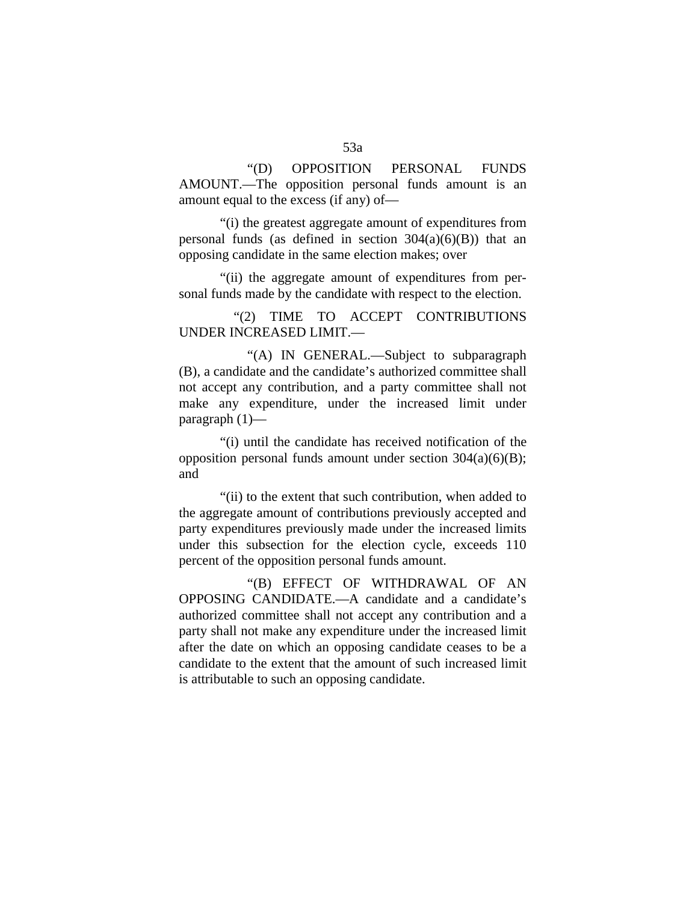"(D) OPPOSITION PERSONAL FUNDS AMOUNT.—The opposition personal funds amount is an amount equal to the excess (if any) of—

"(i) the greatest aggregate amount of expenditures from personal funds (as defined in section  $304(a)(6)(B)$ ) that an opposing candidate in the same election makes; over

"(ii) the aggregate amount of expenditures from personal funds made by the candidate with respect to the election.

"(2) TIME TO ACCEPT CONTRIBUTIONS UNDER INCREASED LIMIT.—

"(A) IN GENERAL.—Subject to subparagraph (B), a candidate and the candidate's authorized committee shall not accept any contribution, and a party committee shall not make any expenditure, under the increased limit under paragraph (1)—

"(i) until the candidate has received notification of the opposition personal funds amount under section  $304(a)(6)(B)$ ; and

"(ii) to the extent that such contribution, when added to the aggregate amount of contributions previously accepted and party expenditures previously made under the increased limits under this subsection for the election cycle, exceeds 110 percent of the opposition personal funds amount.

"(B) EFFECT OF WITHDRAWAL OF AN OPPOSING CANDIDATE.—A candidate and a candidate's authorized committee shall not accept any contribution and a party shall not make any expenditure under the increased limit after the date on which an opposing candidate ceases to be a candidate to the extent that the amount of such increased limit is attributable to such an opposing candidate.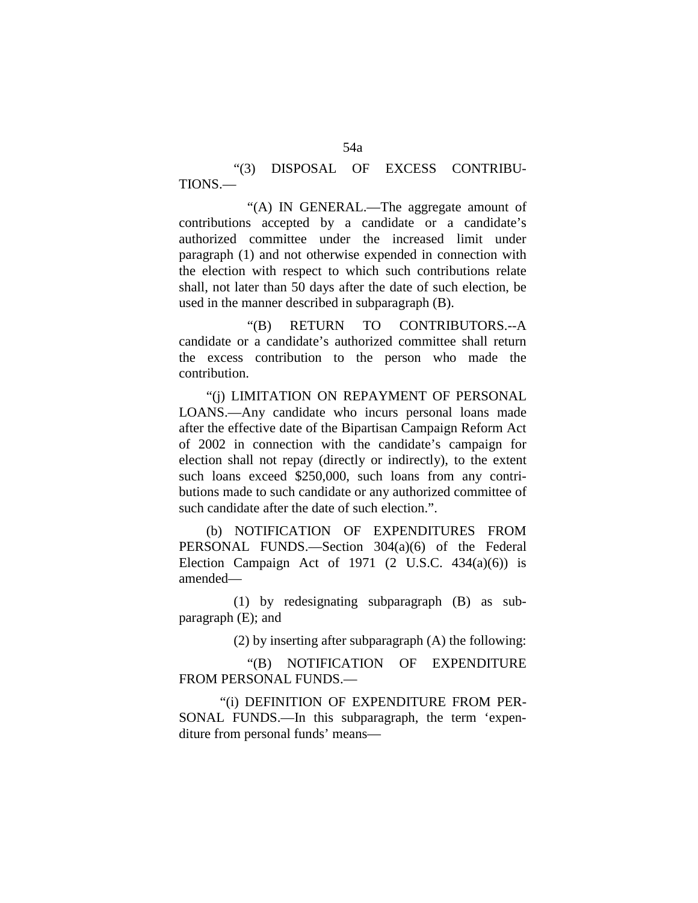"(3) DISPOSAL OF EXCESS CONTRIBU-TIONS.—

"(A) IN GENERAL.—The aggregate amount of contributions accepted by a candidate or a candidate's authorized committee under the increased limit under paragraph (1) and not otherwise expended in connection with the election with respect to which such contributions relate shall, not later than 50 days after the date of such election, be used in the manner described in subparagraph (B).

"(B) RETURN TO CONTRIBUTORS.--A candidate or a candidate's authorized committee shall return the excess contribution to the person who made the contribution.

"(j) LIMITATION ON REPAYMENT OF PERSONAL LOANS.—Any candidate who incurs personal loans made after the effective date of the Bipartisan Campaign Reform Act of 2002 in connection with the candidate's campaign for election shall not repay (directly or indirectly), to the extent such loans exceed \$250,000, such loans from any contributions made to such candidate or any authorized committee of such candidate after the date of such election.".

(b) NOTIFICATION OF EXPENDITURES FROM PERSONAL FUNDS.—Section 304(a)(6) of the Federal Election Campaign Act of  $1971$  (2 U.S.C.  $434(a)(6)$ ) is amended—

(1) by redesignating subparagraph (B) as subparagraph (E); and

(2) by inserting after subparagraph (A) the following:

"(B) NOTIFICATION OF EXPENDITURE FROM PERSONAL FUNDS.—

"(i) DEFINITION OF EXPENDITURE FROM PER-SONAL FUNDS.—In this subparagraph, the term 'expenditure from personal funds' means—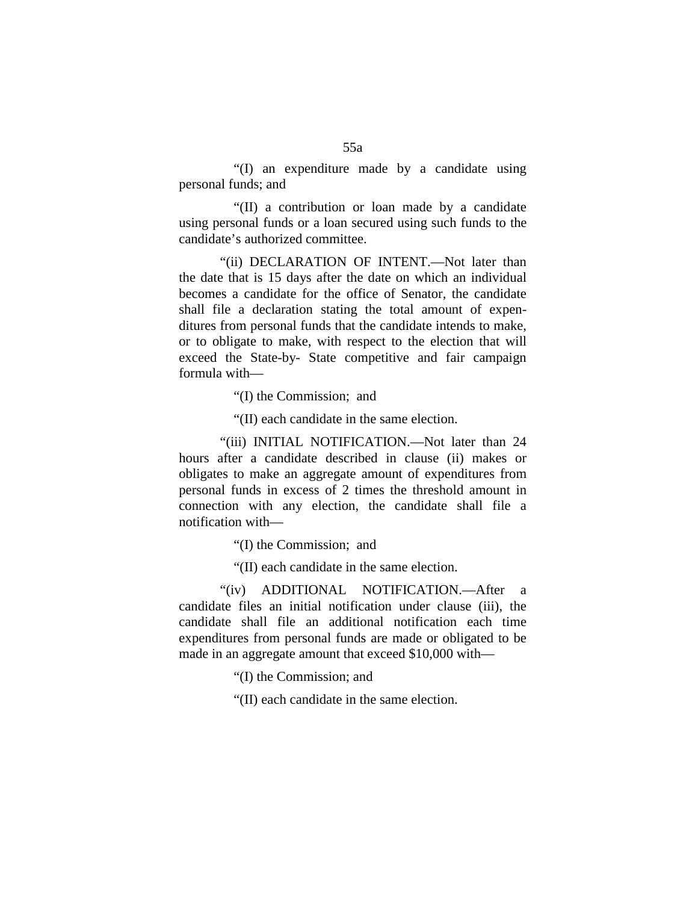"(I) an expenditure made by a candidate using personal funds; and

"(II) a contribution or loan made by a candidate using personal funds or a loan secured using such funds to the candidate's authorized committee.

"(ii) DECLARATION OF INTENT.—Not later than the date that is 15 days after the date on which an individual becomes a candidate for the office of Senator, the candidate shall file a declaration stating the total amount of expenditures from personal funds that the candidate intends to make, or to obligate to make, with respect to the election that will exceed the State-by- State competitive and fair campaign formula with—

"(I) the Commission; and

"(II) each candidate in the same election.

"(iii) INITIAL NOTIFICATION.—Not later than 24 hours after a candidate described in clause (ii) makes or obligates to make an aggregate amount of expenditures from personal funds in excess of 2 times the threshold amount in connection with any election, the candidate shall file a notification with—

"(I) the Commission; and

"(II) each candidate in the same election.

"(iv) ADDITIONAL NOTIFICATION.—After a candidate files an initial notification under clause (iii), the candidate shall file an additional notification each time expenditures from personal funds are made or obligated to be made in an aggregate amount that exceed \$10,000 with—

"(I) the Commission; and

"(II) each candidate in the same election.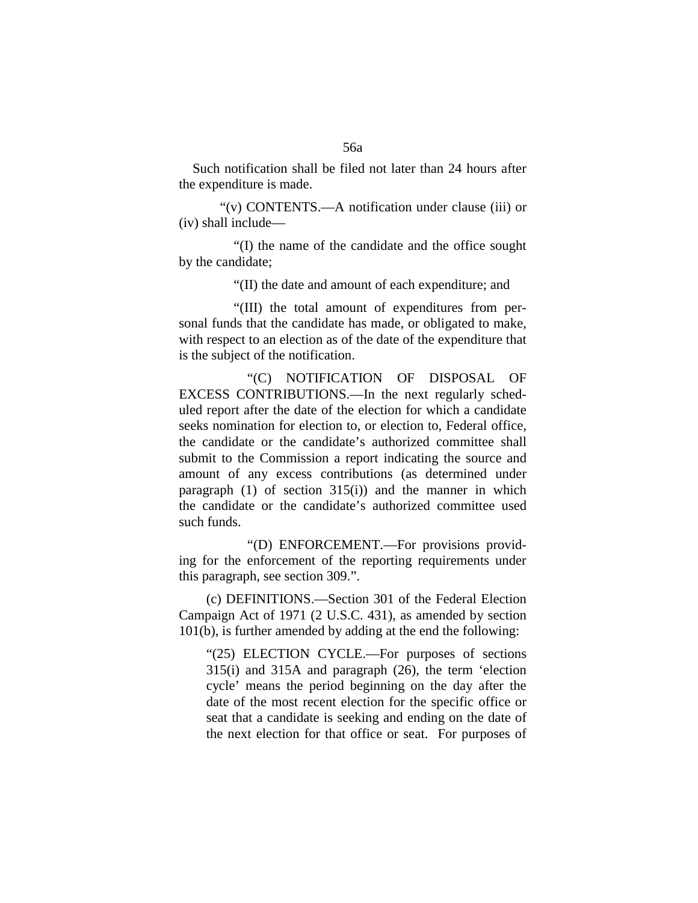Such notification shall be filed not later than 24 hours after the expenditure is made.

"(v) CONTENTS.—A notification under clause (iii) or (iv) shall include—

"(I) the name of the candidate and the office sought by the candidate;

"(II) the date and amount of each expenditure; and

"(III) the total amount of expenditures from personal funds that the candidate has made, or obligated to make, with respect to an election as of the date of the expenditure that is the subject of the notification.

"(C) NOTIFICATION OF DISPOSAL OF EXCESS CONTRIBUTIONS.—In the next regularly scheduled report after the date of the election for which a candidate seeks nomination for election to, or election to, Federal office, the candidate or the candidate's authorized committee shall submit to the Commission a report indicating the source and amount of any excess contributions (as determined under paragraph  $(1)$  of section  $315(i)$  and the manner in which the candidate or the candidate's authorized committee used such funds.

"(D) ENFORCEMENT.—For provisions providing for the enforcement of the reporting requirements under this paragraph, see section 309.".

(c) DEFINITIONS.—Section 301 of the Federal Election Campaign Act of 1971 (2 U.S.C. 431), as amended by section 101(b), is further amended by adding at the end the following:

"(25) ELECTION CYCLE.—For purposes of sections 315(i) and 315A and paragraph (26), the term 'election cycle' means the period beginning on the day after the date of the most recent election for the specific office or seat that a candidate is seeking and ending on the date of the next election for that office or seat. For purposes of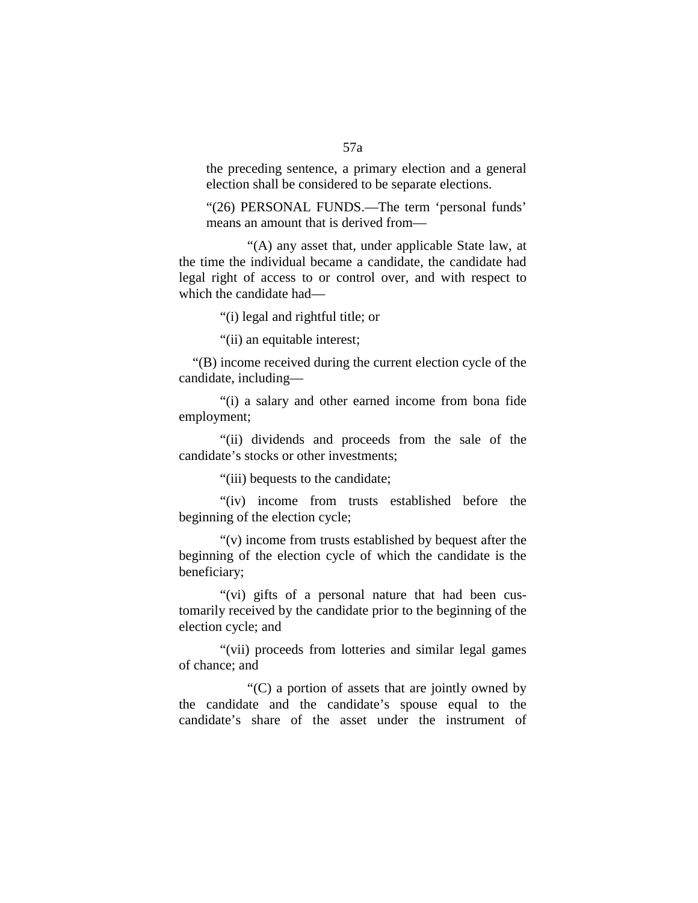the preceding sentence, a primary election and a general election shall be considered to be separate elections.

"(26) PERSONAL FUNDS.—The term 'personal funds' means an amount that is derived from—

"(A) any asset that, under applicable State law, at the time the individual became a candidate, the candidate had legal right of access to or control over, and with respect to which the candidate had—

"(i) legal and rightful title; or

"(ii) an equitable interest;

"(B) income received during the current election cycle of the candidate, including—

"(i) a salary and other earned income from bona fide employment;

"(ii) dividends and proceeds from the sale of the candidate's stocks or other investments;

"(iii) bequests to the candidate;

"(iv) income from trusts established before the beginning of the election cycle;

"(v) income from trusts established by bequest after the beginning of the election cycle of which the candidate is the beneficiary;

"(vi) gifts of a personal nature that had been customarily received by the candidate prior to the beginning of the election cycle; and

"(vii) proceeds from lotteries and similar legal games of chance; and

"(C) a portion of assets that are jointly owned by the candidate and the candidate's spouse equal to the candidate's share of the asset under the instrument of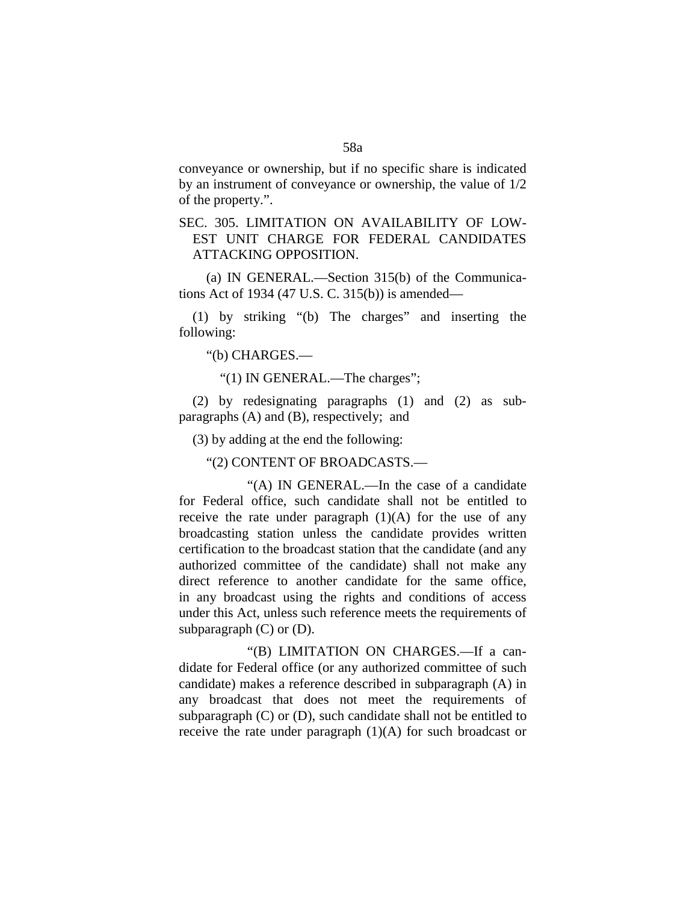conveyance or ownership, but if no specific share is indicated by an instrument of conveyance or ownership, the value of 1/2 of the property.".

# SEC. 305. LIMITATION ON AVAILABILITY OF LOW-EST UNIT CHARGE FOR FEDERAL CANDIDATES ATTACKING OPPOSITION.

(a) IN GENERAL.—Section 315(b) of the Communications Act of 1934 (47 U.S. C. 315(b)) is amended—

(1) by striking "(b) The charges" and inserting the following:

"(b) CHARGES.—

"(1) IN GENERAL.—The charges";

(2) by redesignating paragraphs (1) and (2) as subparagraphs (A) and (B), respectively; and

(3) by adding at the end the following:

"(2) CONTENT OF BROADCASTS.—

"(A) IN GENERAL.—In the case of a candidate for Federal office, such candidate shall not be entitled to receive the rate under paragraph  $(1)(A)$  for the use of any broadcasting station unless the candidate provides written certification to the broadcast station that the candidate (and any authorized committee of the candidate) shall not make any direct reference to another candidate for the same office, in any broadcast using the rights and conditions of access under this Act, unless such reference meets the requirements of subparagraph  $(C)$  or  $(D)$ .

"(B) LIMITATION ON CHARGES.—If a candidate for Federal office (or any authorized committee of such candidate) makes a reference described in subparagraph (A) in any broadcast that does not meet the requirements of subparagraph  $(C)$  or  $(D)$ , such candidate shall not be entitled to receive the rate under paragraph (1)(A) for such broadcast or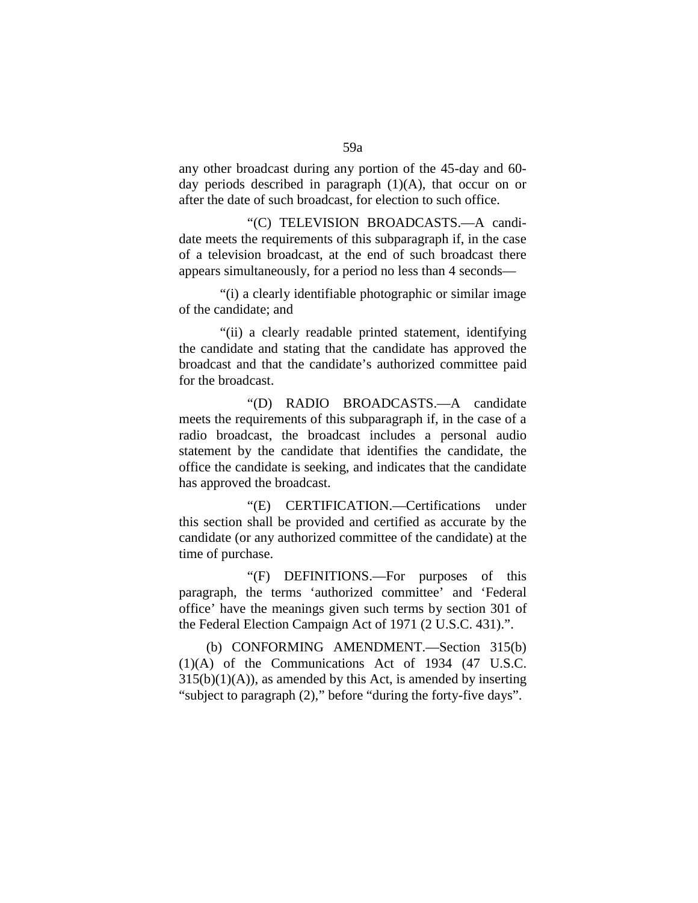any other broadcast during any portion of the 45-day and 60 day periods described in paragraph  $(1)(A)$ , that occur on or after the date of such broadcast, for election to such office.

"(C) TELEVISION BROADCASTS.—A candidate meets the requirements of this subparagraph if, in the case of a television broadcast, at the end of such broadcast there appears simultaneously, for a period no less than 4 seconds—

"(i) a clearly identifiable photographic or similar image of the candidate; and

"(ii) a clearly readable printed statement, identifying the candidate and stating that the candidate has approved the broadcast and that the candidate's authorized committee paid for the broadcast.

"(D) RADIO BROADCASTS.—A candidate meets the requirements of this subparagraph if, in the case of a radio broadcast, the broadcast includes a personal audio statement by the candidate that identifies the candidate, the office the candidate is seeking, and indicates that the candidate has approved the broadcast.

"(E) CERTIFICATION.—Certifications under this section shall be provided and certified as accurate by the candidate (or any authorized committee of the candidate) at the time of purchase.

"(F) DEFINITIONS.—For purposes of this paragraph, the terms 'authorized committee' and 'Federal office' have the meanings given such terms by section 301 of the Federal Election Campaign Act of 1971 (2 U.S.C. 431).".

(b) CONFORMING AMENDMENT.—Section 315(b) (1)(A) of the Communications Act of 1934 (47 U.S.C.  $315(b)(1)(A)$ , as amended by this Act, is amended by inserting "subject to paragraph (2)," before "during the forty-five days".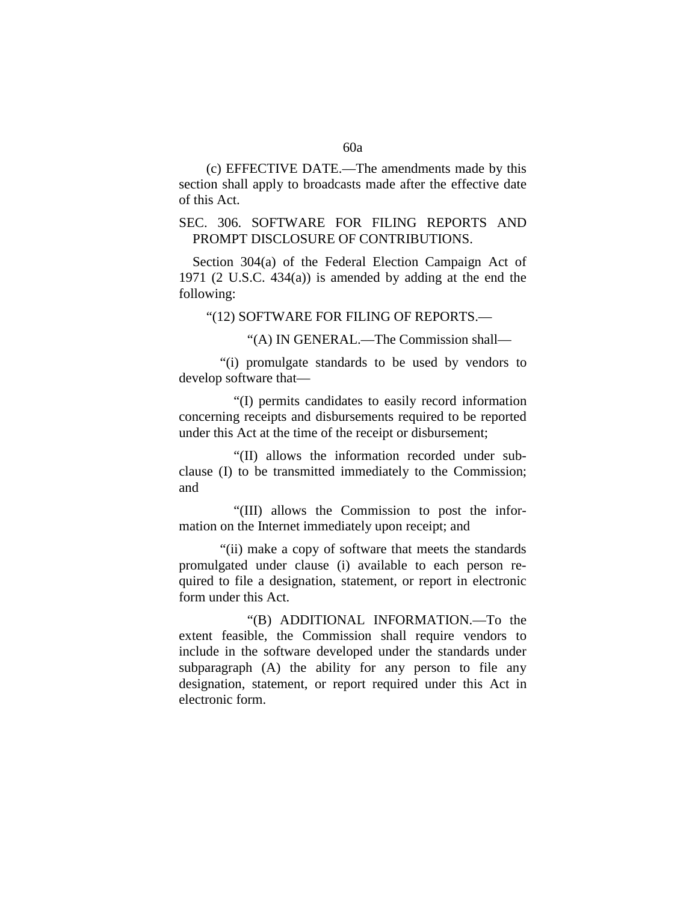(c) EFFECTIVE DATE.—The amendments made by this section shall apply to broadcasts made after the effective date of this Act.

## SEC. 306. SOFTWARE FOR FILING REPORTS AND PROMPT DISCLOSURE OF CONTRIBUTIONS.

Section 304(a) of the Federal Election Campaign Act of 1971 (2 U.S.C. 434(a)) is amended by adding at the end the following:

"(12) SOFTWARE FOR FILING OF REPORTS.—

"(A) IN GENERAL.—The Commission shall—

"(i) promulgate standards to be used by vendors to develop software that—

"(I) permits candidates to easily record information concerning receipts and disbursements required to be reported under this Act at the time of the receipt or disbursement;

"(II) allows the information recorded under subclause (I) to be transmitted immediately to the Commission; and

"(III) allows the Commission to post the information on the Internet immediately upon receipt; and

"(ii) make a copy of software that meets the standards promulgated under clause (i) available to each person required to file a designation, statement, or report in electronic form under this Act.

"(B) ADDITIONAL INFORMATION.—To the extent feasible, the Commission shall require vendors to include in the software developed under the standards under subparagraph (A) the ability for any person to file any designation, statement, or report required under this Act in electronic form.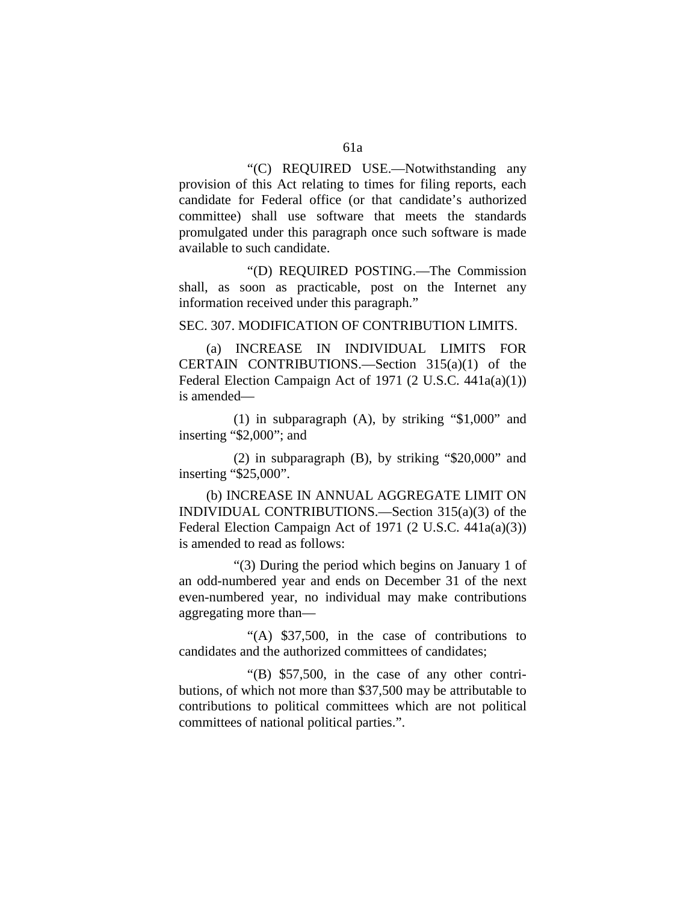"(C) REQUIRED USE.—Notwithstanding any provision of this Act relating to times for filing reports, each candidate for Federal office (or that candidate's authorized committee) shall use software that meets the standards promulgated under this paragraph once such software is made available to such candidate.

"(D) REQUIRED POSTING.—The Commission shall, as soon as practicable, post on the Internet any information received under this paragraph."

SEC. 307. MODIFICATION OF CONTRIBUTION LIMITS.

(a) INCREASE IN INDIVIDUAL LIMITS FOR CERTAIN CONTRIBUTIONS.—Section 315(a)(1) of the Federal Election Campaign Act of 1971 (2 U.S.C. 441a(a)(1)) is amended—

(1) in subparagraph (A), by striking "\$1,000" and inserting "\$2,000"; and

(2) in subparagraph (B), by striking "\$20,000" and inserting "\$25,000".

(b) INCREASE IN ANNUAL AGGREGATE LIMIT ON INDIVIDUAL CONTRIBUTIONS.—Section 315(a)(3) of the Federal Election Campaign Act of 1971 (2 U.S.C. 441a(a)(3)) is amended to read as follows:

"(3) During the period which begins on January 1 of an odd-numbered year and ends on December 31 of the next even-numbered year, no individual may make contributions aggregating more than—

"(A) \$37,500, in the case of contributions to candidates and the authorized committees of candidates;

"(B) \$57,500, in the case of any other contributions, of which not more than \$37,500 may be attributable to contributions to political committees which are not political committees of national political parties.".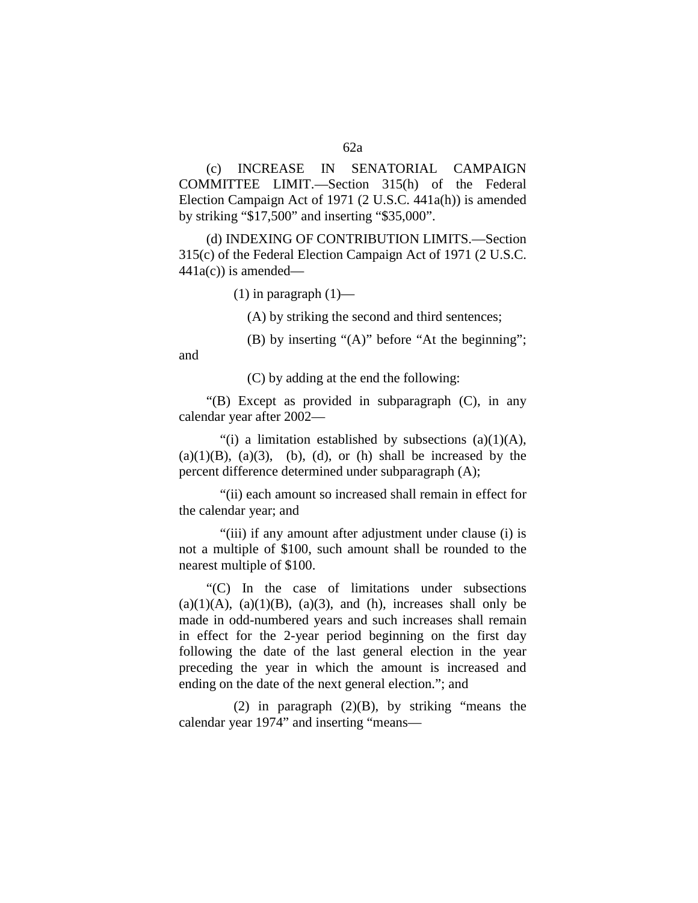(c) INCREASE IN SENATORIAL CAMPAIGN

62a

COMMITTEE LIMIT.—Section 315(h) of the Federal Election Campaign Act of 1971 (2 U.S.C. 441a(h)) is amended by striking "\$17,500" and inserting "\$35,000".

(d) INDEXING OF CONTRIBUTION LIMITS.—Section 315(c) of the Federal Election Campaign Act of 1971 (2 U.S.C.  $441a(c)$ ) is amended—

 $(1)$  in paragraph  $(1)$ —

(A) by striking the second and third sentences;

(B) by inserting "(A)" before "At the beginning";

and

(C) by adding at the end the following:

"(B) Except as provided in subparagraph (C), in any calendar year after 2002—

"(i) a limitation established by subsections  $(a)(1)(A)$ ,  $(a)(1)(B)$ ,  $(a)(3)$ ,  $(b)$ ,  $(d)$ , or  $(h)$  shall be increased by the percent difference determined under subparagraph (A);

"(ii) each amount so increased shall remain in effect for the calendar year; and

"(iii) if any amount after adjustment under clause (i) is not a multiple of \$100, such amount shall be rounded to the nearest multiple of \$100.

"(C) In the case of limitations under subsections  $(a)(1)(A)$ ,  $(a)(1)(B)$ ,  $(a)(3)$ , and  $(h)$ , increases shall only be made in odd-numbered years and such increases shall remain in effect for the 2-year period beginning on the first day following the date of the last general election in the year preceding the year in which the amount is increased and ending on the date of the next general election."; and

(2) in paragraph (2)(B), by striking "means the calendar year 1974" and inserting "means—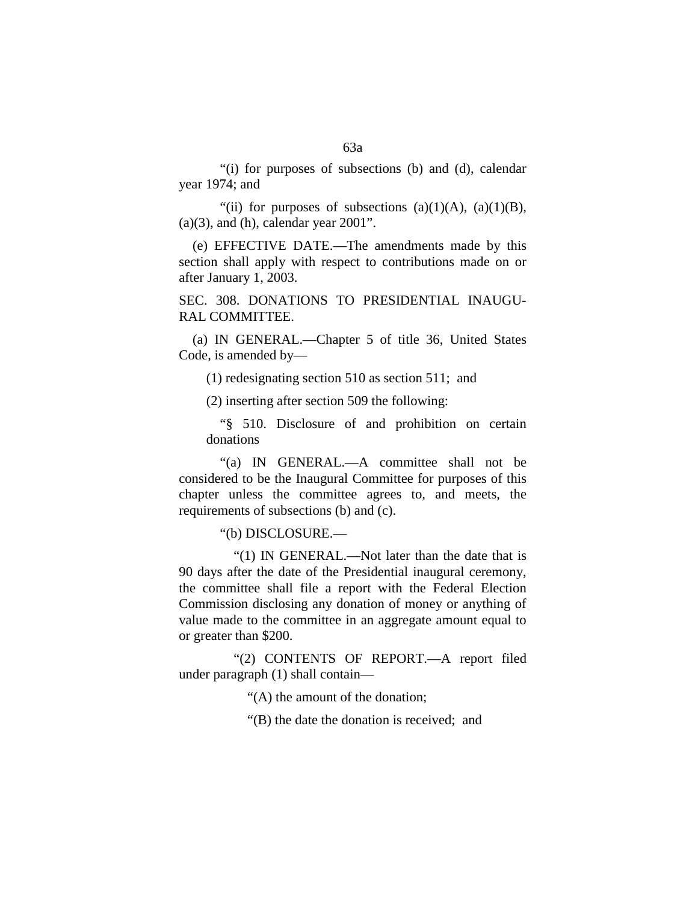"(i) for purposes of subsections (b) and (d), calendar year 1974; and

"(ii) for purposes of subsections  $(a)(1)(A)$ ,  $(a)(1)(B)$ ,  $(a)(3)$ , and  $(h)$ , calendar year 2001".

(e) EFFECTIVE DATE.—The amendments made by this section shall apply with respect to contributions made on or after January 1, 2003.

SEC. 308. DONATIONS TO PRESIDENTIAL INAUGU-RAL COMMITTEE.

(a) IN GENERAL.—Chapter 5 of title 36, United States Code, is amended by—

(1) redesignating section 510 as section 511; and

(2) inserting after section 509 the following:

"§ 510. Disclosure of and prohibition on certain donations

"(a) IN GENERAL.—A committee shall not be considered to be the Inaugural Committee for purposes of this chapter unless the committee agrees to, and meets, the requirements of subsections (b) and (c).

"(b) DISCLOSURE.—

"(1) IN GENERAL.—Not later than the date that is 90 days after the date of the Presidential inaugural ceremony, the committee shall file a report with the Federal Election Commission disclosing any donation of money or anything of value made to the committee in an aggregate amount equal to or greater than \$200.

"(2) CONTENTS OF REPORT.—A report filed under paragraph (1) shall contain—

"(A) the amount of the donation;

"(B) the date the donation is received; and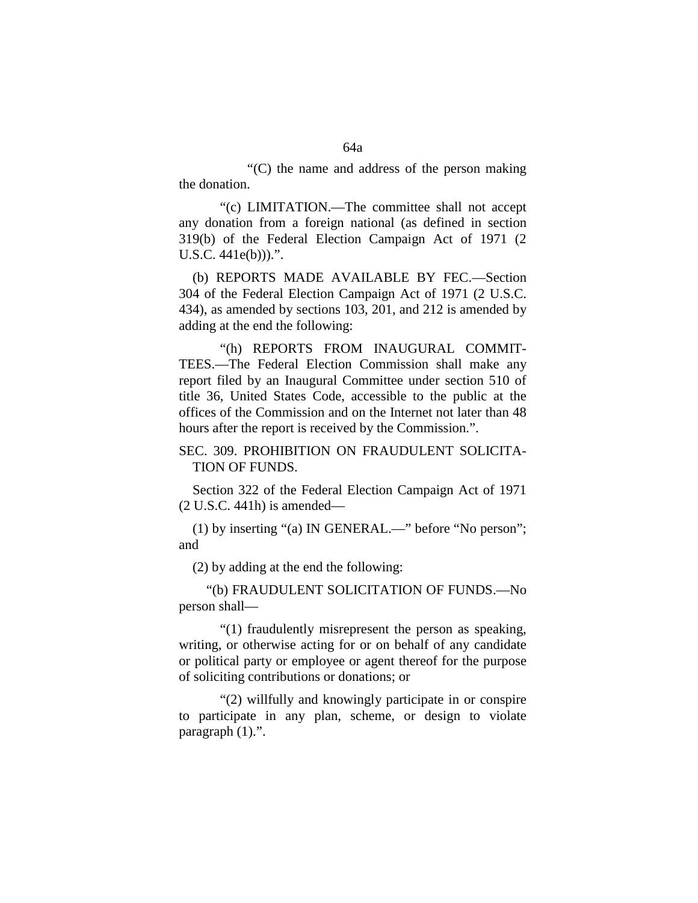"(C) the name and address of the person making the donation.

"(c) LIMITATION.—The committee shall not accept any donation from a foreign national (as defined in section 319(b) of the Federal Election Campaign Act of 1971 (2 U.S.C. 441e(b))).".

(b) REPORTS MADE AVAILABLE BY FEC.—Section 304 of the Federal Election Campaign Act of 1971 (2 U.S.C. 434), as amended by sections 103, 201, and 212 is amended by adding at the end the following:

"(h) REPORTS FROM INAUGURAL COMMIT-TEES.—The Federal Election Commission shall make any report filed by an Inaugural Committee under section 510 of title 36, United States Code, accessible to the public at the offices of the Commission and on the Internet not later than 48 hours after the report is received by the Commission.".

SEC. 309. PROHIBITION ON FRAUDULENT SOLICITA-TION OF FUNDS.

Section 322 of the Federal Election Campaign Act of 1971 (2 U.S.C. 441h) is amended—

(1) by inserting "(a) IN GENERAL.—" before "No person"; and

(2) by adding at the end the following:

"(b) FRAUDULENT SOLICITATION OF FUNDS.—No person shall—

"(1) fraudulently misrepresent the person as speaking, writing, or otherwise acting for or on behalf of any candidate or political party or employee or agent thereof for the purpose of soliciting contributions or donations; or

"(2) willfully and knowingly participate in or conspire to participate in any plan, scheme, or design to violate paragraph (1).".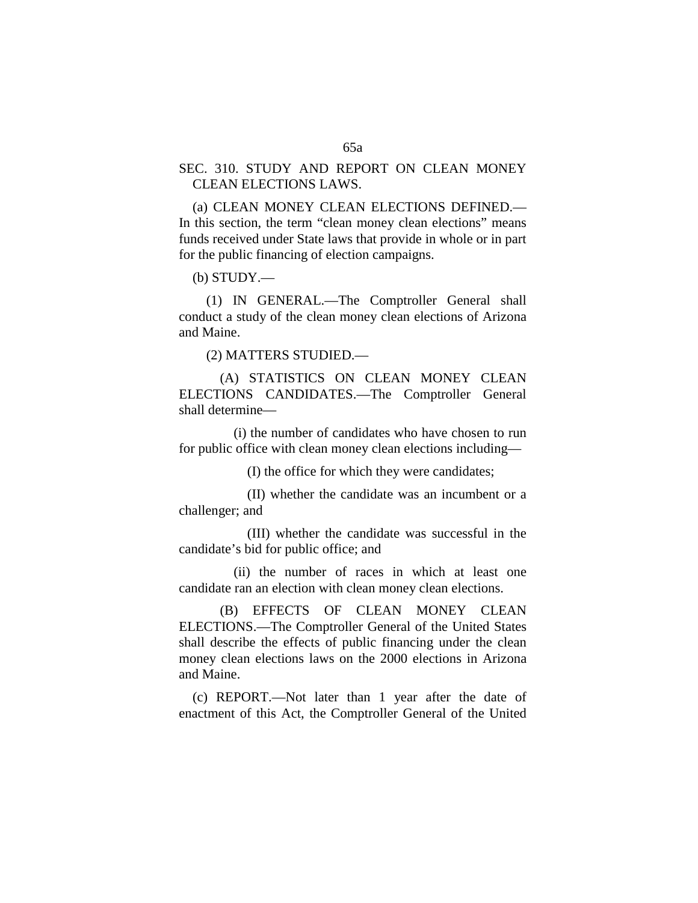## SEC. 310. STUDY AND REPORT ON CLEAN MONEY CLEAN ELECTIONS LAWS.

(a) CLEAN MONEY CLEAN ELECTIONS DEFINED.— In this section, the term "clean money clean elections" means funds received under State laws that provide in whole or in part for the public financing of election campaigns.

(b) STUDY.—

(1) IN GENERAL.—The Comptroller General shall conduct a study of the clean money clean elections of Arizona and Maine.

(2) MATTERS STUDIED.—

(A) STATISTICS ON CLEAN MONEY CLEAN ELECTIONS CANDIDATES.—The Comptroller General shall determine—

(i) the number of candidates who have chosen to run for public office with clean money clean elections including—

(I) the office for which they were candidates;

(II) whether the candidate was an incumbent or a challenger; and

(III) whether the candidate was successful in the candidate's bid for public office; and

(ii) the number of races in which at least one candidate ran an election with clean money clean elections.

(B) EFFECTS OF CLEAN MONEY CLEAN ELECTIONS.—The Comptroller General of the United States shall describe the effects of public financing under the clean money clean elections laws on the 2000 elections in Arizona and Maine.

(c) REPORT.—Not later than 1 year after the date of enactment of this Act, the Comptroller General of the United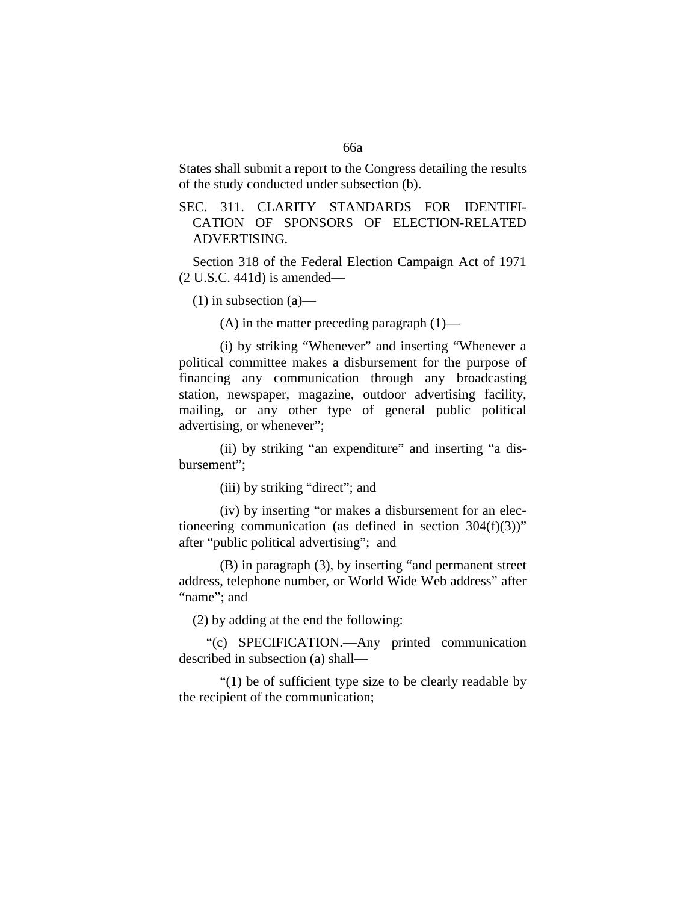States shall submit a report to the Congress detailing the results of the study conducted under subsection (b).

SEC. 311. CLARITY STANDARDS FOR IDENTIFI-CATION OF SPONSORS OF ELECTION-RELATED ADVERTISING.

Section 318 of the Federal Election Campaign Act of 1971 (2 U.S.C. 441d) is amended—

 $(1)$  in subsection  $(a)$ —

(A) in the matter preceding paragraph  $(1)$ —

(i) by striking "Whenever" and inserting "Whenever a political committee makes a disbursement for the purpose of financing any communication through any broadcasting station, newspaper, magazine, outdoor advertising facility, mailing, or any other type of general public political advertising, or whenever";

(ii) by striking "an expenditure" and inserting "a disbursement";

(iii) by striking "direct"; and

(iv) by inserting "or makes a disbursement for an electioneering communication (as defined in section  $304(f)(3)$ )" after "public political advertising"; and

(B) in paragraph (3), by inserting "and permanent street address, telephone number, or World Wide Web address" after "name"; and

(2) by adding at the end the following:

"(c) SPECIFICATION.—Any printed communication described in subsection (a) shall—

"(1) be of sufficient type size to be clearly readable by the recipient of the communication;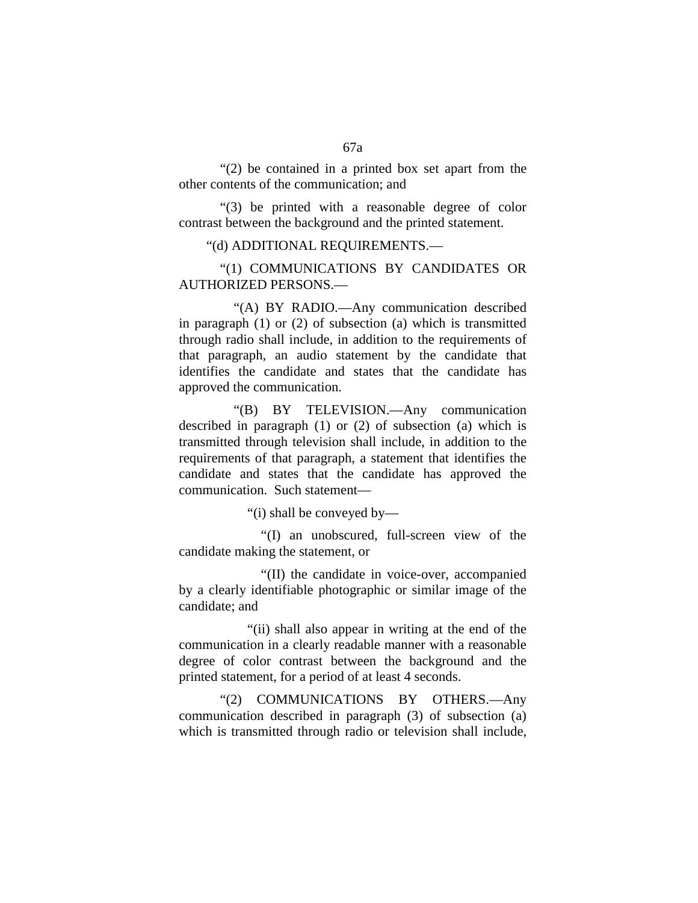"(2) be contained in a printed box set apart from the other contents of the communication; and

"(3) be printed with a reasonable degree of color contrast between the background and the printed statement.

#### "(d) ADDITIONAL REQUIREMENTS.—

"(1) COMMUNICATIONS BY CANDIDATES OR AUTHORIZED PERSONS.—

"(A) BY RADIO.—Any communication described in paragraph (1) or (2) of subsection (a) which is transmitted through radio shall include, in addition to the requirements of that paragraph, an audio statement by the candidate that identifies the candidate and states that the candidate has approved the communication.

"(B) BY TELEVISION.—Any communication described in paragraph (1) or (2) of subsection (a) which is transmitted through television shall include, in addition to the requirements of that paragraph, a statement that identifies the candidate and states that the candidate has approved the communication. Such statement—

"(i) shall be conveyed by—

"(I) an unobscured, full-screen view of the candidate making the statement, or

"(II) the candidate in voice-over, accompanied by a clearly identifiable photographic or similar image of the candidate; and

"(ii) shall also appear in writing at the end of the communication in a clearly readable manner with a reasonable degree of color contrast between the background and the printed statement, for a period of at least 4 seconds.

"(2) COMMUNICATIONS BY OTHERS.—Any communication described in paragraph (3) of subsection (a) which is transmitted through radio or television shall include,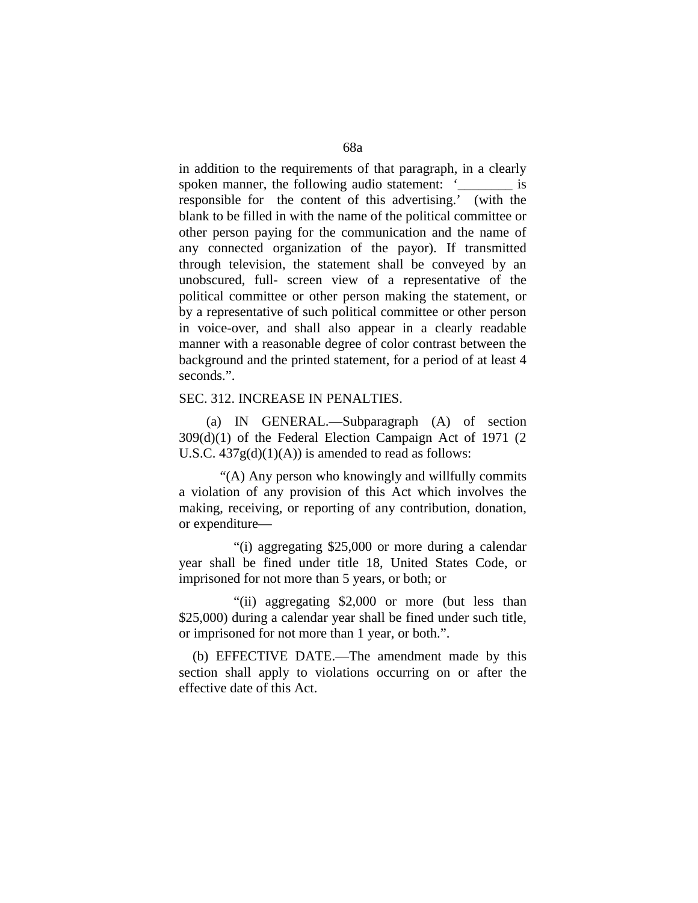in addition to the requirements of that paragraph, in a clearly spoken manner, the following audio statement: '\_\_\_\_\_\_\_\_ is responsible for the content of this advertising.' (with the blank to be filled in with the name of the political committee or other person paying for the communication and the name of any connected organization of the payor). If transmitted through television, the statement shall be conveyed by an unobscured, full- screen view of a representative of the political committee or other person making the statement, or by a representative of such political committee or other person in voice-over, and shall also appear in a clearly readable manner with a reasonable degree of color contrast between the background and the printed statement, for a period of at least 4 seconds.".

### SEC. 312. INCREASE IN PENALTIES.

(a) IN GENERAL.—Subparagraph (A) of section 309(d)(1) of the Federal Election Campaign Act of 1971 (2 U.S.C.  $437g(d)(1)(A)$  is amended to read as follows:

"(A) Any person who knowingly and willfully commits a violation of any provision of this Act which involves the making, receiving, or reporting of any contribution, donation, or expenditure—

"(i) aggregating \$25,000 or more during a calendar year shall be fined under title 18, United States Code, or imprisoned for not more than 5 years, or both; or

"(ii) aggregating \$2,000 or more (but less than \$25,000) during a calendar year shall be fined under such title, or imprisoned for not more than 1 year, or both.".

(b) EFFECTIVE DATE.—The amendment made by this section shall apply to violations occurring on or after the effective date of this Act.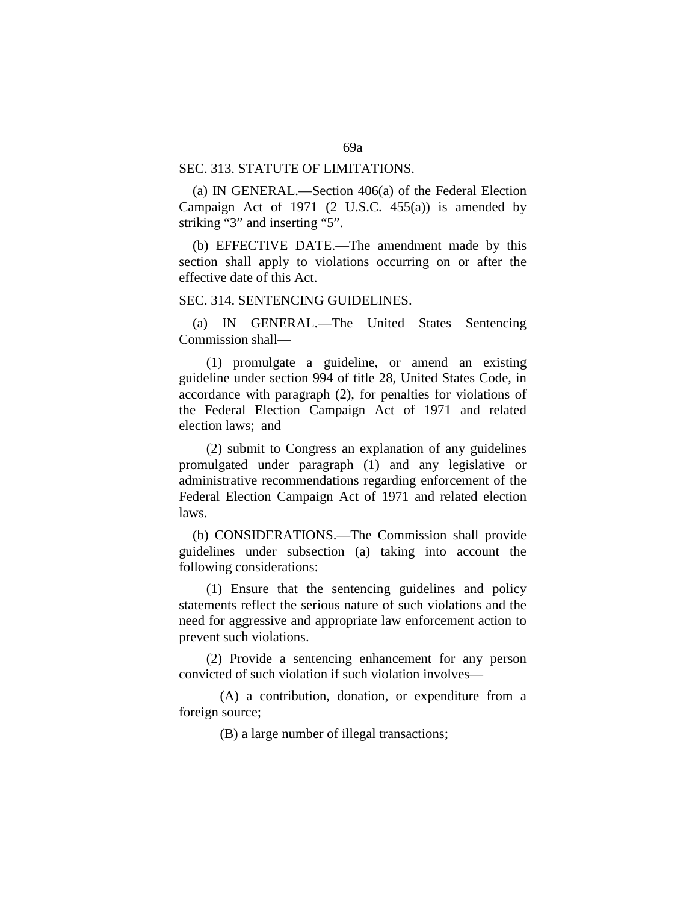#### SEC. 313. STATUTE OF LIMITATIONS.

(a) IN GENERAL.—Section 406(a) of the Federal Election Campaign Act of 1971  $(2 \text{ U.S.C. } 455(a))$  is amended by striking "3" and inserting "5".

(b) EFFECTIVE DATE.—The amendment made by this section shall apply to violations occurring on or after the effective date of this Act.

## SEC. 314. SENTENCING GUIDELINES.

(a) IN GENERAL.—The United States Sentencing Commission shall—

(1) promulgate a guideline, or amend an existing guideline under section 994 of title 28, United States Code, in accordance with paragraph (2), for penalties for violations of the Federal Election Campaign Act of 1971 and related election laws; and

(2) submit to Congress an explanation of any guidelines promulgated under paragraph (1) and any legislative or administrative recommendations regarding enforcement of the Federal Election Campaign Act of 1971 and related election laws.

(b) CONSIDERATIONS.—The Commission shall provide guidelines under subsection (a) taking into account the following considerations:

(1) Ensure that the sentencing guidelines and policy statements reflect the serious nature of such violations and the need for aggressive and appropriate law enforcement action to prevent such violations.

(2) Provide a sentencing enhancement for any person convicted of such violation if such violation involves—

(A) a contribution, donation, or expenditure from a foreign source;

(B) a large number of illegal transactions;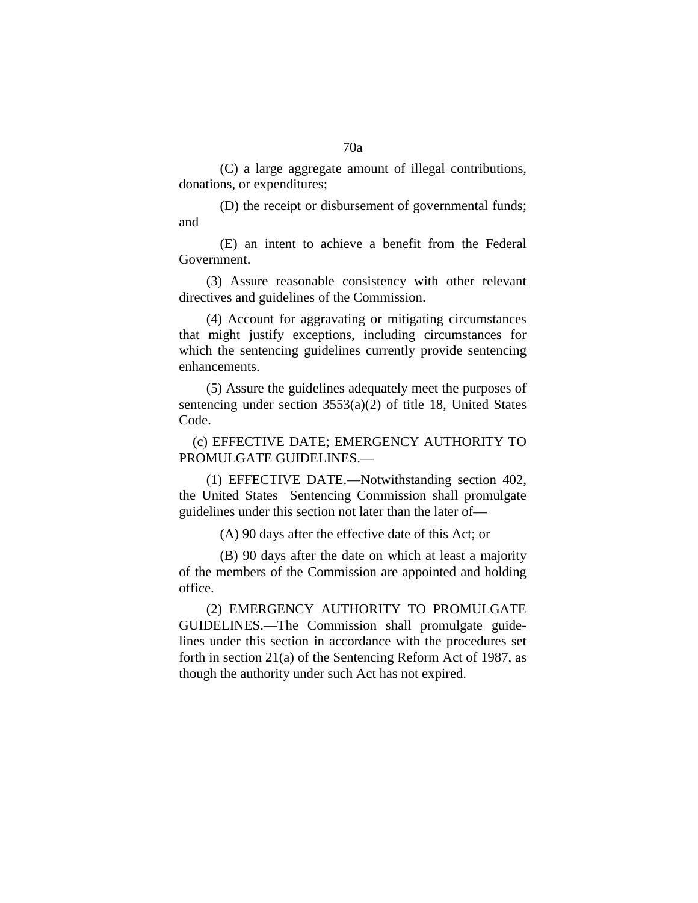(C) a large aggregate amount of illegal contributions, donations, or expenditures;

(D) the receipt or disbursement of governmental funds; and

(E) an intent to achieve a benefit from the Federal Government.

(3) Assure reasonable consistency with other relevant directives and guidelines of the Commission.

(4) Account for aggravating or mitigating circumstances that might justify exceptions, including circumstances for which the sentencing guidelines currently provide sentencing enhancements.

(5) Assure the guidelines adequately meet the purposes of sentencing under section 3553(a)(2) of title 18, United States Code.

(c) EFFECTIVE DATE; EMERGENCY AUTHORITY TO PROMULGATE GUIDELINES.—

(1) EFFECTIVE DATE.—Notwithstanding section 402, the United States Sentencing Commission shall promulgate guidelines under this section not later than the later of—

(A) 90 days after the effective date of this Act; or

(B) 90 days after the date on which at least a majority of the members of the Commission are appointed and holding office.

(2) EMERGENCY AUTHORITY TO PROMULGATE GUIDELINES.—The Commission shall promulgate guidelines under this section in accordance with the procedures set forth in section 21(a) of the Sentencing Reform Act of 1987, as though the authority under such Act has not expired.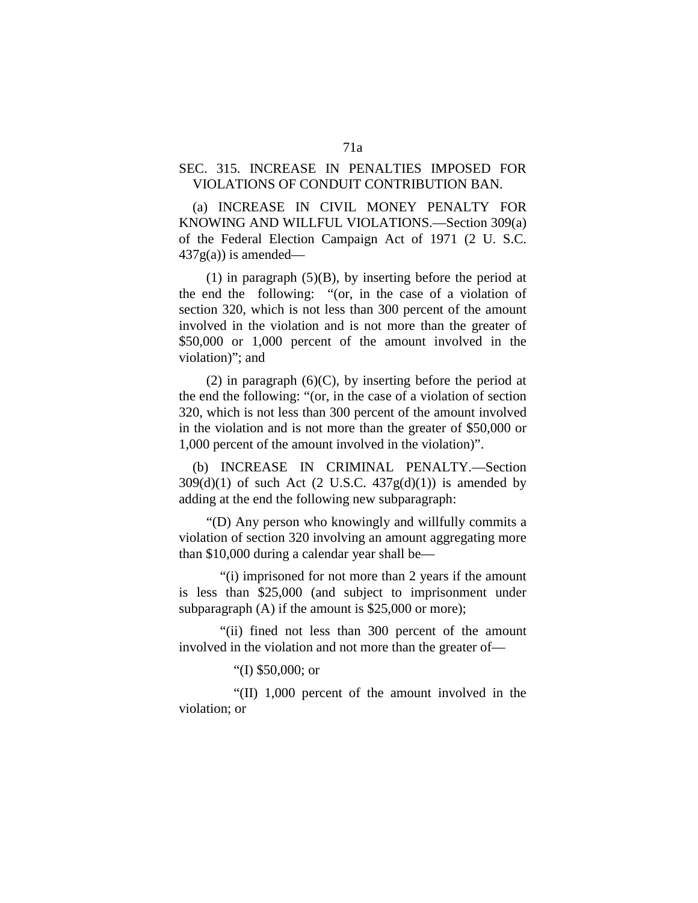# SEC. 315. INCREASE IN PENALTIES IMPOSED FOR VIOLATIONS OF CONDUIT CONTRIBUTION BAN.

(a) INCREASE IN CIVIL MONEY PENALTY FOR KNOWING AND WILLFUL VIOLATIONS.—Section 309(a) of the Federal Election Campaign Act of 1971 (2 U. S.C.  $437g(a)$ ) is amended—

(1) in paragraph  $(5)(B)$ , by inserting before the period at the end the following: "(or, in the case of a violation of section 320, which is not less than 300 percent of the amount involved in the violation and is not more than the greater of \$50,000 or 1,000 percent of the amount involved in the violation)"; and

(2) in paragraph  $(6)(C)$ , by inserting before the period at the end the following: "(or, in the case of a violation of section 320, which is not less than 300 percent of the amount involved in the violation and is not more than the greater of \$50,000 or 1,000 percent of the amount involved in the violation)".

(b) INCREASE IN CRIMINAL PENALTY.—Section  $309(d)(1)$  of such Act (2 U.S.C.  $437g(d)(1)$ ) is amended by adding at the end the following new subparagraph:

"(D) Any person who knowingly and willfully commits a violation of section 320 involving an amount aggregating more than \$10,000 during a calendar year shall be—

"(i) imprisoned for not more than 2 years if the amount is less than \$25,000 (and subject to imprisonment under subparagraph  $(A)$  if the amount is \$25,000 or more);

"(ii) fined not less than 300 percent of the amount involved in the violation and not more than the greater of—

"(I) \$50,000; or

"(II) 1,000 percent of the amount involved in the violation; or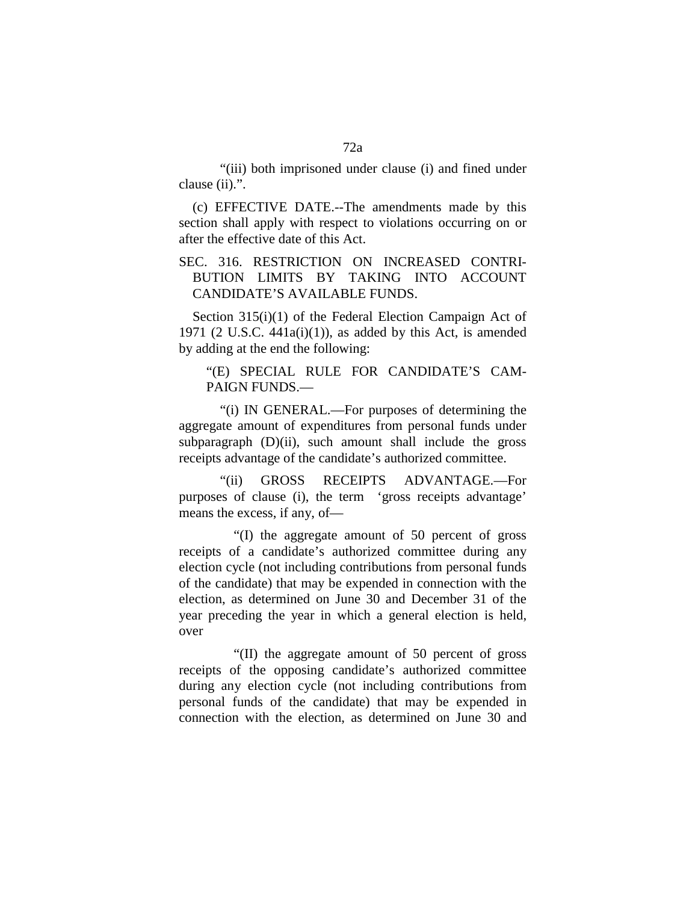"(iii) both imprisoned under clause (i) and fined under clause (ii).".

(c) EFFECTIVE DATE.--The amendments made by this section shall apply with respect to violations occurring on or after the effective date of this Act.

# SEC. 316. RESTRICTION ON INCREASED CONTRI-BUTION LIMITS BY TAKING INTO ACCOUNT CANDIDATE'S AVAILABLE FUNDS.

Section 315(i)(1) of the Federal Election Campaign Act of 1971 (2 U.S.C.  $441a(i)(1)$ ), as added by this Act, is amended by adding at the end the following:

## "(E) SPECIAL RULE FOR CANDIDATE'S CAM-PAIGN FUNDS.—

"(i) IN GENERAL.—For purposes of determining the aggregate amount of expenditures from personal funds under subparagraph  $(D)(ii)$ , such amount shall include the gross receipts advantage of the candidate's authorized committee.

"(ii) GROSS RECEIPTS ADVANTAGE.—For purposes of clause (i), the term 'gross receipts advantage' means the excess, if any, of—

"(I) the aggregate amount of 50 percent of gross receipts of a candidate's authorized committee during any election cycle (not including contributions from personal funds of the candidate) that may be expended in connection with the election, as determined on June 30 and December 31 of the year preceding the year in which a general election is held, over

"(II) the aggregate amount of 50 percent of gross receipts of the opposing candidate's authorized committee during any election cycle (not including contributions from personal funds of the candidate) that may be expended in connection with the election, as determined on June 30 and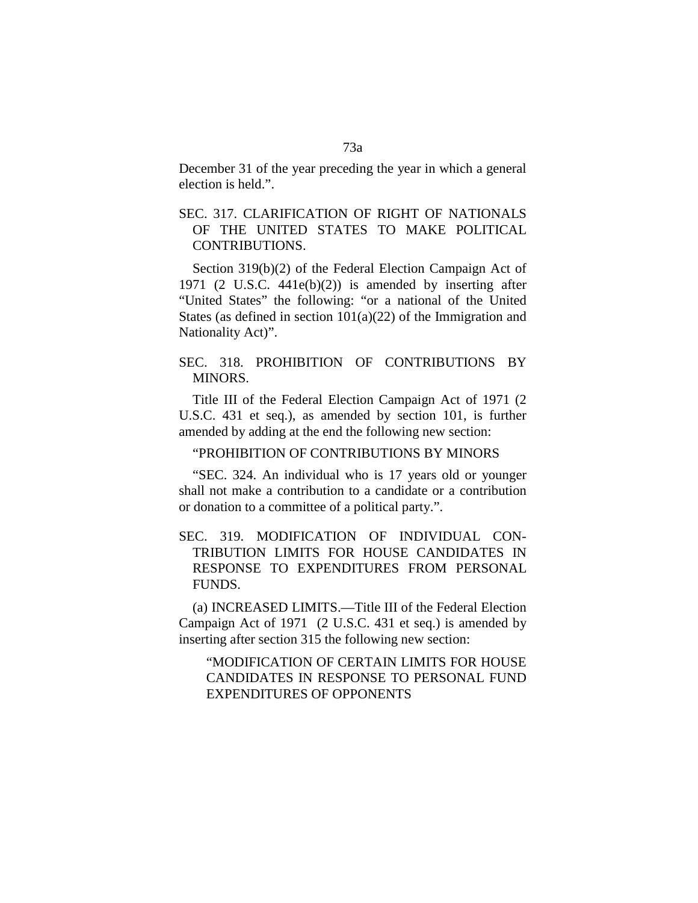December 31 of the year preceding the year in which a general election is held.".

# SEC. 317. CLARIFICATION OF RIGHT OF NATIONALS OF THE UNITED STATES TO MAKE POLITICAL CONTRIBUTIONS.

Section 319(b)(2) of the Federal Election Campaign Act of 1971 (2 U.S.C. 441e(b)(2)) is amended by inserting after "United States" the following: "or a national of the United States (as defined in section  $101(a)(22)$  of the Immigration and Nationality Act)".

## SEC. 318. PROHIBITION OF CONTRIBUTIONS BY MINORS.

Title III of the Federal Election Campaign Act of 1971 (2 U.S.C. 431 et seq.), as amended by section 101, is further amended by adding at the end the following new section:

## "PROHIBITION OF CONTRIBUTIONS BY MINORS

"SEC. 324. An individual who is 17 years old or younger shall not make a contribution to a candidate or a contribution or donation to a committee of a political party.".

# SEC. 319. MODIFICATION OF INDIVIDUAL CON-TRIBUTION LIMITS FOR HOUSE CANDIDATES IN RESPONSE TO EXPENDITURES FROM PERSONAL FUNDS.

(a) INCREASED LIMITS.—Title III of the Federal Election Campaign Act of 1971 (2 U.S.C. 431 et seq.) is amended by inserting after section 315 the following new section:

"MODIFICATION OF CERTAIN LIMITS FOR HOUSE CANDIDATES IN RESPONSE TO PERSONAL FUND EXPENDITURES OF OPPONENTS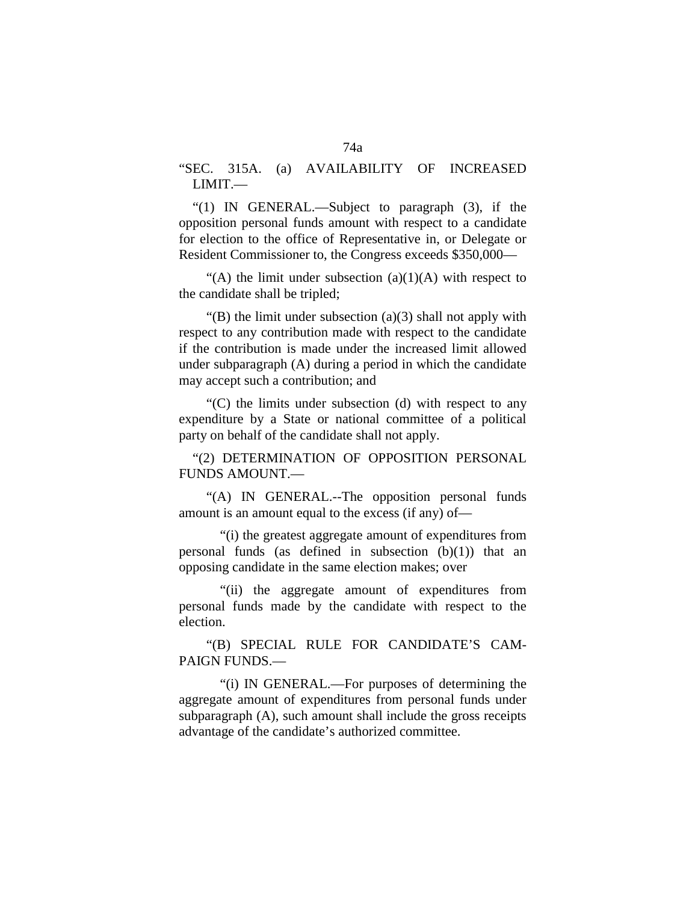"SEC. 315A. (a) AVAILABILITY OF INCREASED LIMIT.—

"(1) IN GENERAL.—Subject to paragraph (3), if the opposition personal funds amount with respect to a candidate for election to the office of Representative in, or Delegate or Resident Commissioner to, the Congress exceeds \$350,000—

"(A) the limit under subsection  $(a)(1)(A)$  with respect to the candidate shall be tripled;

"(B) the limit under subsection  $(a)(3)$  shall not apply with respect to any contribution made with respect to the candidate if the contribution is made under the increased limit allowed under subparagraph (A) during a period in which the candidate may accept such a contribution; and

"(C) the limits under subsection (d) with respect to any expenditure by a State or national committee of a political party on behalf of the candidate shall not apply.

"(2) DETERMINATION OF OPPOSITION PERSONAL FUNDS AMOUNT.—

"(A) IN GENERAL.--The opposition personal funds amount is an amount equal to the excess (if any) of—

"(i) the greatest aggregate amount of expenditures from personal funds (as defined in subsection  $(b)(1)$ ) that an opposing candidate in the same election makes; over

"(ii) the aggregate amount of expenditures from personal funds made by the candidate with respect to the election.

"(B) SPECIAL RULE FOR CANDIDATE'S CAM-PAIGN FUNDS.—

"(i) IN GENERAL.—For purposes of determining the aggregate amount of expenditures from personal funds under subparagraph (A), such amount shall include the gross receipts advantage of the candidate's authorized committee.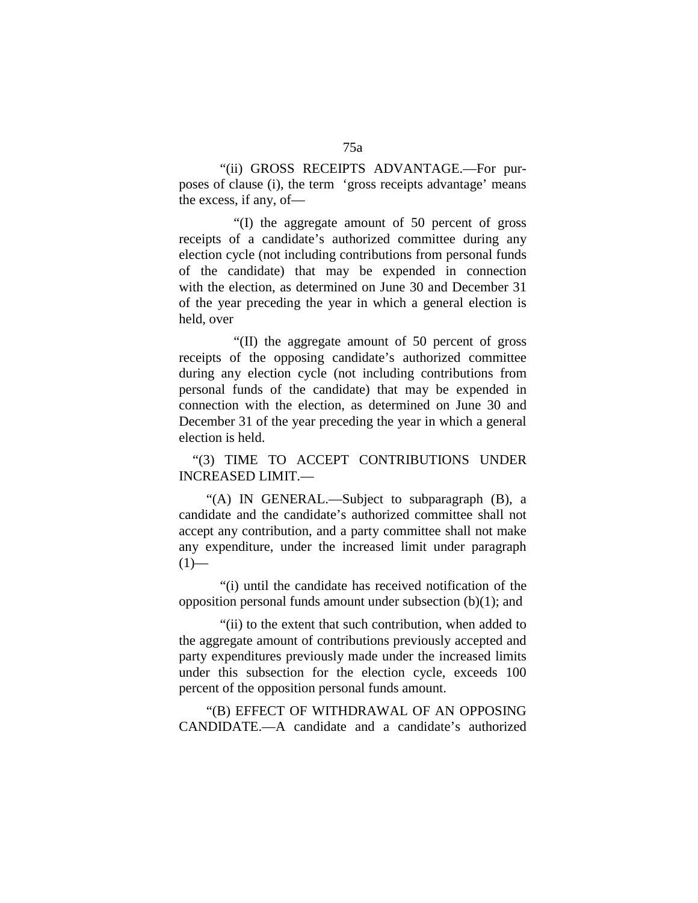"(ii) GROSS RECEIPTS ADVANTAGE.—For purposes of clause (i), the term 'gross receipts advantage' means the excess, if any, of—

"(I) the aggregate amount of 50 percent of gross receipts of a candidate's authorized committee during any election cycle (not including contributions from personal funds of the candidate) that may be expended in connection with the election, as determined on June 30 and December 31 of the year preceding the year in which a general election is held, over

"(II) the aggregate amount of 50 percent of gross receipts of the opposing candidate's authorized committee during any election cycle (not including contributions from personal funds of the candidate) that may be expended in connection with the election, as determined on June 30 and December 31 of the year preceding the year in which a general election is held.

"(3) TIME TO ACCEPT CONTRIBUTIONS UNDER INCREASED LIMIT.—

"(A) IN GENERAL.—Subject to subparagraph (B), a candidate and the candidate's authorized committee shall not accept any contribution, and a party committee shall not make any expenditure, under the increased limit under paragraph  $(1)$ —

"(i) until the candidate has received notification of the opposition personal funds amount under subsection (b)(1); and

"(ii) to the extent that such contribution, when added to the aggregate amount of contributions previously accepted and party expenditures previously made under the increased limits under this subsection for the election cycle, exceeds 100 percent of the opposition personal funds amount.

"(B) EFFECT OF WITHDRAWAL OF AN OPPOSING CANDIDATE.—A candidate and a candidate's authorized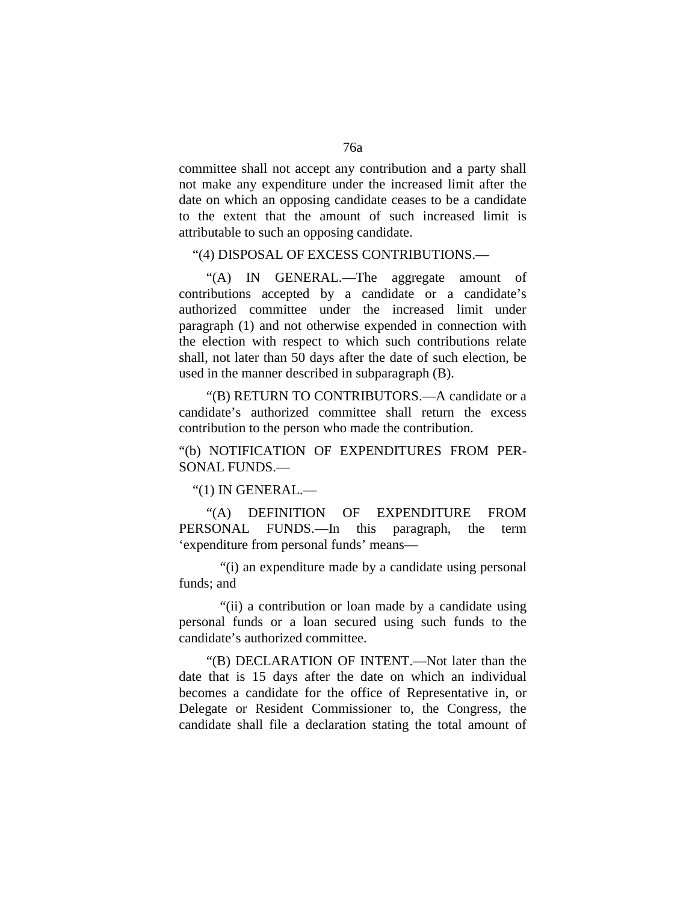committee shall not accept any contribution and a party shall not make any expenditure under the increased limit after the date on which an opposing candidate ceases to be a candidate to the extent that the amount of such increased limit is attributable to such an opposing candidate.

#### "(4) DISPOSAL OF EXCESS CONTRIBUTIONS.—

"(A) IN GENERAL.—The aggregate amount of contributions accepted by a candidate or a candidate's authorized committee under the increased limit under paragraph (1) and not otherwise expended in connection with the election with respect to which such contributions relate shall, not later than 50 days after the date of such election, be used in the manner described in subparagraph (B).

"(B) RETURN TO CONTRIBUTORS.—A candidate or a candidate's authorized committee shall return the excess contribution to the person who made the contribution.

# "(b) NOTIFICATION OF EXPENDITURES FROM PER-SONAL FUNDS.—

"(1) IN GENERAL.—

"(A) DEFINITION OF EXPENDITURE FROM PERSONAL FUNDS.—In this paragraph, the term 'expenditure from personal funds' means—

"(i) an expenditure made by a candidate using personal funds; and

"(ii) a contribution or loan made by a candidate using personal funds or a loan secured using such funds to the candidate's authorized committee.

"(B) DECLARATION OF INTENT.—Not later than the date that is 15 days after the date on which an individual becomes a candidate for the office of Representative in, or Delegate or Resident Commissioner to, the Congress, the candidate shall file a declaration stating the total amount of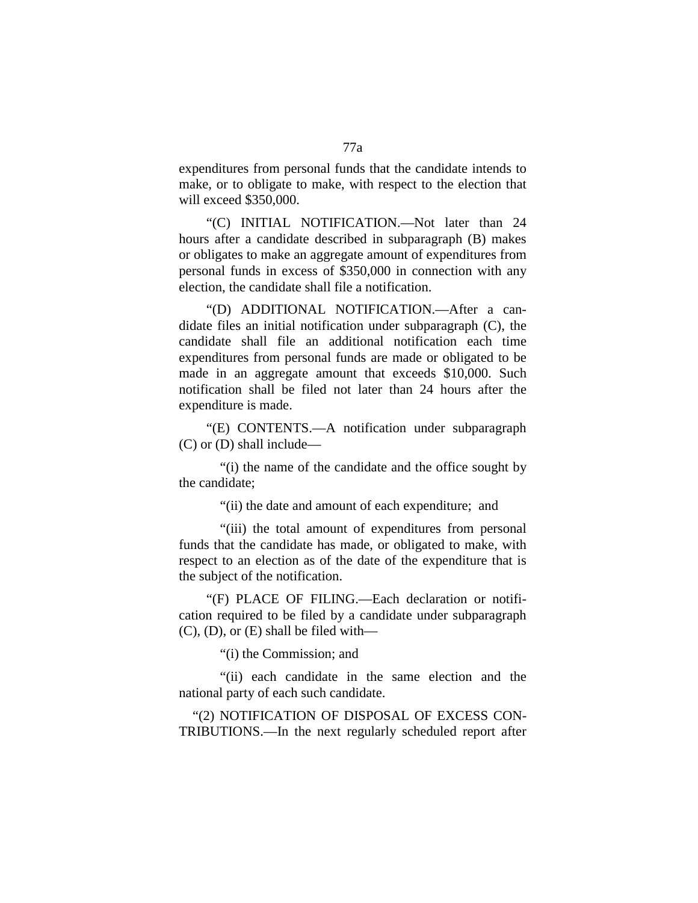expenditures from personal funds that the candidate intends to make, or to obligate to make, with respect to the election that will exceed \$350,000.

"(C) INITIAL NOTIFICATION.—Not later than 24 hours after a candidate described in subparagraph (B) makes or obligates to make an aggregate amount of expenditures from personal funds in excess of \$350,000 in connection with any election, the candidate shall file a notification.

"(D) ADDITIONAL NOTIFICATION.—After a candidate files an initial notification under subparagraph (C), the candidate shall file an additional notification each time expenditures from personal funds are made or obligated to be made in an aggregate amount that exceeds \$10,000. Such notification shall be filed not later than 24 hours after the expenditure is made.

"(E) CONTENTS.—A notification under subparagraph (C) or (D) shall include—

"(i) the name of the candidate and the office sought by the candidate;

"(ii) the date and amount of each expenditure; and

"(iii) the total amount of expenditures from personal funds that the candidate has made, or obligated to make, with respect to an election as of the date of the expenditure that is the subject of the notification.

"(F) PLACE OF FILING.—Each declaration or notification required to be filed by a candidate under subparagraph  $(C)$ ,  $(D)$ , or  $(E)$  shall be filed with—

"(i) the Commission; and

"(ii) each candidate in the same election and the national party of each such candidate.

"(2) NOTIFICATION OF DISPOSAL OF EXCESS CON-TRIBUTIONS.—In the next regularly scheduled report after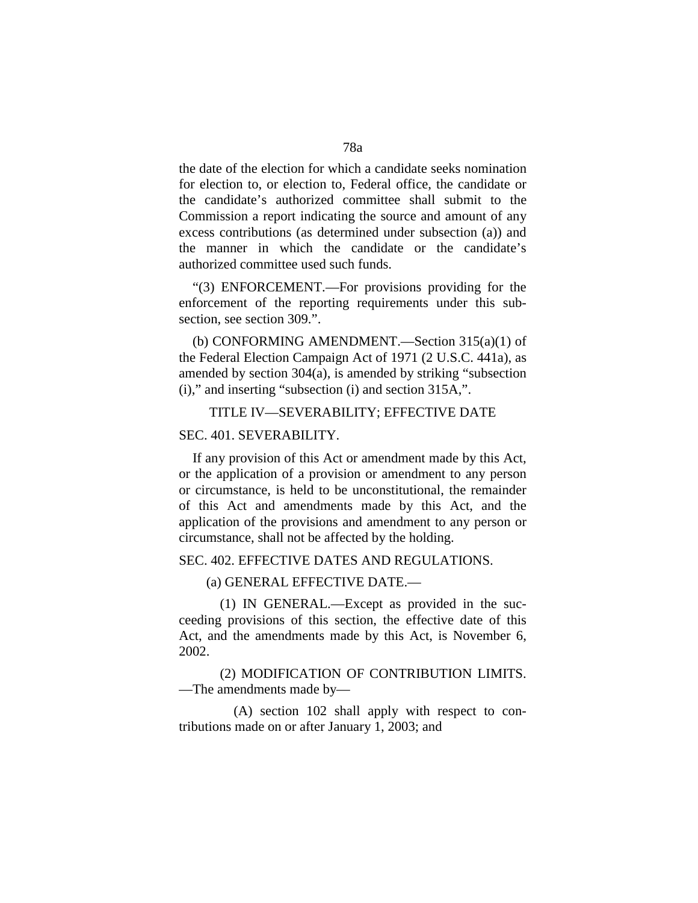the date of the election for which a candidate seeks nomination for election to, or election to, Federal office, the candidate or the candidate's authorized committee shall submit to the Commission a report indicating the source and amount of any excess contributions (as determined under subsection (a)) and the manner in which the candidate or the candidate's authorized committee used such funds.

"(3) ENFORCEMENT.—For provisions providing for the enforcement of the reporting requirements under this subsection, see section 309.".

(b) CONFORMING AMENDMENT.—Section 315(a)(1) of the Federal Election Campaign Act of 1971 (2 U.S.C. 441a), as amended by section 304(a), is amended by striking "subsection (i)," and inserting "subsection (i) and section 315A,".

#### TITLE IV—SEVERABILITY; EFFECTIVE DATE

### SEC. 401. SEVERABILITY.

If any provision of this Act or amendment made by this Act, or the application of a provision or amendment to any person or circumstance, is held to be unconstitutional, the remainder of this Act and amendments made by this Act, and the application of the provisions and amendment to any person or circumstance, shall not be affected by the holding.

#### SEC. 402. EFFECTIVE DATES AND REGULATIONS.

(a) GENERAL EFFECTIVE DATE.—

(1) IN GENERAL.—Except as provided in the succeeding provisions of this section, the effective date of this Act, and the amendments made by this Act, is November 6, 2002.

(2) MODIFICATION OF CONTRIBUTION LIMITS. —The amendments made by—

(A) section 102 shall apply with respect to contributions made on or after January 1, 2003; and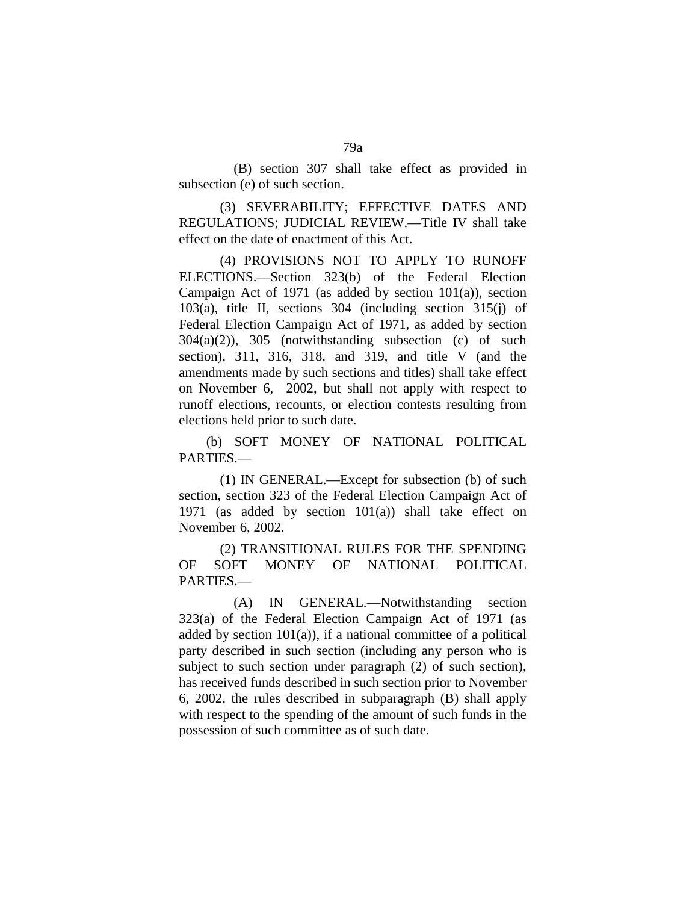(B) section 307 shall take effect as provided in subsection (e) of such section.

(3) SEVERABILITY; EFFECTIVE DATES AND REGULATIONS; JUDICIAL REVIEW.—Title IV shall take effect on the date of enactment of this Act.

(4) PROVISIONS NOT TO APPLY TO RUNOFF ELECTIONS.—Section 323(b) of the Federal Election Campaign Act of 1971 (as added by section  $101(a)$ ), section 103(a), title II, sections 304 (including section 315(j) of Federal Election Campaign Act of 1971, as added by section 304(a)(2)), 305 (notwithstanding subsection (c) of such section), 311, 316, 318, and 319, and title V (and the amendments made by such sections and titles) shall take effect on November 6, 2002, but shall not apply with respect to runoff elections, recounts, or election contests resulting from elections held prior to such date.

(b) SOFT MONEY OF NATIONAL POLITICAL PARTIES.—

(1) IN GENERAL.—Except for subsection (b) of such section, section 323 of the Federal Election Campaign Act of 1971 (as added by section 101(a)) shall take effect on November 6, 2002.

(2) TRANSITIONAL RULES FOR THE SPENDING OF SOFT MONEY OF NATIONAL POLITICAL PARTIES.—

(A) IN GENERAL.—Notwithstanding section 323(a) of the Federal Election Campaign Act of 1971 (as added by section  $101(a)$ ), if a national committee of a political party described in such section (including any person who is subject to such section under paragraph (2) of such section), has received funds described in such section prior to November 6, 2002, the rules described in subparagraph (B) shall apply with respect to the spending of the amount of such funds in the possession of such committee as of such date.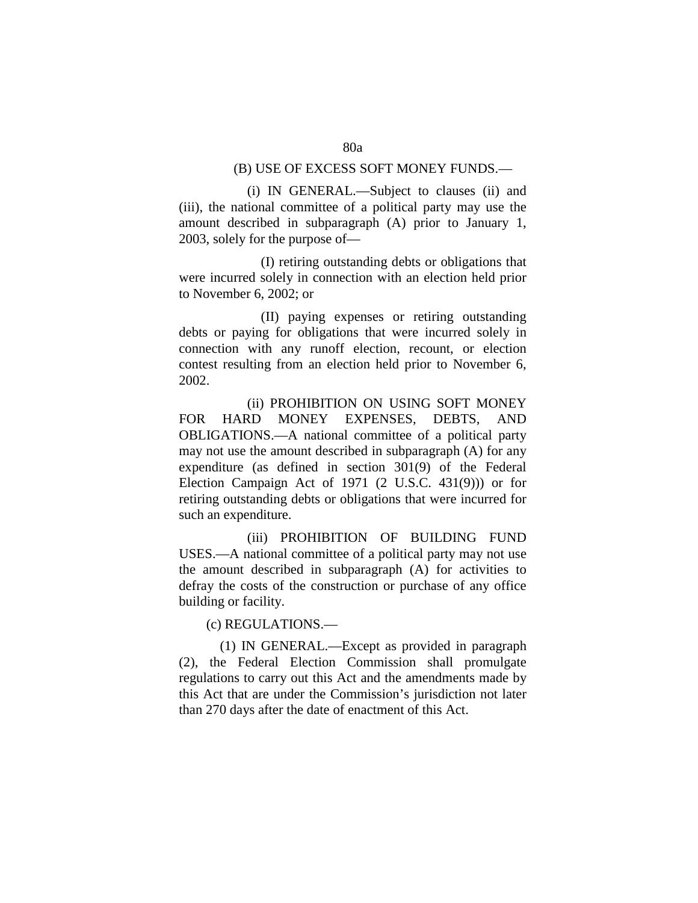### (B) USE OF EXCESS SOFT MONEY FUNDS.—

(i) IN GENERAL.—Subject to clauses (ii) and (iii), the national committee of a political party may use the amount described in subparagraph (A) prior to January 1, 2003, solely for the purpose of—

(I) retiring outstanding debts or obligations that were incurred solely in connection with an election held prior to November 6, 2002; or

(II) paying expenses or retiring outstanding debts or paying for obligations that were incurred solely in connection with any runoff election, recount, or election contest resulting from an election held prior to November 6, 2002.

(ii) PROHIBITION ON USING SOFT MONEY FOR HARD MONEY EXPENSES, DEBTS, AND OBLIGATIONS.—A national committee of a political party may not use the amount described in subparagraph (A) for any expenditure (as defined in section 301(9) of the Federal Election Campaign Act of 1971 (2 U.S.C. 431(9))) or for retiring outstanding debts or obligations that were incurred for such an expenditure.

(iii) PROHIBITION OF BUILDING FUND USES.—A national committee of a political party may not use the amount described in subparagraph (A) for activities to defray the costs of the construction or purchase of any office building or facility.

(c) REGULATIONS.—

(1) IN GENERAL.—Except as provided in paragraph (2), the Federal Election Commission shall promulgate regulations to carry out this Act and the amendments made by this Act that are under the Commission's jurisdiction not later than 270 days after the date of enactment of this Act.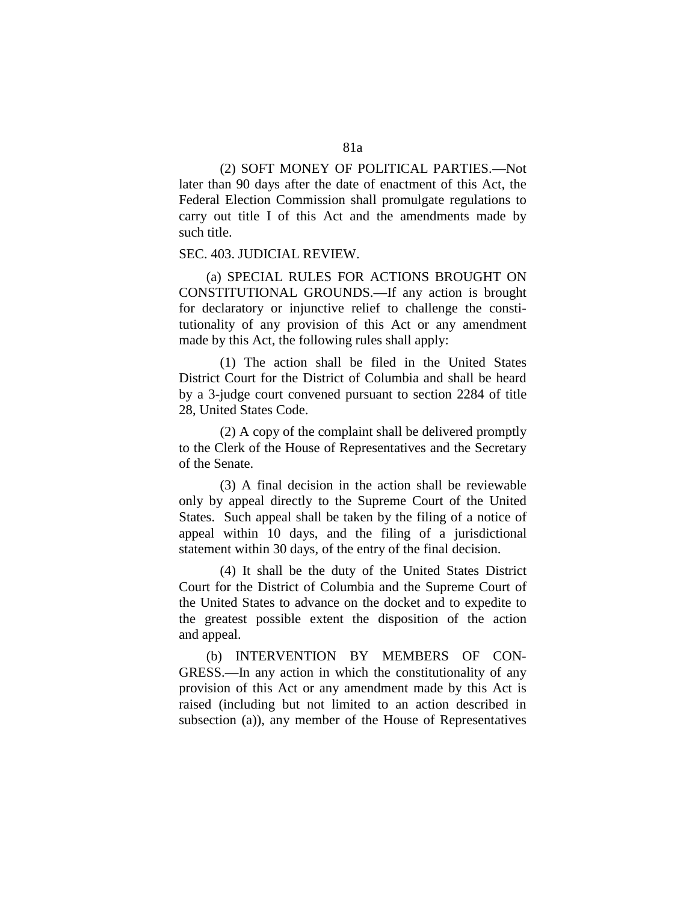(2) SOFT MONEY OF POLITICAL PARTIES.—Not later than 90 days after the date of enactment of this Act, the Federal Election Commission shall promulgate regulations to carry out title I of this Act and the amendments made by such title.

#### SEC. 403. JUDICIAL REVIEW.

(a) SPECIAL RULES FOR ACTIONS BROUGHT ON CONSTITUTIONAL GROUNDS.—If any action is brought for declaratory or injunctive relief to challenge the constitutionality of any provision of this Act or any amendment made by this Act, the following rules shall apply:

(1) The action shall be filed in the United States District Court for the District of Columbia and shall be heard by a 3-judge court convened pursuant to section 2284 of title 28, United States Code.

(2) A copy of the complaint shall be delivered promptly to the Clerk of the House of Representatives and the Secretary of the Senate.

(3) A final decision in the action shall be reviewable only by appeal directly to the Supreme Court of the United States. Such appeal shall be taken by the filing of a notice of appeal within 10 days, and the filing of a jurisdictional statement within 30 days, of the entry of the final decision.

(4) It shall be the duty of the United States District Court for the District of Columbia and the Supreme Court of the United States to advance on the docket and to expedite to the greatest possible extent the disposition of the action and appeal.

(b) INTERVENTION BY MEMBERS OF CON-GRESS.—In any action in which the constitutionality of any provision of this Act or any amendment made by this Act is raised (including but not limited to an action described in subsection (a)), any member of the House of Representatives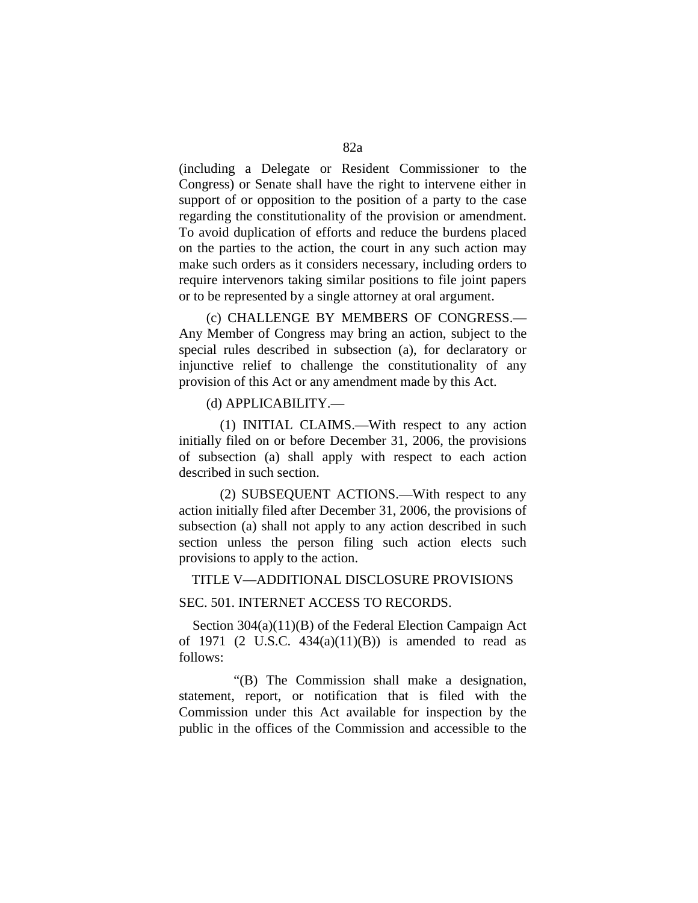(including a Delegate or Resident Commissioner to the Congress) or Senate shall have the right to intervene either in support of or opposition to the position of a party to the case regarding the constitutionality of the provision or amendment. To avoid duplication of efforts and reduce the burdens placed on the parties to the action, the court in any such action may make such orders as it considers necessary, including orders to require intervenors taking similar positions to file joint papers or to be represented by a single attorney at oral argument.

(c) CHALLENGE BY MEMBERS OF CONGRESS.— Any Member of Congress may bring an action, subject to the special rules described in subsection (a), for declaratory or injunctive relief to challenge the constitutionality of any provision of this Act or any amendment made by this Act.

(d) APPLICABILITY.—

(1) INITIAL CLAIMS.—With respect to any action initially filed on or before December 31, 2006, the provisions of subsection (a) shall apply with respect to each action described in such section.

(2) SUBSEQUENT ACTIONS.—With respect to any action initially filed after December 31, 2006, the provisions of subsection (a) shall not apply to any action described in such section unless the person filing such action elects such provisions to apply to the action.

TITLE V—ADDITIONAL DISCLOSURE PROVISIONS

SEC. 501. INTERNET ACCESS TO RECORDS.

Section 304(a)(11)(B) of the Federal Election Campaign Act of 1971 (2 U.S.C.  $434(a)(11)(B)$ ) is amended to read as follows:

"(B) The Commission shall make a designation, statement, report, or notification that is filed with the Commission under this Act available for inspection by the public in the offices of the Commission and accessible to the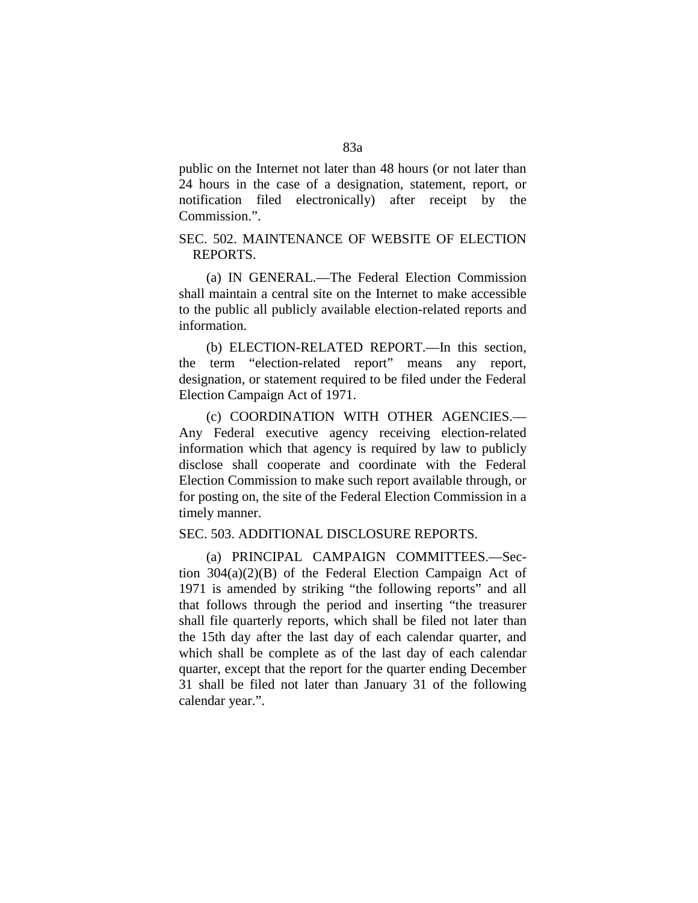public on the Internet not later than 48 hours (or not later than 24 hours in the case of a designation, statement, report, or notification filed electronically) after receipt by the Commission.".

## SEC. 502. MAINTENANCE OF WEBSITE OF ELECTION REPORTS.

(a) IN GENERAL.—The Federal Election Commission shall maintain a central site on the Internet to make accessible to the public all publicly available election-related reports and information.

(b) ELECTION-RELATED REPORT.—In this section, the term "election-related report" means any report, designation, or statement required to be filed under the Federal Election Campaign Act of 1971.

(c) COORDINATION WITH OTHER AGENCIES.— Any Federal executive agency receiving election-related information which that agency is required by law to publicly disclose shall cooperate and coordinate with the Federal Election Commission to make such report available through, or for posting on, the site of the Federal Election Commission in a timely manner.

### SEC. 503. ADDITIONAL DISCLOSURE REPORTS.

(a) PRINCIPAL CAMPAIGN COMMITTEES.—Section 304(a)(2)(B) of the Federal Election Campaign Act of 1971 is amended by striking "the following reports" and all that follows through the period and inserting "the treasurer shall file quarterly reports, which shall be filed not later than the 15th day after the last day of each calendar quarter, and which shall be complete as of the last day of each calendar quarter, except that the report for the quarter ending December 31 shall be filed not later than January 31 of the following calendar year.".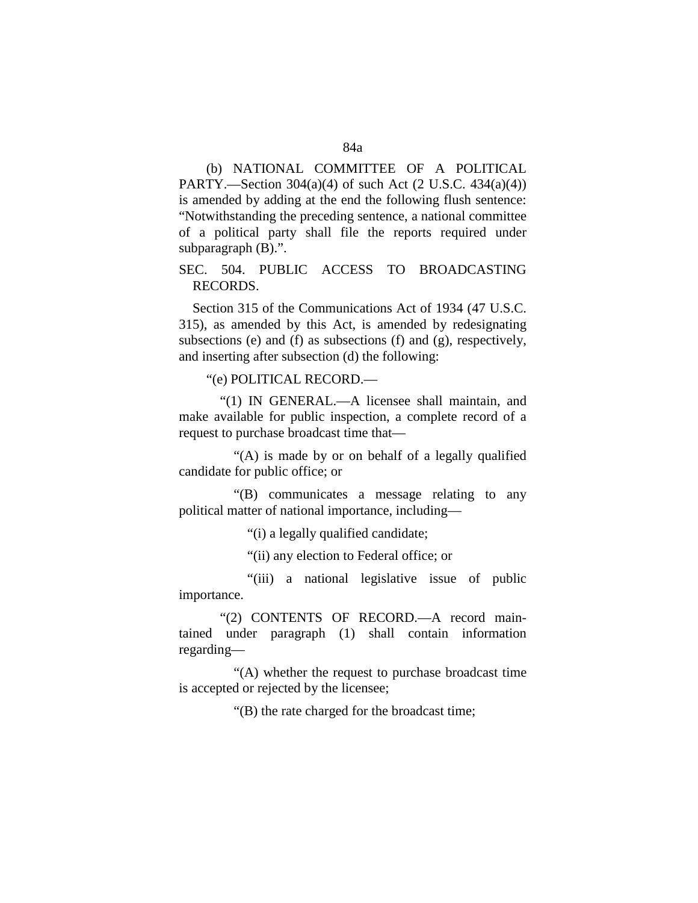(b) NATIONAL COMMITTEE OF A POLITICAL PARTY.—Section 304(a)(4) of such Act (2 U.S.C. 434(a)(4)) is amended by adding at the end the following flush sentence: "Notwithstanding the preceding sentence, a national committee of a political party shall file the reports required under subparagraph (B).".

SEC. 504. PUBLIC ACCESS TO BROADCASTING RECORDS.

Section 315 of the Communications Act of 1934 (47 U.S.C. 315), as amended by this Act, is amended by redesignating subsections (e) and (f) as subsections (f) and (g), respectively, and inserting after subsection (d) the following:

"(e) POLITICAL RECORD.—

"(1) IN GENERAL.—A licensee shall maintain, and make available for public inspection, a complete record of a request to purchase broadcast time that—

"(A) is made by or on behalf of a legally qualified candidate for public office; or

"(B) communicates a message relating to any political matter of national importance, including—

"(i) a legally qualified candidate;

"(ii) any election to Federal office; or

"(iii) a national legislative issue of public importance.

"(2) CONTENTS OF RECORD.—A record maintained under paragraph (1) shall contain information regarding—

"(A) whether the request to purchase broadcast time is accepted or rejected by the licensee;

"(B) the rate charged for the broadcast time;